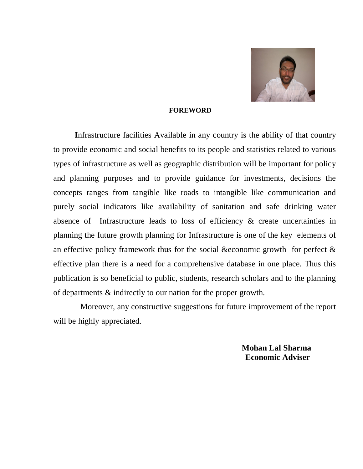

#### **FOREWORD**

**I**nfrastructure facilities Available in any country is the ability of that country to provide economic and social benefits to its people and statistics related to various types of infrastructure as well as geographic distribution will be important for policy and planning purposes and to provide guidance for investments, decisions the concepts ranges from tangible like roads to intangible like communication and purely social indicators like availability of sanitation and safe drinking water absence of Infrastructure leads to loss of efficiency & create uncertainties in planning the future growth planning for Infrastructure is one of the key elements of an effective policy framework thus for the social &economic growth for perfect & effective plan there is a need for a comprehensive database in one place. Thus this publication is so beneficial to public, students, research scholars and to the planning of departments & indirectly to our nation for the proper growth.

 Moreover, any constructive suggestions for future improvement of the report will be highly appreciated.

> **Mohan Lal Sharma Economic Adviser**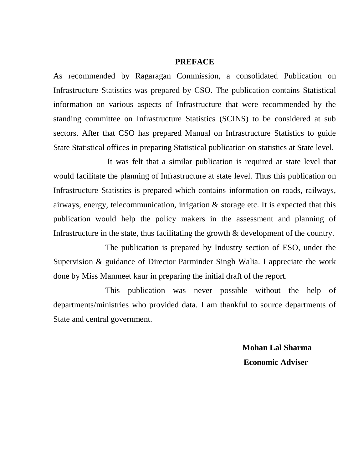#### **PREFACE**

As recommended by Ragaragan Commission, a consolidated Publication on Infrastructure Statistics was prepared by CSO. The publication contains Statistical information on various aspects of Infrastructure that were recommended by the standing committee on Infrastructure Statistics (SCINS) to be considered at sub sectors. After that CSO has prepared Manual on Infrastructure Statistics to guide State Statistical offices in preparing Statistical publication on statistics at State level.

 It was felt that a similar publication is required at state level that would facilitate the planning of Infrastructure at state level. Thus this publication on Infrastructure Statistics is prepared which contains information on roads, railways, airways, energy, telecommunication, irrigation & storage etc. It is expected that this publication would help the policy makers in the assessment and planning of Infrastructure in the state, thus facilitating the growth & development of the country.

 The publication is prepared by Industry section of ESO, under the Supervision & guidance of Director Parminder Singh Walia. I appreciate the work done by Miss Manmeet kaur in preparing the initial draft of the report.

 This publication was never possible without the help of departments/ministries who provided data. I am thankful to source departments of State and central government.

> **Mohan Lal Sharma Economic Adviser**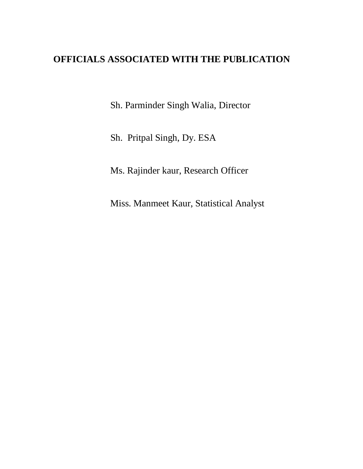### **OFFICIALS ASSOCIATED WITH THE PUBLICATION**

Sh. Parminder Singh Walia, Director

Sh. Pritpal Singh, Dy. ESA

Ms. Rajinder kaur, Research Officer

Miss. Manmeet Kaur, Statistical Analyst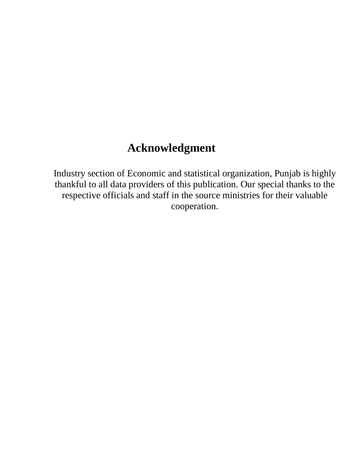# **Acknowledgment**

Industry section of Economic and statistical organization, Punjab is highly thankful to all data providers of this publication. Our special thanks to the respective officials and staff in the source ministries for their valuable cooperation.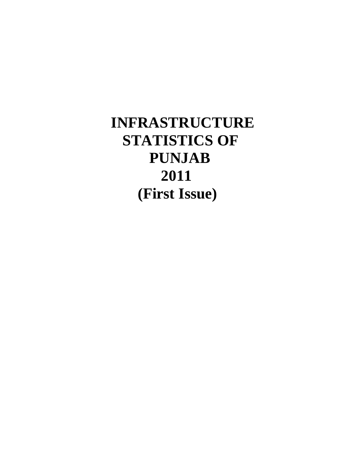# **INFRASTRUCTURE STATISTICS OF PUNJAB 2011 (First Issue)**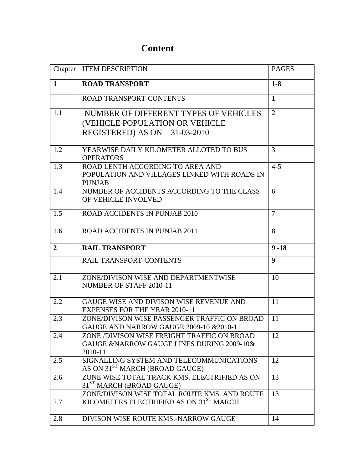## **Content**

|                | Chapter   ITEM DESCRIPTION                                                                              | <b>PAGES</b>   |
|----------------|---------------------------------------------------------------------------------------------------------|----------------|
| 1              | <b>ROAD TRANSPORT</b>                                                                                   | $1-8$          |
|                | ROAD TRANSPORT-CONTENTS                                                                                 | $\mathbf{1}$   |
| 1.1            | NUMBER OF DIFFERENT TYPES OF VEHICLES<br>(VEHICLE POPULATION OR VEHICLE<br>REGISTERED) AS ON 31-03-2010 | 2              |
| 1.2            | YEARWISE DAILY KILOMETER ALLOTED TO BUS<br><b>OPERATORS</b>                                             | 3              |
| 1.3            | ROAD LENTH ACCORDING TO AREA AND<br>POPULATION AND VILLAGES LINKED WITH ROADS IN<br><b>PUNJAB</b>       | $4 - 5$        |
| 1.4            | NUMBER OF ACCIDENTS ACCORDING TO THE CLASS<br>OF VEHICLE INVOLVED                                       | 6              |
| 1.5            | <b>ROAD ACCIDENTS IN PUNJAB 2010</b>                                                                    | $\overline{7}$ |
| 1.6            | <b>ROAD ACCIDENTS IN PUNJAB 2011</b>                                                                    | 8              |
| $\overline{2}$ | <b>RAIL TRANSPORT</b>                                                                                   | $9 - 18$       |
|                |                                                                                                         |                |
|                | RAIL TRANSPORT-CONTENTS                                                                                 | 9              |
| 2.1            | ZONE/DIVISON WISE AND DEPARTMENTWISE<br>NUMBER OF STAFF 2010-11                                         | 10             |
| 2.2            | GAUGE WISE AND DIVISON WISE REVENUE AND<br><b>EXPENSES FOR THE YEAR 2010-11</b>                         | 11             |
| 2.3            | ZONE/DIVISON WISE PASSENGER TRAFFIC ON BROAD<br>GAUGE AND NARROW GAUGE 2009-10 & 2010-11                | 11             |
| 2.4            | ZONE /DIVISON WISE FREIGHT TRAFFIC ON BROAD<br>GAUGE &NARROW GAUGE LINES DURING 2009-10&<br>2010-11     | 12             |
| 2.5            | SIGNALLING SYSTEM AND TELECOMMUNICATIONS<br>AS ON 31 <sup>ST</sup> MARCH (BROAD GAUGE)                  | 12             |
| 2.6            | ZONE WISE TOTAL TRACK KMS. ELECTRIFIED AS ON<br>31 <sup>ST</sup> MARCH (BROAD GAUGE)                    | 13             |
| 2.7            | ZONE/DIVISON WISE TOTAL ROUTE KMS. AND ROUTE<br>KILOMETERS ELECTRIFIED AS ON 31 <sup>ST</sup> MARCH     | 13             |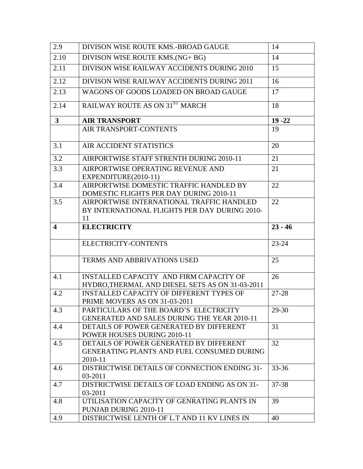| 2.9                     | DIVISON WISE ROUTE KMS.-BROAD GAUGE                                                              | 14        |
|-------------------------|--------------------------------------------------------------------------------------------------|-----------|
| 2.10                    | DIVISON WISE ROUTE KMS.(NG+ BG)                                                                  | 14        |
| 2.11                    | DIVISON WISE RAILWAY ACCIDENTS DURING 2010                                                       | 15        |
| 2.12                    | DIVISON WISE RAILWAY ACCIDENTS DURING 2011                                                       | 16        |
| 2.13                    | WAGONS OF GOODS LOADED ON BROAD GAUGE                                                            | 17        |
| 2.14                    | RAILWAY ROUTE AS ON 31ST MARCH                                                                   | 18        |
| $\mathbf{3}$            | <b>AIR TRANSPORT</b>                                                                             | $19 - 22$ |
|                         | AIR TRANSPORT-CONTENTS                                                                           | 19        |
| 3.1                     | AIR ACCIDENT STATISTICS                                                                          | 20        |
| 3.2                     | AIRPORTWISE STAFF STRENTH DURING 2010-11                                                         | 21        |
| 3.3                     | AIRPORTWISE OPERATING REVENUE AND<br>EXPENDITURE(2010-11)                                        | 21        |
| 3.4                     | AIRPORTWISE DOMESTIC TRAFFIC HANDLED BY<br>DOMESTIC FLIGHTS PER DAY DURING 2010-11               | 22        |
| 3.5                     | AIRPORTWISE INTERNATIONAL TRAFFIC HANDLED<br>BY INTERNATIONAL FLIGHTS PER DAY DURING 2010-<br>11 | 22        |
| $\overline{\mathbf{4}}$ | <b>ELECTRICITY</b>                                                                               | $23 - 46$ |
|                         | ELECTRICITY-CONTENTS                                                                             | $23 - 24$ |
|                         | <b>TERMS AND ABBRIVATIONS USED</b>                                                               | 25        |
| 4.1                     | INSTALLED CAPACITY AND FIRM CAPACITY OF<br>HYDRO, THERMAL AND DIESEL SETS AS ON 31-03-2011       | 26        |
| 4.2                     | <b>INSTALLED CAPACITY OF DIFFERENT TYPES OF</b><br>PRIME MOVERS AS ON 31-03-2011                 | $27 - 28$ |
| 4.3                     | PARTICULARS OF THE BOARD'S ELECTRICITY<br><b>GENERATED AND SALES DURING THE YEAR 2010-11</b>     | $29 - 30$ |
| 4.4                     | DETAILS OF POWER GENERATED BY DIFFERENT<br><b>POWER HOUSES DURING 2010-11</b>                    | 31        |
| 4.5                     | DETAILS OF POWER GENERATED BY DIFFERENT<br>GENERATING PLANTS AND FUEL CONSUMED DURING<br>2010-11 | 32        |
| 4.6                     | DISTRICTWISE DETAILS OF CONNECTION ENDING 31-<br>03-2011                                         | $33 - 36$ |
| 4.7                     | DISTRICTWISE DETAILS OF LOAD ENDING AS ON 31-                                                    | $37 - 38$ |
|                         | 03-2011                                                                                          |           |
| 4.8                     | UTILISATION CAPACITY OF GENRATING PLANTS IN<br>PUNJAB DURING 2010-11                             | 39        |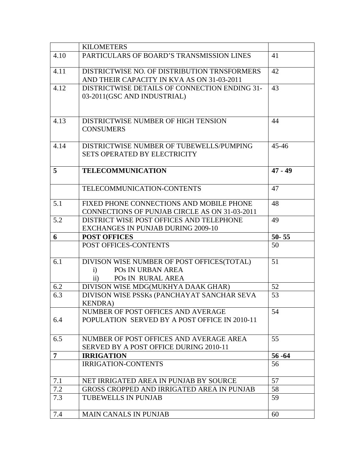|      | <b>KILOMETERS</b>                                                                                                              |           |
|------|--------------------------------------------------------------------------------------------------------------------------------|-----------|
| 4.10 | PARTICULARS OF BOARD'S TRANSMISSION LINES                                                                                      | 41        |
| 4.11 | DISTRICTWISE NO. OF DISTRIBUTION TRNSFORMERS<br>AND THEIR CAPACITY IN KVA AS ON 31-03-2011                                     | 42        |
| 4.12 | DISTRICTWISE DETAILS OF CONNECTION ENDING 31-<br>03-2011(GSC AND INDUSTRIAL)                                                   | 43        |
| 4.13 | DISTRICTWISE NUMBER OF HIGH TENSION<br><b>CONSUMERS</b>                                                                        | 44        |
| 4.14 | DISTRICTWISE NUMBER OF TUBEWELLS/PUMPING<br><b>SETS OPERATED BY ELECTRICITY</b>                                                | $45 - 46$ |
| 5    | <b>TELECOMMUNICATION</b>                                                                                                       | $47 - 49$ |
|      | TELECOMMUNICATION-CONTENTS                                                                                                     | 47        |
| 5.1  | FIXED PHONE CONNECTIONS AND MOBILE PHONE<br>CONNECTIONS OF PUNJAB CIRCLE AS ON 31-03-2011                                      | 48        |
| 5.2  | DISTRICT WISE POST OFFICES AND TELEPHONE<br><b>EXCHANGES IN PUNJAB DURING 2009-10</b>                                          | 49        |
|      |                                                                                                                                |           |
| 6    | <b>POST OFFICES</b>                                                                                                            | $50 - 55$ |
|      | POST OFFICES-CONTENTS                                                                                                          | 50        |
| 6.1  | DIVISON WISE NUMBER OF POST OFFICES (TOTAL)<br>PO <sub>s</sub> IN URBAN AREA<br>$\mathbf{i}$<br>POS IN RURAL AREA<br>$\rm ii)$ | 51        |
| 6.2  | DIVISON WISE MDG(MUKHYA DAAK GHAR)                                                                                             | 52        |
| 6.3  | DIVISON WISE PSSKs (PANCHAYAT SANCHAR SEVA<br><b>KENDRA</b> )                                                                  | 53        |
| 6.4  | NUMBER OF POST OFFICES AND AVERAGE<br>POPULATION SERVED BY A POST OFFICE IN 2010-11                                            | 54        |
| 6.5  | NUMBER OF POST OFFICES AND AVERAGE AREA<br>SERVED BY A POST OFFICE DURING 2010-11                                              | 55        |
| 7    | <b>IRRIGATION</b>                                                                                                              | $56 - 64$ |
|      | <b>IRRIGATION-CONTENTS</b>                                                                                                     | 56        |
| 7.1  | NET IRRIGATED AREA IN PUNJAB BY SOURCE                                                                                         | 57        |
| 7.2  | GROSS CROPPED AND IRRIGATED AREA IN PUNJAB                                                                                     | 58        |
| 7.3  | <b>TUBEWELLS IN PUNJAB</b>                                                                                                     | 59        |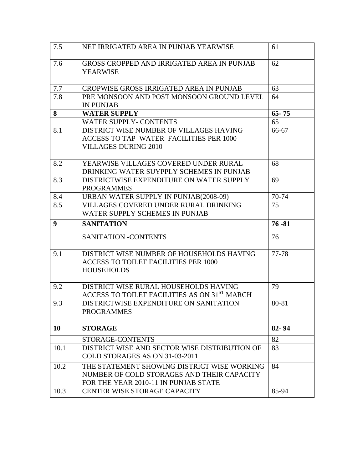| 7.5          | NET IRRIGATED AREA IN PUNJAB YEARWISE                                                                                             | 61        |
|--------------|-----------------------------------------------------------------------------------------------------------------------------------|-----------|
| 7.6          | <b>GROSS CROPPED AND IRRIGATED AREA IN PUNJAB</b><br><b>YEARWISE</b>                                                              | 62        |
| 7.7          | CROPWISE GROSS IRRIGATED AREA IN PUNJAB                                                                                           | 63        |
| 7.8          | PRE MONSOON AND POST MONSOON GROUND LEVEL<br><b>IN PUNJAB</b>                                                                     | 64        |
| 8            | <b>WATER SUPPLY</b>                                                                                                               | $65 - 75$ |
|              | <b>WATER SUPPLY- CONTENTS</b>                                                                                                     | 65        |
| 8.1          | DISTRICT WISE NUMBER OF VILLAGES HAVING<br>ACCESS TO TAP WATER FACILITIES PER 1000<br><b>VILLAGES DURING 2010</b>                 | 66-67     |
| 8.2          | YEARWISE VILLAGES COVERED UNDER RURAL<br>DRINKING WATER SUYPPLY SCHEMES IN PUNJAB                                                 | 68        |
| 8.3          | DISTRICTWISE EXPENDITURE ON WATER SUPPLY<br><b>PROGRAMMES</b>                                                                     | 69        |
| 8.4          | URBAN WATER SUPPLY IN PUNJAB(2008-09)                                                                                             | 70-74     |
| 8.5          | VILLAGES COVERED UNDER RURAL DRINKING<br>WATER SUPPLY SCHEMES IN PUNJAB                                                           | 75        |
|              |                                                                                                                                   |           |
| 9            | <b>SANITATION</b>                                                                                                                 | $76 - 81$ |
|              | SANITATION -CONTENTS                                                                                                              | 76        |
| 9.1          | DISTRICT WISE NUMBER OF HOUSEHOLDS HAVING<br>ACCESS TO TOILET FACILITIES PER 1000<br><b>HOUSEHOLDS</b>                            | 77-78     |
| 9.2          | DISTRICT WISE RURAL HOUSEHOLDS HAVING<br>ACCESS TO TOILET FACILITIES AS ON 31ST MARCH                                             | 79        |
| 9.3          | DISTRICTWISE EXPENDITURE ON SANITATION<br><b>PROGRAMMES</b>                                                                       | 80-81     |
| <b>10</b>    | <b>STORAGE</b>                                                                                                                    | 82-94     |
|              | STORAGE-CONTENTS                                                                                                                  | 82        |
| 10.1         | DISTRICT WISE AND SECTOR WISE DISTRIBUTION OF<br>COLD STORAGES AS ON 31-03-2011                                                   | 83        |
| 10.2<br>10.3 | THE STATEMENT SHOWING DISTRICT WISE WORKING<br>NUMBER OF COLD STORAGES AND THEIR CAPACITY<br>FOR THE YEAR 2010-11 IN PUNJAB STATE | 84        |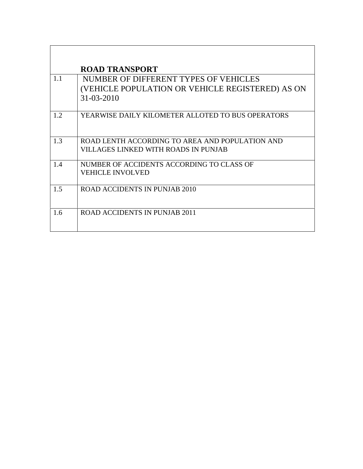|     | <b>ROAD TRANSPORT</b>                                                                                         |
|-----|---------------------------------------------------------------------------------------------------------------|
| 1.1 | NUMBER OF DIFFERENT TYPES OF VEHICLES<br>(VEHICLE POPULATION OR VEHICLE REGISTERED) AS ON<br>$31 - 03 - 2010$ |
| 1.2 | YEARWISE DAILY KILOMETER ALLOTED TO BUS OPERATORS                                                             |
| 1.3 | ROAD LENTH ACCORDING TO AREA AND POPULATION AND<br>VILLAGES LINKED WITH ROADS IN PUNJAB                       |
| 1.4 | NUMBER OF ACCIDENTS ACCORDING TO CLASS OF<br><b>VEHICLE INVOLVED</b>                                          |
| 1.5 | <b>ROAD ACCIDENTS IN PUNJAB 2010</b>                                                                          |
| 1.6 | ROAD ACCIDENTS IN PUNJAB 2011                                                                                 |

 $\overline{\phantom{a}}$ 

ľ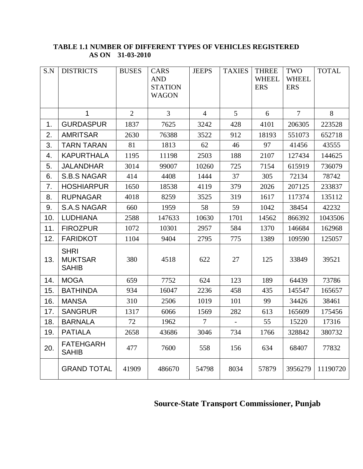#### **TABLE 1.1 NUMBER OF DIFFERENT TYPES OF VEHICLES REGISTERED AS ON 31-03-2010**

| S.N | <b>DISTRICTS</b>                              | <b>BUSES</b>   | <b>CARS</b>                    | <b>JEEPS</b>   | <b>TAXIES</b>  | <b>THREE</b> | <b>TWO</b>     | <b>TOTAL</b> |
|-----|-----------------------------------------------|----------------|--------------------------------|----------------|----------------|--------------|----------------|--------------|
|     |                                               |                | <b>AND</b>                     |                |                | <b>WHEEL</b> | <b>WHEEL</b>   |              |
|     |                                               |                | <b>STATION</b><br><b>WAGON</b> |                |                | <b>ERS</b>   | <b>ERS</b>     |              |
|     |                                               |                |                                |                |                |              |                |              |
|     | 1                                             | $\overline{2}$ | $\overline{3}$                 | $\overline{4}$ | 5              | 6            | $\overline{7}$ | 8            |
| 1.  | <b>GURDASPUR</b>                              | 1837           | 7625                           | 3242           | 428            | 4101         | 206305         | 223528       |
| 2.  | <b>AMRITSAR</b>                               | 2630           | 76388                          | 3522           | 912            | 18193        | 551073         | 652718       |
| 3.  | <b>TARN TARAN</b>                             | 81             | 1813                           | 62             | 46             | 97           | 41456          | 43555        |
| 4.  | <b>KAPURTHALA</b>                             | 1195           | 11198                          | 2503           | 188            | 2107         | 127434         | 144625       |
| 5.  | <b>JALANDHAR</b>                              | 3014           | 99007                          | 10260          | 725            | 7154         | 615919         | 736079       |
| 6.  | <b>S.B.S NAGAR</b>                            | 414            | 4408                           | 1444           | 37             | 305          | 72134          | 78742        |
| 7.  | <b>HOSHIARPUR</b>                             | 1650           | 18538                          | 4119           | 379            | 2026         | 207125         | 233837       |
| 8.  | <b>RUPNAGAR</b>                               | 4018           | 8259                           | 3525           | 319            | 1617         | 117374         | 135112       |
| 9.  | <b>S.A.S NAGAR</b>                            | 660            | 1959                           | 58             | 59             | 1042         | 38454          | 42232        |
| 10. | <b>LUDHIANA</b>                               | 2588           | 147633                         | 10630          | 1701           | 14562        | 866392         | 1043506      |
| 11. | <b>FIROZPUR</b>                               | 1072           | 10301                          | 2957           | 584            | 1370         | 146684         | 162968       |
| 12. | <b>FARIDKOT</b>                               | 1104           | 9404                           | 2795           | 775            | 1389         | 109590         | 125057       |
| 13. | <b>SHRI</b><br><b>MUKTSAR</b><br><b>SAHIB</b> | 380            | 4518                           | 622            | 27             | 125          | 33849          | 39521        |
| 14. | <b>MOGA</b>                                   | 659            | 7752                           | 624            | 123            | 189          | 64439          | 73786        |
| 15. | <b>BATHINDA</b>                               | 934            | 16047                          | 2236           | 458            | 435          | 145547         | 165657       |
| 16. | <b>MANSA</b>                                  | 310            | 2506                           | 1019           | 101            | 99           | 34426          | 38461        |
| 17. | <b>SANGRUR</b>                                | 1317           | 6066                           | 1569           | 282            | 613          | 165609         | 175456       |
| 18. | <b>BARNALA</b>                                | 72             | 1962                           | $\overline{7}$ | $\overline{a}$ | 55           | 15220          | 17316        |
| 19. | <b>PATIALA</b>                                | 2658           | 43686                          | 3046           | 734            | 1766         | 328842         | 380732       |
| 20. | <b>FATEHGARH</b><br><b>SAHIB</b>              | 477            | 7600                           | 558            | 156            | 634          | 68407          | 77832        |
|     | <b>GRAND TOTAL</b>                            | 41909          | 486670                         | 54798          | 8034           | 57879        | 3956279        | 11190720     |

### **Source-State Transport Commissioner, Punjab**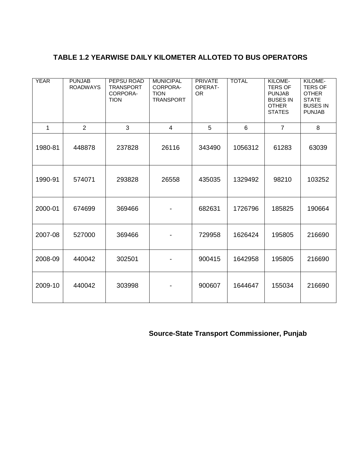#### **TABLE 1.2 YEARWISE DAILY KILOMETER ALLOTED TO BUS OPERATORS**

| <b>YEAR</b>  | <b>PUNJAB</b><br><b>ROADWAYS</b> | PEPSU ROAD<br><b>TRANSPORT</b><br>CORPORA-<br><b>TION</b> | <b>MUNICIPAL</b><br>CORPORA-<br><b>TION</b><br><b>TRANSPORT</b> | <b>PRIVATE</b><br>OPERAT-<br><b>OR</b> | <b>TOTAL</b> | KILOME-<br><b>TERS OF</b><br><b>PUNJAB</b><br><b>BUSES IN</b><br><b>OTHER</b><br><b>STATES</b> | KILOME-<br><b>TERS OF</b><br><b>OTHER</b><br><b>STATE</b><br><b>BUSES IN</b><br><b>PUNJAB</b> |
|--------------|----------------------------------|-----------------------------------------------------------|-----------------------------------------------------------------|----------------------------------------|--------------|------------------------------------------------------------------------------------------------|-----------------------------------------------------------------------------------------------|
| $\mathbf{1}$ | 2                                | 3                                                         | $\overline{4}$                                                  | 5                                      | 6            | $\overline{7}$                                                                                 | 8                                                                                             |
| 1980-81      | 448878                           | 237828                                                    | 26116                                                           | 343490                                 | 1056312      | 61283                                                                                          | 63039                                                                                         |
| 1990-91      | 574071                           | 293828                                                    | 26558                                                           | 435035                                 | 1329492      | 98210                                                                                          | 103252                                                                                        |
| 2000-01      | 674699                           | 369466                                                    |                                                                 | 682631                                 | 1726796      | 185825                                                                                         | 190664                                                                                        |
| 2007-08      | 527000                           | 369466                                                    |                                                                 | 729958                                 | 1626424      | 195805                                                                                         | 216690                                                                                        |
| 2008-09      | 440042                           | 302501                                                    |                                                                 | 900415                                 | 1642958      | 195805                                                                                         | 216690                                                                                        |
| 2009-10      | 440042                           | 303998                                                    |                                                                 | 900607                                 | 1644647      | 155034                                                                                         | 216690                                                                                        |

### **Source-State Transport Commissioner, Punjab**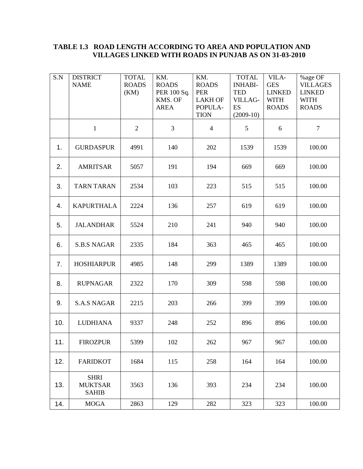#### **TABLE 1.3 ROAD LENGTH ACCORDING TO AREA AND POPULATION AND VILLAGES LINKED WITH ROADS IN PUNJAB AS ON 31-03-2010**

| S.N | <b>DISTRICT</b><br><b>NAME</b>                | <b>TOTAL</b><br><b>ROADS</b><br>(KM) | KM.<br><b>ROADS</b><br>PER 100 Sq.<br>KMS. OF<br><b>AREA</b> | KM.<br><b>ROADS</b><br>PER<br><b>LAKH OF</b><br>POPULA-<br><b>TION</b> | <b>TOTAL</b><br><b>INHABI-</b><br><b>TED</b><br>VILLAG-<br>ES<br>$(2009-10)$ | VILA-<br><b>GES</b><br><b>LINKED</b><br><b>WITH</b><br><b>ROADS</b> | %age OF<br><b>VILLAGES</b><br><b>LINKED</b><br><b>WITH</b><br><b>ROADS</b> |
|-----|-----------------------------------------------|--------------------------------------|--------------------------------------------------------------|------------------------------------------------------------------------|------------------------------------------------------------------------------|---------------------------------------------------------------------|----------------------------------------------------------------------------|
|     | $\mathbf{1}$                                  | $\overline{2}$                       | 3                                                            | $\overline{4}$                                                         | 5                                                                            | 6                                                                   | $\tau$                                                                     |
| 1.  | <b>GURDASPUR</b>                              | 4991                                 | 140                                                          | 202                                                                    | 1539                                                                         | 1539                                                                | 100.00                                                                     |
| 2.  | <b>AMRITSAR</b>                               | 5057                                 | 191                                                          | 194                                                                    | 669                                                                          | 669                                                                 | 100.00                                                                     |
| 3.  | <b>TARN TARAN</b>                             | 2534                                 | 103                                                          | 223                                                                    | 515                                                                          | 515                                                                 | 100.00                                                                     |
| 4.  | <b>KAPURTHALA</b>                             | 2224                                 | 136                                                          | 257                                                                    | 619                                                                          | 619                                                                 | 100.00                                                                     |
| 5.  | <b>JALANDHAR</b>                              | 5524                                 | 210                                                          | 241                                                                    | 940                                                                          | 940                                                                 | 100.00                                                                     |
| 6.  | <b>S.B.S NAGAR</b>                            | 2335                                 | 184                                                          | 363                                                                    | 465                                                                          | 465                                                                 | 100.00                                                                     |
| 7.  | <b>HOSHIARPUR</b>                             | 4985                                 | 148                                                          | 299                                                                    | 1389                                                                         | 1389                                                                | 100.00                                                                     |
| 8.  | <b>RUPNAGAR</b>                               | 2322                                 | 170                                                          | 309                                                                    | 598                                                                          | 598                                                                 | 100.00                                                                     |
| 9.  | <b>S.A.S NAGAR</b>                            | 2215                                 | 203                                                          | 266                                                                    | 399                                                                          | 399                                                                 | 100.00                                                                     |
| 10. | <b>LUDHIANA</b>                               | 9337                                 | 248                                                          | 252                                                                    | 896                                                                          | 896                                                                 | 100.00                                                                     |
| 11. | <b>FIROZPUR</b>                               | 5399                                 | 102                                                          | 262                                                                    | 967                                                                          | 967                                                                 | 100.00                                                                     |
| 12. | <b>FARIDKOT</b>                               | 1684                                 | 115                                                          | 258                                                                    | 164                                                                          | 164                                                                 | 100.00                                                                     |
| 13. | <b>SHRI</b><br><b>MUKTSAR</b><br><b>SAHIB</b> | 3563                                 | 136                                                          | 393                                                                    | 234                                                                          | 234                                                                 | 100.00                                                                     |
| 14. | <b>MOGA</b>                                   | 2863                                 | 129                                                          | 282                                                                    | 323                                                                          | 323                                                                 | 100.00                                                                     |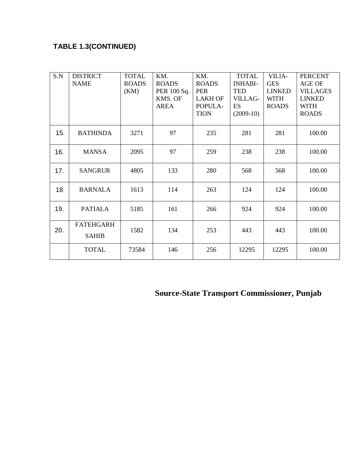### **TABLE 1.3(CONTINUED)**

| S.N | <b>DISTRICT</b><br><b>NAME</b>   | <b>TOTAL</b><br><b>ROADS</b><br>(KM) | KM.<br><b>ROADS</b><br>PER 100 Sq.<br>KMS. OF<br><b>AREA</b> | KM.<br><b>ROADS</b><br><b>PER</b><br><b>LAKH OF</b><br>POPULA-<br><b>TION</b> | <b>TOTAL</b><br><b>INHABI-</b><br><b>TED</b><br><b>VILLAG-</b><br>ES<br>$(2009-10)$ | VILIA-<br><b>GES</b><br><b>LINKED</b><br><b>WITH</b><br><b>ROADS</b> | <b>PERCENT</b><br><b>AGE OF</b><br><b>VILLAGES</b><br><b>LINKED</b><br><b>WITH</b><br><b>ROADS</b> |
|-----|----------------------------------|--------------------------------------|--------------------------------------------------------------|-------------------------------------------------------------------------------|-------------------------------------------------------------------------------------|----------------------------------------------------------------------|----------------------------------------------------------------------------------------------------|
| 15. | <b>BATHINDA</b>                  | 3271                                 | 97                                                           | 235                                                                           | 281                                                                                 | 281                                                                  | 100.00                                                                                             |
| 16. | <b>MANSA</b>                     | 2095                                 | 97                                                           | 259                                                                           | 238                                                                                 | 238                                                                  | 100.00                                                                                             |
| 17. | <b>SANGRUR</b>                   | 4805                                 | 133                                                          | 280                                                                           | 568                                                                                 | 568                                                                  | 100.00                                                                                             |
| 18  | <b>BARNALA</b>                   | 1613                                 | 114                                                          | 263                                                                           | 124                                                                                 | 124                                                                  | 100.00                                                                                             |
| 19. | <b>PATIALA</b>                   | 5185                                 | 161                                                          | 266                                                                           | 924                                                                                 | 924                                                                  | 100.00                                                                                             |
| 20. | <b>FATEHGARH</b><br><b>SAHIB</b> | 1582                                 | 134                                                          | 253                                                                           | 443                                                                                 | 443                                                                  | 100.00                                                                                             |
|     | <b>TOTAL</b>                     | 73584                                | 146                                                          | 256                                                                           | 12295                                                                               | 12295                                                                | 100.00                                                                                             |

## **Source-State Transport Commissioner, Punjab**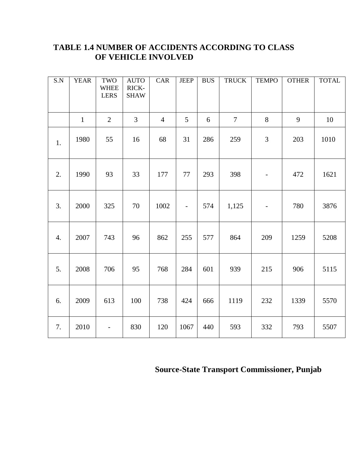### **TABLE 1.4 NUMBER OF ACCIDENTS ACCORDING TO CLASS OF VEHICLE INVOLVED**

| S.N | <b>YEAR</b>  | TWO<br><b>WHEE</b><br><b>LERS</b> | <b>AUTO</b><br>RICK-<br><b>SHAW</b> | CAR            | <b>JEEP</b>              | <b>BUS</b> | <b>TRUCK</b>    | <b>TEMPO</b>             | <b>OTHER</b> | <b>TOTAL</b> |
|-----|--------------|-----------------------------------|-------------------------------------|----------------|--------------------------|------------|-----------------|--------------------------|--------------|--------------|
|     | $\mathbf{1}$ | $\overline{2}$                    | 3                                   | $\overline{4}$ | 5                        | 6          | $7\phantom{.0}$ | 8                        | 9            | 10           |
| 1.  | 1980         | 55                                | 16                                  | 68             | 31                       | 286        | 259             | 3                        | 203          | 1010         |
| 2.  | 1990         | 93                                | 33                                  | 177            | 77                       | 293        | 398             | $\overline{\phantom{a}}$ | 472          | 1621         |
| 3.  | 2000         | 325                               | 70                                  | 1002           | $\overline{\phantom{a}}$ | 574        | 1,125           | $\qquad \qquad -$        | 780          | 3876         |
| 4.  | 2007         | 743                               | 96                                  | 862            | 255                      | 577        | 864             | 209                      | 1259         | 5208         |
| 5.  | 2008         | 706                               | 95                                  | 768            | 284                      | 601        | 939             | 215                      | 906          | 5115         |
| 6.  | 2009         | 613                               | 100                                 | 738            | 424                      | 666        | 1119            | 232                      | 1339         | 5570         |
| 7.  | 2010         | $\qquad \qquad \blacksquare$      | 830                                 | 120            | 1067                     | 440        | 593             | 332                      | 793          | 5507         |

 **Source-State Transport Commissioner, Punjab**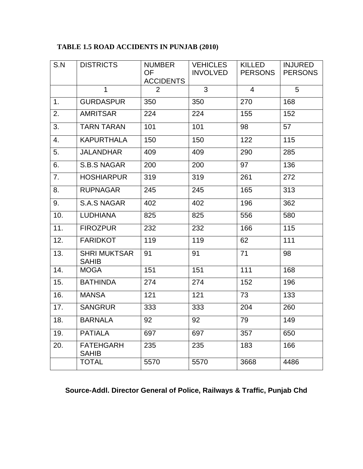### **TABLE 1.5 ROAD ACCIDENTS IN PUNJAB (2010)**

| $\overline{S}$ .N | <b>DISTRICTS</b>                    | <b>NUMBER</b><br><b>OF</b><br><b>ACCIDENTS</b> | <b>VEHICLES</b><br><b>INVOLVED</b> | <b>KILLED</b><br><b>PERSONS</b> | <b>INJURED</b><br><b>PERSONS</b> |
|-------------------|-------------------------------------|------------------------------------------------|------------------------------------|---------------------------------|----------------------------------|
|                   | $\mathbf{1}$                        | 2                                              | 3                                  | $\overline{4}$                  | 5                                |
| 1.                | <b>GURDASPUR</b>                    | 350                                            | 350                                | 270                             | 168                              |
| 2.                | <b>AMRITSAR</b>                     | 224                                            | 224                                | 155                             | 152                              |
| 3.                | <b>TARN TARAN</b>                   | 101                                            | 101                                | 98                              | 57                               |
| 4.                | <b>KAPURTHALA</b>                   | 150                                            | 150                                | 122                             | 115                              |
| 5.                | <b>JALANDHAR</b>                    | 409                                            | 409                                | 290                             | 285                              |
| 6.                | <b>S.B.S NAGAR</b>                  | 200                                            | 200                                | 97                              | 136                              |
| 7.                | <b>HOSHIARPUR</b>                   | 319                                            | 319                                | 261                             | 272                              |
| 8.                | <b>RUPNAGAR</b>                     | 245                                            | 245                                | 165                             | 313                              |
| 9.                | <b>S.A.S NAGAR</b>                  | 402                                            | 402                                | 196                             | 362                              |
| 10.               | <b>LUDHIANA</b>                     | 825                                            | 825                                | 556                             | 580                              |
| 11.               | <b>FIROZPUR</b>                     | 232                                            | 232                                | 166                             | 115                              |
| 12.               | <b>FARIDKOT</b>                     | 119                                            | 119                                | 62                              | 111                              |
| 13.               | <b>SHRI MUKTSAR</b><br><b>SAHIB</b> | 91                                             | 91                                 | 71                              | 98                               |
| 14.               | <b>MOGA</b>                         | 151                                            | 151                                | 111                             | 168                              |
| 15.               | <b>BATHINDA</b>                     | 274                                            | 274                                | 152                             | 196                              |
| 16.               | <b>MANSA</b>                        | 121                                            | 121                                | 73                              | 133                              |
| 17.               | <b>SANGRUR</b>                      | 333                                            | 333                                | 204                             | 260                              |
| 18.               | <b>BARNALA</b>                      | 92                                             | 92                                 | 79                              | 149                              |
| 19.               | <b>PATIALA</b>                      | 697                                            | 697                                | 357                             | 650                              |
| 20.               | <b>FATEHGARH</b><br><b>SAHIB</b>    | 235                                            | 235                                | 183                             | 166                              |
|                   | <b>TOTAL</b>                        | 5570                                           | 5570                               | 3668                            | 4486                             |

### **Source-Addl. Director General of Police, Railways & Traffic, Punjab Chd**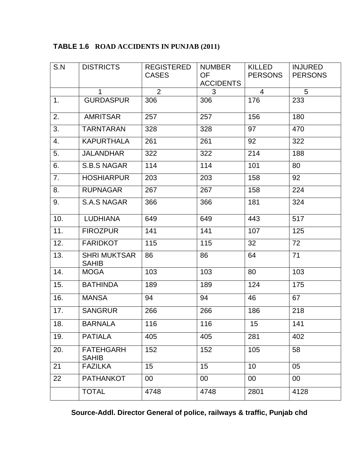### **TABLE 1.6 ROAD ACCIDENTS IN PUNJAB (2011)**

| S.N | <b>DISTRICTS</b>                    | <b>REGISTERED</b> | <b>NUMBER</b>    | KILLED         | <b>INJURED</b> |
|-----|-------------------------------------|-------------------|------------------|----------------|----------------|
|     |                                     | <b>CASES</b>      | <b>OF</b>        | <b>PERSONS</b> | <b>PERSONS</b> |
|     |                                     |                   | <b>ACCIDENTS</b> |                |                |
|     | $\mathbf 1$                         | $\overline{2}$    | 3                | $\overline{4}$ | 5              |
| 1.  | <b>GURDASPUR</b>                    | 306               | 306              | 176            | 233            |
| 2.  | <b>AMRITSAR</b>                     | 257               | 257              | 156            | 180            |
| 3.  | <b>TARNTARAN</b>                    | 328               | 328              | 97             | 470            |
| 4.  | <b>KAPURTHALA</b>                   | 261               | 261              | 92             | 322            |
| 5.  | <b>JALANDHAR</b>                    | 322               | 322              | 214            | 188            |
| 6.  | <b>S.B.S NAGAR</b>                  | 114               | 114              | 101            | 80             |
| 7.  | <b>HOSHIARPUR</b>                   | 203               | 203              | 158            | 92             |
| 8.  | <b>RUPNAGAR</b>                     | 267               | 267              | 158            | 224            |
| 9.  | <b>S.A.S NAGAR</b>                  | 366               | 366              | 181            | 324            |
| 10. | <b>LUDHIANA</b>                     | 649               | 649              | 443            | 517            |
| 11. | <b>FIROZPUR</b>                     | 141               | 141              | 107            | 125            |
| 12. | <b>FARIDKOT</b>                     | 115               | 115              | 32             | 72             |
| 13. | <b>SHRI MUKTSAR</b><br><b>SAHIB</b> | 86                | 86               | 64             | 71             |
| 14. | <b>MOGA</b>                         | 103               | 103              | 80             | 103            |
| 15. | <b>BATHINDA</b>                     | 189               | 189              | 124            | 175            |
| 16. | <b>MANSA</b>                        | 94                | 94               | 46             | 67             |
| 17. | <b>SANGRUR</b>                      | 266               | 266              | 186            | 218            |
| 18. | <b>BARNALA</b>                      | 116               | 116              | 15             | 141            |
| 19. | <b>PATIALA</b>                      | 405               | 405              | 281            | 402            |
| 20. | <b>FATEHGARH</b><br><b>SAHIB</b>    | 152               | 152              | 105            | 58             |
| 21  | <b>FAZILKA</b>                      | 15                | 15               | 10             | 05             |
| 22  | <b>PATHANKOT</b>                    | $00\,$            | 00               | $00\,$         | 00             |
|     | <b>TOTAL</b>                        | 4748              | 4748             | 2801           | 4128           |

 **Source-Addl. Director General of police, railways & traffic, Punjab chd**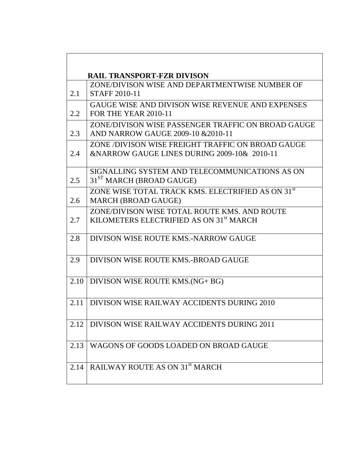|      | <b>RAIL TRANSPORT-FZR DIVISON</b>                                                                   |
|------|-----------------------------------------------------------------------------------------------------|
|      | ZONE/DIVISON WISE AND DEPARTMENTWISE NUMBER OF                                                      |
| 2.1  | <b>STAFF 2010-11</b>                                                                                |
|      | GAUGE WISE AND DIVISON WISE REVENUE AND EXPENSES                                                    |
| 2.2  | <b>FOR THE YEAR 2010-11</b>                                                                         |
|      | ZONE/DIVISON WISE PASSENGER TRAFFIC ON BROAD GAUGE                                                  |
| 2.3  | AND NARROW GAUGE 2009-10 & 2010-11                                                                  |
|      | ZONE /DIVISON WISE FREIGHT TRAFFIC ON BROAD GAUGE                                                   |
| 2.4  | &NARROW GAUGE LINES DURING 2009-10& 2010-11                                                         |
|      |                                                                                                     |
| 2.5  | SIGNALLING SYSTEM AND TELECOMMUNICATIONS AS ON<br>31 <sup>ST</sup> MARCH (BROAD GAUGE)              |
|      |                                                                                                     |
| 2.6  | ZONE WISE TOTAL TRACK KMS. ELECTRIFIED AS ON 31st<br><b>MARCH (BROAD GAUGE)</b>                     |
|      |                                                                                                     |
| 2.7  | ZONE/DIVISON WISE TOTAL ROUTE KMS. AND ROUTE<br>KILOMETERS ELECTRIFIED AS ON 31 <sup>st</sup> MARCH |
|      |                                                                                                     |
| 2.8  | DIVISON WISE ROUTE KMS.-NARROW GAUGE                                                                |
|      |                                                                                                     |
| 2.9  | DIVISON WISE ROUTE KMS.-BROAD GAUGE                                                                 |
|      |                                                                                                     |
| 2.10 | DIVISON WISE ROUTE KMS.(NG+ BG)                                                                     |
|      |                                                                                                     |
|      | DIVISON WISE RAILWAY ACCIDENTS DURING 2010                                                          |
| 2.11 |                                                                                                     |
|      |                                                                                                     |
|      | 2.12 DIVISON WISE RAILWAY ACCIDENTS DURING 2011                                                     |
|      |                                                                                                     |
| 2.13 | WAGONS OF GOODS LOADED ON BROAD GAUGE                                                               |
|      |                                                                                                     |
| 2.14 | RAILWAY ROUTE AS ON 31 <sup>st</sup> MARCH                                                          |
|      |                                                                                                     |

<u> 1989 - Johann Barbert Barbert Barbert Barbert Barbert Barbert Barbert Barbert Barbert Barbert Barbert Barbert</u>

ן

 $\sqrt{ }$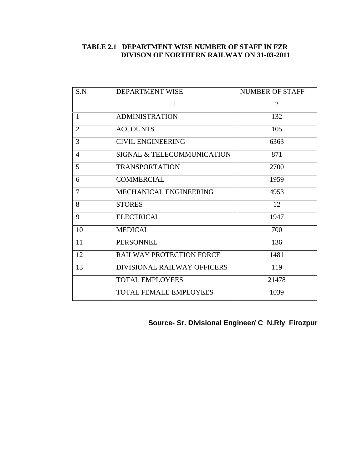#### **TABLE 2.1 DEPARTMENT WISE NUMBER OF STAFF IN FZR DIVISON OF NORTHERN RAILWAY ON 31-03-2011**

| S.N            | DEPARTMENT WISE                 | <b>NUMBER OF STAFF</b> |
|----------------|---------------------------------|------------------------|
|                | 1                               | $\overline{2}$         |
| $\mathbf{1}$   | <b>ADMINISTRATION</b>           | 132                    |
| $\overline{2}$ | <b>ACCOUNTS</b>                 | 105                    |
| 3              | <b>CIVIL ENGINEERING</b>        | 6363                   |
| $\overline{4}$ | SIGNAL & TELECOMMUNICATION      | 871                    |
| 5              | <b>TRANSPORTATION</b>           | 2700                   |
| 6              | <b>COMMERCIAL</b>               | 1959                   |
| 7              | MECHANICAL ENGINEERING          | 4953                   |
| 8              | <b>STORES</b>                   | 12                     |
| 9              | <b>ELECTRICAL</b>               | 1947                   |
| 10             | <b>MEDICAL</b>                  | 700                    |
| 11             | <b>PERSONNEL</b>                | 136                    |
| 12             | <b>RAILWAY PROTECTION FORCE</b> | 1481                   |
| 13             | DIVISIONAL RAILWAY OFFICERS     | 119                    |
|                | <b>TOTAL EMPLOYEES</b>          | 21478                  |
|                | <b>TOTAL FEMALE EMPLOYEES</b>   | 1039                   |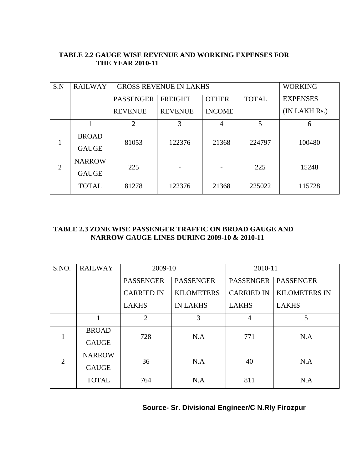#### **TABLE 2.2 GAUGE WISE REVENUE AND WORKING EXPENSES FOR THE YEAR 2010-11**

| S.N | <b>RAILWAY</b> |                       | <b>GROSS REVENUE IN LAKHS</b> |               |              | <b>WORKING</b>  |
|-----|----------------|-----------------------|-------------------------------|---------------|--------------|-----------------|
|     |                | <b>PASSENGER</b>      | <b>FREIGHT</b>                | <b>OTHER</b>  | <b>TOTAL</b> | <b>EXPENSES</b> |
|     |                | <b>REVENUE</b>        | <b>REVENUE</b>                | <b>INCOME</b> |              | (IN LAKH Rs.)   |
|     |                | $\mathcal{D}_{\cdot}$ | 3                             | 4             | 5            | 6               |
|     | <b>BROAD</b>   | 81053                 | 122376                        | 21368         | 224797       | 100480          |
|     | <b>GAUGE</b>   |                       |                               |               |              |                 |
| 2   | <b>NARROW</b>  | 225                   |                               |               | 225          | 15248           |
|     | <b>GAUGE</b>   |                       |                               |               |              |                 |
|     | <b>TOTAL</b>   | 81278                 | 122376                        | 21368         | 225022       | 115728          |

#### **TABLE 2.3 ZONE WISE PASSENGER TRAFFIC ON BROAD GAUGE AND NARROW GAUGE LINES DURING 2009-10 & 2010-11**

| S.NO. | <b>RAILWAY</b> | 2009-10           |                   | 2010-11           |                      |  |
|-------|----------------|-------------------|-------------------|-------------------|----------------------|--|
|       |                | <b>PASSENGER</b>  | <b>PASSENGER</b>  | <b>PASSENGER</b>  | <b>PASSENGER</b>     |  |
|       |                | <b>CARRIED IN</b> | <b>KILOMETERS</b> | <b>CARRIED IN</b> | <b>KILOMETERS IN</b> |  |
|       |                | <b>LAKHS</b>      | <b>IN LAKHS</b>   | <b>LAKHS</b>      | <b>LAKHS</b>         |  |
|       | 1              | $\overline{2}$    | 3                 | $\overline{4}$    | 5                    |  |
|       | <b>BROAD</b>   | 728               | N.A               | 771               | N.A                  |  |
|       | <b>GAUGE</b>   |                   |                   |                   |                      |  |
| 2     | <b>NARROW</b>  | 36                | N.A               | 40                | N.A                  |  |
|       | <b>GAUGE</b>   |                   |                   |                   |                      |  |
|       | <b>TOTAL</b>   | 764               | N.A               | 811               | N.A                  |  |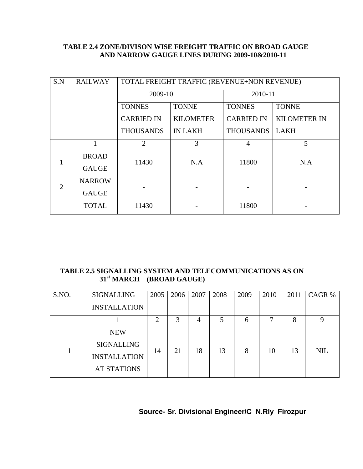#### **TABLE 2.4 ZONE/DIVISON WISE FREIGHT TRAFFIC ON BROAD GAUGE AND NARROW GAUGE LINES DURING 2009-10&2010-11**

| S.N                         | <b>RAILWAY</b> |                   | TOTAL FREIGHT TRAFFIC (REVENUE+NON REVENUE) |                   |                     |  |  |
|-----------------------------|----------------|-------------------|---------------------------------------------|-------------------|---------------------|--|--|
|                             |                | 2009-10           |                                             | 2010-11           |                     |  |  |
|                             |                | <b>TONNES</b>     | <b>TONNE</b>                                | <b>TONNES</b>     | <b>TONNE</b>        |  |  |
|                             |                | <b>CARRIED IN</b> | <b>KILOMETER</b>                            | <b>CARRIED IN</b> | <b>KILOMETER IN</b> |  |  |
|                             |                | <b>THOUSANDS</b>  | <b>IN LAKH</b>                              | <b>THOUSANDS</b>  | <b>LAKH</b>         |  |  |
|                             |                | $\overline{2}$    | 3                                           | $\overline{4}$    | 5                   |  |  |
|                             | <b>BROAD</b>   | 11430             | N.A                                         | 11800             | N.A                 |  |  |
|                             | <b>GAUGE</b>   |                   |                                             |                   |                     |  |  |
| $\mathcal{D}_{\mathcal{L}}$ | <b>NARROW</b>  |                   |                                             |                   |                     |  |  |
|                             | <b>GAUGE</b>   |                   |                                             |                   |                     |  |  |
|                             | <b>TOTAL</b>   | 11430             |                                             | 11800             |                     |  |  |

#### **TABLE 2.5 SIGNALLING SYSTEM AND TELECOMMUNICATIONS AS ON 31st MARCH (BROAD GAUGE)**

| S.NO. | <b>SIGNALLING</b>                                                            | 2005                  | 2006 | 2007 | 2008 | 2009 | 2010 | 2011 | CAGR %     |
|-------|------------------------------------------------------------------------------|-----------------------|------|------|------|------|------|------|------------|
|       | <b>INSTALLATION</b>                                                          |                       |      |      |      |      |      |      |            |
|       |                                                                              | $\mathcal{D}_{\cdot}$ | 3    | 4    | 5    | 6    | 7    | 8    | 9          |
|       | <b>NEW</b><br><b>SIGNALLING</b><br><b>INSTALLATION</b><br><b>AT STATIONS</b> | 14                    | 21   | 18   | 13   | 8    | 10   | 13   | <b>NIL</b> |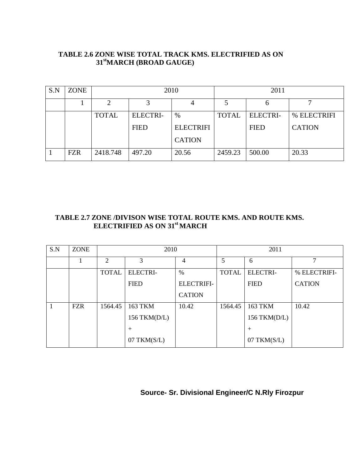#### **TABLE 2.6 ZONE WISE TOTAL TRACK KMS. ELECTRIFIED AS ON 31stMARCH (BROAD GAUGE)**

| S.N | <b>ZONE</b> |                                 |        | 2010             |              | 2011            |               |  |
|-----|-------------|---------------------------------|--------|------------------|--------------|-----------------|---------------|--|
|     |             | ∍                               |        |                  |              |                 |               |  |
|     |             | <b>TOTAL</b><br><b>ELECTRI-</b> |        | $\%$             | <b>TOTAL</b> | <b>ELECTRI-</b> | % ELECTRIFI   |  |
|     |             | <b>FIED</b>                     |        | <b>ELECTRIFI</b> |              | <b>FIED</b>     | <b>CATION</b> |  |
|     |             |                                 |        | <b>CATION</b>    |              |                 |               |  |
|     | <b>FZR</b>  | 2418.748                        | 497.20 | 20.56            | 2459.23      | 500.00          | 20.33         |  |

#### **TABLE 2.7 ZONE /DIVISON WISE TOTAL ROUTE KMS. AND ROUTE KMS. ELECTRIFIED AS ON 31st MARCH**

| S.N | <b>ZONE</b> |                                  | 2010             |                   | 2011         |                  |               |  |
|-----|-------------|----------------------------------|------------------|-------------------|--------------|------------------|---------------|--|
|     |             | 3<br>$\mathcal{D}_{\mathcal{A}}$ |                  | 4                 | 5            | 6                | 7             |  |
|     |             | <b>TOTAL</b>                     | <b>ELECTRI-</b>  | $\%$              | <b>TOTAL</b> | <b>ELECTRI-</b>  | % ELECTRIFI-  |  |
|     |             | <b>FIED</b>                      |                  | <b>ELECTRIFI-</b> |              | <b>FIED</b>      | <b>CATION</b> |  |
|     |             |                                  |                  | <b>CATION</b>     |              |                  |               |  |
|     | <b>FZR</b>  | 1564.45                          | 163 TKM          | 10.42             | 1564.45      | 163 TKM          | 10.42         |  |
|     |             |                                  | 156 TKM(D/L)     |                   |              | 156 TKM(D/L)     |               |  |
|     |             |                                  | $+$              |                   |              | $+$              |               |  |
|     |             |                                  | $07$ TKM $(S/L)$ |                   |              | $07$ TKM $(S/L)$ |               |  |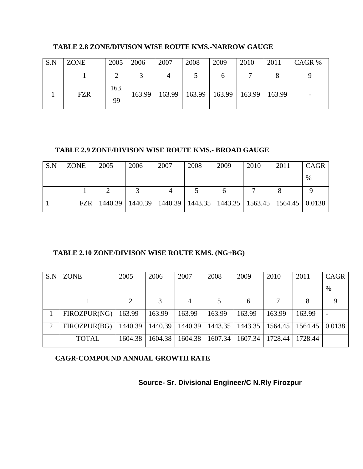| S.N | <b>ZONE</b> | 2005       | 2006   | 2007 | 2008                                | 2009 | 2010 | 2011   | CAGR % |
|-----|-------------|------------|--------|------|-------------------------------------|------|------|--------|--------|
|     |             |            |        |      |                                     |      |      |        |        |
|     | <b>FZR</b>  | 163.<br>99 | 163.99 |      | $163.99$   163.99   163.99   163.99 |      |      | 163.99 |        |

**TABLE 2.8 ZONE/DIVISON WISE ROUTE KMS.-NARROW GAUGE**

#### **TABLE 2.9 ZONE/DIVISON WISE ROUTE KMS.- BROAD GAUGE**

| S.N | <b>ZONE</b> | 2005    | 2006 | 2007 | 2008                                                               | 2009 | 2010 | 2011 | CAGR |
|-----|-------------|---------|------|------|--------------------------------------------------------------------|------|------|------|------|
|     |             |         |      |      |                                                                    |      |      |      | $\%$ |
|     |             |         |      |      |                                                                    |      |      |      |      |
|     | <b>FZR</b>  | 1440.39 |      |      | 1440.39   1440.39   1443.35   1443.35   1563.45   1564.45   0.0138 |      |      |      |      |

#### **TABLE 2.10 ZONE/DIVISON WISE ROUTE KMS. (NG+BG)**

| S.N | <b>ZONE</b>  | 2005    | 2006    | 2007    | 2008    | 2009    | 2010    | 2011    | CAGR   |
|-----|--------------|---------|---------|---------|---------|---------|---------|---------|--------|
|     |              |         |         |         |         |         |         |         | %      |
|     |              | ∍       | 3       |         |         | 6       |         |         | 9      |
|     | FIROZPUR(NG) | 163.99  | 163.99  | 163.99  | 163.99  | 163.99  | 163.99  | 163.99  |        |
| 2   | FIROZPUR(BG) | 1440.39 | 1440.39 | 1440.39 | 1443.35 | 1443.35 | 1564.45 | 1564.45 | 0.0138 |
|     | <b>TOTAL</b> | 1604.38 | 1604.38 | 1604.38 | 1607.34 | 1607.34 | 1728.44 | 1728.44 |        |

**CAGR-COMPOUND ANNUAL GROWTH RATE**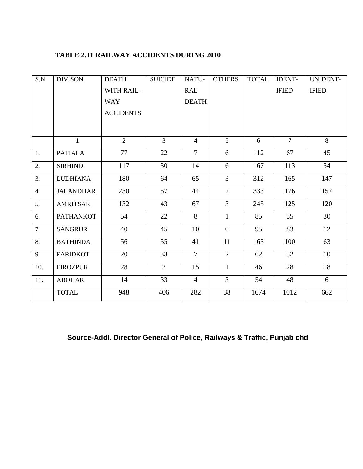#### **TABLE 2.11 RAILWAY ACCIDENTS DURING 2010**

| S.N              | <b>DIVISON</b>   | <b>DEATH</b>     | <b>SUICIDE</b> | NATU-          | <b>OTHERS</b>  | <b>TOTAL</b> | <b>IDENT-</b>  | UNIDENT-     |
|------------------|------------------|------------------|----------------|----------------|----------------|--------------|----------------|--------------|
|                  |                  | WITH RAIL-       |                | <b>RAL</b>     |                |              | <b>IFIED</b>   | <b>IFIED</b> |
|                  |                  | <b>WAY</b>       |                | <b>DEATH</b>   |                |              |                |              |
|                  |                  | <b>ACCIDENTS</b> |                |                |                |              |                |              |
|                  |                  |                  |                |                |                |              |                |              |
|                  | $\mathbf{1}$     | $\overline{2}$   | $\overline{3}$ | $\overline{4}$ | 5              | 6            | $\overline{7}$ | 8            |
| 1.               | <b>PATIALA</b>   | 77               | 22             | $\overline{7}$ | 6              | 112          | 67             | 45           |
| 2.               | <b>SIRHIND</b>   | 117              | 30             | 14             | 6              | 167          | 113            | 54           |
| 3.               | <b>LUDHIANA</b>  | 180              | 64             | 65             | $\overline{3}$ | 312          | 165            | 147          |
| $\overline{4}$ . | <b>JALANDHAR</b> | 230              | 57             | 44             | $\overline{2}$ | 333          | 176            | 157          |
| 5.               | <b>AMRITSAR</b>  | 132              | 43             | 67             | $\overline{3}$ | 245          | 125            | 120          |
| 6.               | <b>PATHANKOT</b> | 54               | 22             | $\overline{8}$ | $\mathbf{1}$   | 85           | 55             | 30           |
| 7.               | <b>SANGRUR</b>   | 40               | 45             | 10             | $\overline{0}$ | 95           | 83             | 12           |
| 8.               | <b>BATHINDA</b>  | 56               | 55             | 41             | 11             | 163          | 100            | 63           |
| 9.               | <b>FARIDKOT</b>  | 20               | 33             | $\overline{7}$ | $\overline{2}$ | 62           | 52             | 10           |
| 10.              | <b>FIROZPUR</b>  | 28               | $\overline{2}$ | 15             | $\mathbf{1}$   | 46           | 28             | 18           |
| 11.              | <b>ABOHAR</b>    | 14               | 33             | $\overline{4}$ | $\overline{3}$ | 54           | 48             | 6            |
|                  | <b>TOTAL</b>     | 948              | 406            | 282            | 38             | 1674         | 1012           | 662          |

### **Source-Addl. Director General of Police, Railways & Traffic, Punjab chd**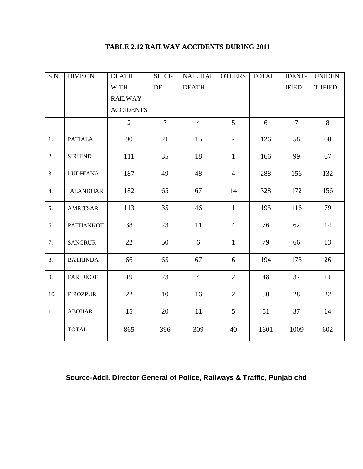#### **TABLE 2.12 RAILWAY ACCIDENTS DURING 2011**

| S.N | <b>DIVISON</b>   | <b>DEATH</b>     | <b>SUICI-</b>  | <b>NATURAL</b> | <b>OTHERS</b>            | <b>TOTAL</b> | <b>IDENT-</b>  | <b>UNIDEN</b>  |
|-----|------------------|------------------|----------------|----------------|--------------------------|--------------|----------------|----------------|
|     |                  | <b>WITH</b>      | DE             | <b>DEATH</b>   |                          |              | <b>IFIED</b>   | <b>T-IFIED</b> |
|     |                  | <b>RAILWAY</b>   |                |                |                          |              |                |                |
|     |                  | <b>ACCIDENTS</b> |                |                |                          |              |                |                |
|     | $\mathbf{1}$     | $\overline{2}$   | $\overline{3}$ | $\overline{4}$ | 5                        | 6            | $\overline{7}$ | 8              |
| 1.  | <b>PATIALA</b>   | 90               | 21             | 15             | $\overline{\phantom{a}}$ | 126          | 58             | 68             |
| 2.  | <b>SIRHIND</b>   | 111              | 35             | 18             | $\mathbf{1}$             | 166          | 99             | 67             |
| 3.  | <b>LUDHIANA</b>  | 187              | 49             | 48             | $\overline{4}$           | 288          | 156            | 132            |
| 4.  | <b>JALANDHAR</b> | 182              | 65             | 67             | 14                       | 328          | 172            | 156            |
| 5.  | <b>AMRITSAR</b>  | 113              | 35             | 46             | $\mathbf{1}$             | 195          | 116            | 79             |
| 6.  | <b>PATHANKOT</b> | 38               | 23             | 11             | $\overline{4}$           | 76           | 62             | 14             |
| 7.  | <b>SANGRUR</b>   | 22               | 50             | 6              | $\mathbf{1}$             | 79           | 66             | 13             |
| 8.  | <b>BATHINDA</b>  | 66               | 65             | 67             | 6                        | 194          | 178            | 26             |
| 9.  | <b>FARIDKOT</b>  | 19               | 23             | $\overline{4}$ | $\overline{2}$           | 48           | 37             | 11             |
| 10. | <b>FIROZPUR</b>  | 22               | 10             | 16             | $\overline{2}$           | 50           | 28             | 22             |
| 11. | <b>ABOHAR</b>    | 15               | 20             | 11             | 5                        | 51           | 37             | 14             |
|     | <b>TOTAL</b>     | 865              | 396            | 309            | 40                       | 1601         | 1009           | 602            |

### **Source-Addl. Director General of Police, Railways & Traffic, Punjab chd**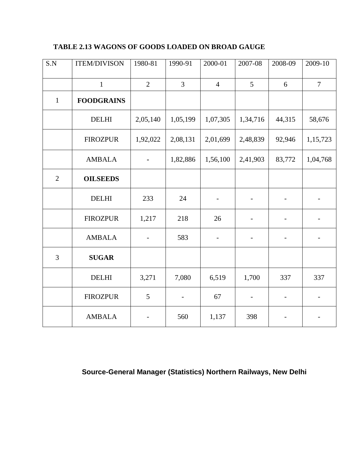#### **TABLE 2.13 WAGONS OF GOODS LOADED ON BROAD GAUGE**

| S.N            | <b>ITEM/DIVISON</b> | 1980-81        | 1990-91                  | 2000-01                  | 2007-08        | 2008-09 | 2009-10                      |
|----------------|---------------------|----------------|--------------------------|--------------------------|----------------|---------|------------------------------|
|                | $\mathbf{1}$        | $\overline{2}$ | $\overline{3}$           | $\overline{4}$           | 5              | 6       | $\overline{7}$               |
| $\mathbf{1}$   | <b>FOODGRAINS</b>   |                |                          |                          |                |         |                              |
|                | <b>DELHI</b>        | 2,05,140       | 1,05,199                 | 1,07,305                 | 1,34,716       | 44,315  | 58,676                       |
|                | <b>FIROZPUR</b>     | 1,92,022       | 2,08,131                 | 2,01,699                 | 2,48,839       | 92,946  | 1,15,723                     |
|                | <b>AMBALA</b>       |                | 1,82,886                 | 1,56,100                 | 2,41,903       | 83,772  | 1,04,768                     |
| $\overline{2}$ | <b>OILSEEDS</b>     |                |                          |                          |                |         |                              |
|                | <b>DELHI</b>        | 233            | 24                       | $\qquad \qquad -$        |                |         |                              |
|                | <b>FIROZPUR</b>     | 1,217          | 218                      | 26                       |                |         |                              |
|                | <b>AMBALA</b>       |                | 583                      | $\overline{\phantom{0}}$ |                |         |                              |
| 3              | <b>SUGAR</b>        |                |                          |                          |                |         |                              |
|                | <b>DELHI</b>        | 3,271          | 7,080                    | 6,519                    | 1,700          | 337     | 337                          |
|                | <b>FIROZPUR</b>     | 5              | $\overline{\phantom{a}}$ | 67                       | $\blacksquare$ |         | $\qquad \qquad \blacksquare$ |
|                | <b>AMBALA</b>       |                | 560                      | 1,137                    | 398            |         |                              |

### **Source-General Manager (Statistics) Northern Railways, New Delhi**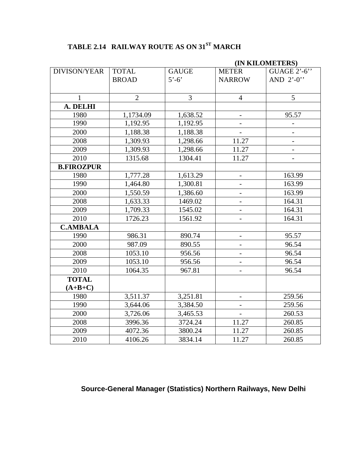# **TABLE 2.14 RAILWAY ROUTE AS ON 31ST MARCH**

|                     |                |                |                          | (IN KILOMETERS)        |
|---------------------|----------------|----------------|--------------------------|------------------------|
| <b>DIVISON/YEAR</b> | <b>TOTAL</b>   | <b>GAUGE</b>   | <b>METER</b>             | GUAGE $2^{\prime}$ -6" |
|                     | <b>BROAD</b>   | $5'-6'$        | <b>NARROW</b>            | AND $2^{\prime}$ -0"   |
|                     |                |                |                          |                        |
| $\mathbf{1}$        | $\overline{2}$ | $\overline{3}$ | $\overline{4}$           | 5                      |
| A. DELHI            |                |                |                          |                        |
| 1980                | 1,1734.09      | 1,638.52       | $\overline{\phantom{a}}$ | 95.57                  |
| 1990                | 1,192.95       | 1,192.95       |                          |                        |
| 2000                | 1,188.38       | 1,188.38       |                          |                        |
| 2008                | 1,309.93       | 1,298.66       | 11.27                    | $\qquad \qquad -$      |
| 2009                | 1,309.93       | 1,298.66       | 11.27                    | $\qquad \qquad -$      |
| 2010                | 1315.68        | 1304.41        | 11.27                    | $\qquad \qquad -$      |
| <b>B.FIROZPUR</b>   |                |                |                          |                        |
| 1980                | 1,777.28       | 1,613.29       | $\overline{\phantom{a}}$ | 163.99                 |
| 1990                | 1,464.80       | 1,300.81       |                          | 163.99                 |
| 2000                | 1,550.59       | 1,386.60       |                          | 163.99                 |
| 2008                | 1,633.33       | 1469.02        | $\overline{\phantom{0}}$ | 164.31                 |
| 2009                | 1,709.33       | 1545.02        |                          | 164.31                 |
| 2010                | 1726.23        | 1561.92        |                          | 164.31                 |
| <b>C.AMBALA</b>     |                |                |                          |                        |
| 1990                | 986.31         | 890.74         | $\overline{\phantom{a}}$ | 95.57                  |
| 2000                | 987.09         | 890.55         |                          | 96.54                  |
| 2008                | 1053.10        | 956.56         |                          | 96.54                  |
| 2009                | 1053.10        | 956.56         | $\overline{\phantom{0}}$ | 96.54                  |
| 2010                | 1064.35        | 967.81         |                          | 96.54                  |
| <b>TOTAL</b>        |                |                |                          |                        |
| $(A+B+C)$           |                |                |                          |                        |
| 1980                | 3,511.37       | 3,251.81       | $\overline{\phantom{a}}$ | 259.56                 |
| 1990                | 3,644.06       | 3,384.50       |                          | 259.56                 |
| 2000                | 3,726.06       | 3,465.53       |                          | 260.53                 |
| 2008                | 3996.36        | 3724.24        | 11.27                    | 260.85                 |
| 2009                | 4072.36        | 3800.24        | 11.27                    | 260.85                 |
| 2010                | 4106.26        | 3834.14        | 11.27                    | 260.85                 |

### **Source-General Manager (Statistics) Northern Railways, New Delhi**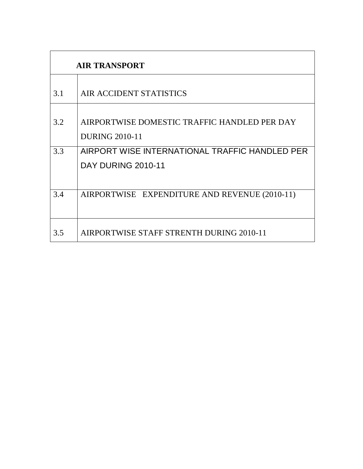|     | <b>AIR TRANSPORT</b>                                                        |  |  |  |  |
|-----|-----------------------------------------------------------------------------|--|--|--|--|
| 3.1 | AIR ACCIDENT STATISTICS                                                     |  |  |  |  |
| 3.2 | AIRPORTWISE DOMESTIC TRAFFIC HANDLED PER DAY<br><b>DURING 2010-11</b>       |  |  |  |  |
| 3.3 | AIRPORT WISE INTERNATIONAL TRAFFIC HANDLED PER<br><b>DAY DURING 2010-11</b> |  |  |  |  |
| 3.4 | AIRPORTWISE EXPENDITURE AND REVENUE (2010-11)                               |  |  |  |  |
| 3.5 | AIRPORTWISE STAFF STRENTH DURING 2010-11                                    |  |  |  |  |

r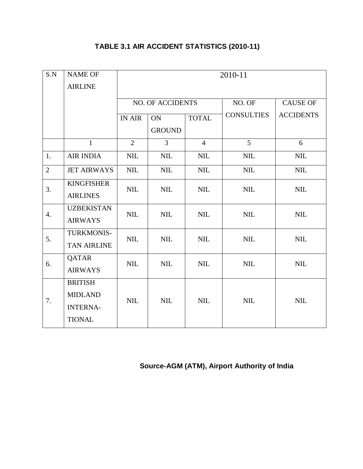#### 2010-11 NO. OF ACCIDENTS S.N NAME OF AIRLINE IN AIR ON GROUND TOTAL NO. OF **CONSULTIES**  CAUSE OF **ACCIDENTS**  $1 \quad 2 \quad 3 \quad 4 \quad 5 \quad 6$ 1. AIR INDIA NIL NIL NIL NIL NIL NIL NIL 2 JET AIRWAYS NIL NIL NIL NIL NIL NIL NIL NIL 3. KINGFISHER AIRLINES NIL | NIL | NIL | NIL | NIL 4. UZBEKISTAN AIRWAYS NIL | NIL | NIL | NIL | NIL 5. TURKMONIS-TAN AIRLINE NIL | NIL | NIL | NIL | NIL 6. QATAR AIRWAYS NIL | NIL | NIL | NIL | NIL 7. BRITISH MIDLAND INTERNA-TIONAL NIL | NIL | NIL | NIL | NIL

#### **TABLE 3.1 AIR ACCIDENT STATISTICS (2010-11)**

#### **Source-AGM (ATM), Airport Authority of India**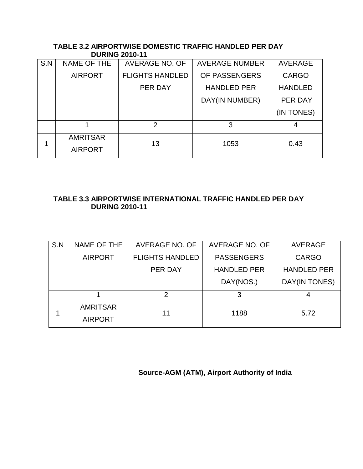|     |                                   | <b>DURING 2010-11</b>  |                       |                |
|-----|-----------------------------------|------------------------|-----------------------|----------------|
| S.N | NAME OF THE                       | AVERAGE NO. OF         | <b>AVERAGE NUMBER</b> | <b>AVERAGE</b> |
|     | <b>AIRPORT</b>                    | <b>FLIGHTS HANDLED</b> | OF PASSENGERS         | <b>CARGO</b>   |
|     |                                   | PER DAY                | <b>HANDLED PER</b>    | <b>HANDLED</b> |
|     |                                   |                        | DAY(IN NUMBER)        | PER DAY        |
|     |                                   |                        |                       | (IN TONES)     |
|     |                                   | 2                      | 3                     | 4              |
|     | <b>AMRITSAR</b><br><b>AIRPORT</b> | 13                     | 1053                  | 0.43           |

# **TABLE 3.2 AIRPORTWISE DOMESTIC TRAFFIC HANDLED PER DAY**

#### **TABLE 3.3 AIRPORTWISE INTERNATIONAL TRAFFIC HANDLED PER DAY DURING 2010-11**

| S.N | NAME OF THE                       | <b>AVERAGE NO. OF</b>  | <b>AVERAGE NO. OF</b> | AVERAGE            |
|-----|-----------------------------------|------------------------|-----------------------|--------------------|
|     | <b>AIRPORT</b>                    | <b>FLIGHTS HANDLED</b> | <b>PASSENGERS</b>     | <b>CARGO</b>       |
|     |                                   | PER DAY                | <b>HANDLED PER</b>    | <b>HANDLED PER</b> |
|     |                                   |                        | DAY(NOS.)             | DAY(IN TONES)      |
|     |                                   | 2                      | 3                     |                    |
|     | <b>AMRITSAR</b><br><b>AIRPORT</b> | 11                     | 1188                  | 5.72               |

 **Source-AGM (ATM), Airport Authority of India**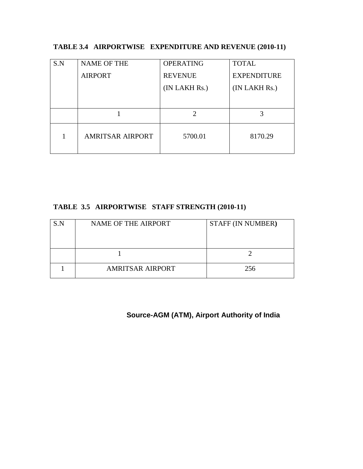|  |  | TABLE 3.4 AIRPORTWISE EXPENDITURE AND REVENUE (2010-11) |  |  |  |
|--|--|---------------------------------------------------------|--|--|--|
|--|--|---------------------------------------------------------|--|--|--|

| S.N | <b>NAME OF THE</b>      | <b>OPERATING</b> | <b>TOTAL</b>       |
|-----|-------------------------|------------------|--------------------|
|     | <b>AIRPORT</b>          | <b>REVENUE</b>   | <b>EXPENDITURE</b> |
|     |                         | (IN LAKH Rs.)    | (IN LAKH Rs.)      |
|     |                         |                  |                    |
|     |                         | $\mathcal{D}$    |                    |
|     | <b>AMRITSAR AIRPORT</b> | 5700.01          | 8170.29            |

### **TABLE 3.5 AIRPORTWISE STAFF STRENGTH (2010-11)**

| S N | <b>NAME OF THE AIRPORT</b> | <b>STAFF (IN NUMBER)</b> |
|-----|----------------------------|--------------------------|
|     |                            |                          |
|     | <b>AMRITSAR AIRPORT</b>    | 256                      |

### **Source-AGM (ATM), Airport Authority of India**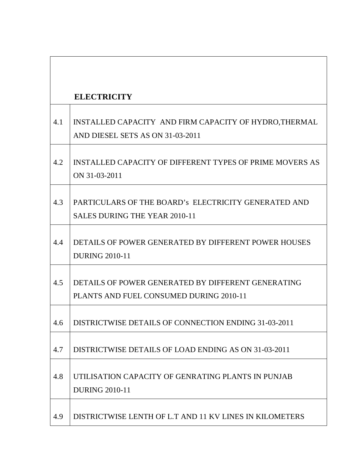|     | <b>ELECTRICITY</b>                                                                            |
|-----|-----------------------------------------------------------------------------------------------|
| 4.1 | INSTALLED CAPACITY AND FIRM CAPACITY OF HYDRO, THERMAL<br>AND DIESEL SETS AS ON 31-03-2011    |
| 4.2 | INSTALLED CAPACITY OF DIFFERENT TYPES OF PRIME MOVERS AS<br>ON 31-03-2011                     |
| 4.3 | PARTICULARS OF THE BOARD's ELECTRICITY GENERATED AND<br><b>SALES DURING THE YEAR 2010-11</b>  |
| 4.4 | DETAILS OF POWER GENERATED BY DIFFERENT POWER HOUSES<br><b>DURING 2010-11</b>                 |
| 4.5 | DETAILS OF POWER GENERATED BY DIFFERENT GENERATING<br>PLANTS AND FUEL CONSUMED DURING 2010-11 |
| 4.6 | DISTRICTWISE DETAILS OF CONNECTION ENDING 31-03-2011                                          |
| 4.7 | DISTRICTWISE DETAILS OF LOAD ENDING AS ON 31-03-2011                                          |
| 4.8 | UTILISATION CAPACITY OF GENRATING PLANTS IN PUNJAB<br><b>DURING 2010-11</b>                   |
| 4.9 | DISTRICTWISE LENTH OF L.T AND 11 KV LINES IN KILOMETERS                                       |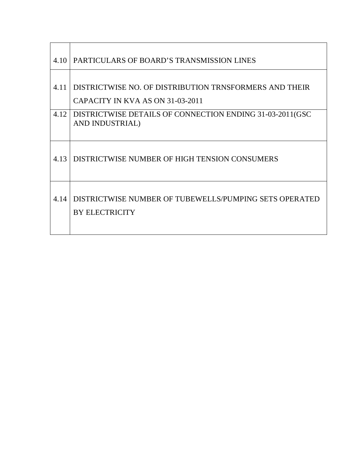| 4.10 | PARTICULARS OF BOARD'S TRANSMISSION LINES                                                  |
|------|--------------------------------------------------------------------------------------------|
| 4.11 | DISTRICTWISE NO. OF DISTRIBUTION TRNSFORMERS AND THEIR<br>CAPACITY IN KVA AS ON 31-03-2011 |
| 4.12 | DISTRICTWISE DETAILS OF CONNECTION ENDING 31-03-2011(GSC<br>AND INDUSTRIAL)                |
| 4.13 | DISTRICTWISE NUMBER OF HIGH TENSION CONSUMERS                                              |
| 4.14 | DISTRICTWISE NUMBER OF TUBEWELLS/PUMPING SETS OPERATED<br><b>BY ELECTRICITY</b>            |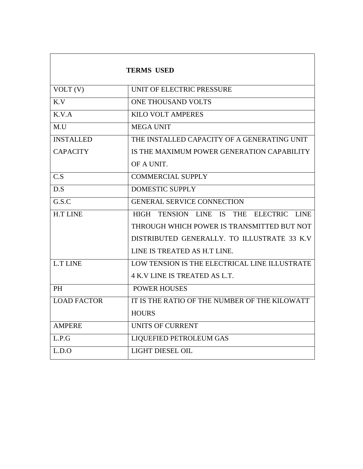|                    | <b>TERMS USED</b>                             |
|--------------------|-----------------------------------------------|
| VOLT(V)            | UNIT OF ELECTRIC PRESSURE                     |
| K.V                | <b>ONE THOUSAND VOLTS</b>                     |
| $\overline{K.V.A}$ | <b>KILO VOLT AMPERES</b>                      |
| M.U                | <b>MEGA UNIT</b>                              |
| <b>INSTALLED</b>   | THE INSTALLED CAPACITY OF A GENERATING UNIT   |
| <b>CAPACITY</b>    | IS THE MAXIMUM POWER GENERATION CAPABILITY    |
|                    | OF A UNIT.                                    |
| C.S                | <b>COMMERCIAL SUPPLY</b>                      |
| D.S                | <b>DOMESTIC SUPPLY</b>                        |
| G.S.C              | <b>GENERAL SERVICE CONNECTION</b>             |
| <b>H.T LINE</b>    | HIGH TENSION LINE IS THE ELECTRIC LINE        |
|                    | THROUGH WHICH POWER IS TRANSMITTED BUT NOT    |
|                    | DISTRIBUTED GENERALLY. TO ILLUSTRATE 33 K.V.  |
|                    | LINE IS TREATED AS H.T LINE.                  |
| <b>L.T LINE</b>    | LOW TENSION IS THE ELECTRICAL LINE ILLUSTRATE |
|                    | <b>4 K.V LINE IS TREATED AS L.T.</b>          |
| <b>PH</b>          | <b>POWER HOUSES</b>                           |
| <b>LOAD FACTOR</b> | IT IS THE RATIO OF THE NUMBER OF THE KILOWATT |
|                    | <b>HOURS</b>                                  |
| <b>AMPERE</b>      | <b>UNITS OF CURRENT</b>                       |
| L.P.G              | LIQUEFIED PETROLEUM GAS                       |
| L.D.O              | <b>LIGHT DIESEL OIL</b>                       |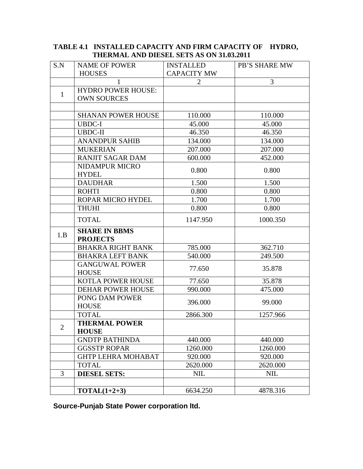| S.N          | <b>NAME OF POWER</b>                    | <b>INSTALLED</b>   | PB'S SHARE MW |
|--------------|-----------------------------------------|--------------------|---------------|
|              | <b>HOUSES</b>                           | <b>CAPACITY MW</b> |               |
|              |                                         | $\overline{2}$     | 3             |
|              | <b>HYDRO POWER HOUSE:</b>               |                    |               |
| $\mathbf{1}$ | <b>OWN SOURCES</b>                      |                    |               |
|              |                                         |                    |               |
|              | <b>SHANAN POWER HOUSE</b>               | 110.000            | 110.000       |
|              | UBDC-I                                  | 45.000             | 45.000        |
|              | <b>UBDC-II</b>                          | 46.350             | 46.350        |
|              | <b>ANANDPUR SAHIB</b>                   | 134.000            | 134.000       |
|              | <b>MUKERIAN</b>                         | 207.000            | 207.000       |
|              | <b>RANJIT SAGAR DAM</b>                 | 600.000            | 452.000       |
|              | <b>NIDAMPUR MICRO</b><br><b>HYDEL</b>   | 0.800              | 0.800         |
|              | <b>DAUDHAR</b>                          | 1.500              | 1.500         |
|              | <b>ROHTI</b>                            | 0.800              | 0.800         |
|              | <b>ROPAR MICRO HYDEL</b>                | 1.700              | 1.700         |
|              | <b>THUHI</b>                            | 0.800              | 0.800         |
|              | <b>TOTAL</b>                            | 1147.950           | 1000.350      |
| 1.B          | <b>SHARE IN BBMS</b><br><b>PROJECTS</b> |                    |               |
|              | <b>BHAKRA RIGHT BANK</b>                | 785.000            | 362.710       |
|              | <b>BHAKRA LEFT BANK</b>                 | 540.000            | 249.500       |
|              | <b>GANGUWAL POWER</b><br><b>HOUSE</b>   | 77.650             | 35.878        |
|              | <b>KOTLA POWER HOUSE</b>                | 77.650             | 35.878        |
|              | <b>DEHAR POWER HOUSE</b>                | 990.000            | 475.000       |
|              | PONG DAM POWER<br><b>HOUSE</b>          | 396.000            | 99.000        |
|              | <b>TOTAL</b>                            | 2866.300           | 1257.966      |
|              | <b>THERMAL POWER</b>                    |                    |               |
| 2            | <b>HOUSE</b>                            |                    |               |
|              | <b>GNDTP BATHINDA</b>                   | 440.000            | 440.000       |
|              | <b>GGSSTP ROPAR</b>                     | 1260.000           | 1260.000      |
|              | <b>GHTP LEHRA MOHABAT</b>               | 920.000            | 920.000       |
|              | <b>TOTAL</b>                            | 2620.000           | 2620.000      |
| 3            | <b>DIESEL SETS:</b>                     | <b>NIL</b>         | <b>NIL</b>    |
|              |                                         |                    |               |
|              | $TOTAL(1+2+3)$                          | 6634.250           | 4878.316      |

#### **TABLE 4.1 INSTALLED CAPACITY AND FIRM CAPACITY OF HYDRO, THERMAL AND DIESEL SETS AS ON 31.03.2011**

**Source-Punjab State Power corporation ltd.**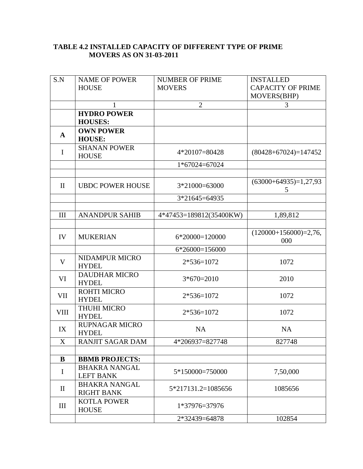#### **TABLE 4.2 INSTALLED CAPACITY OF DIFFERENT TYPE OF PRIME MOVERS AS ON 31-03-2011**

| S.N          | <b>NAME OF POWER</b>                      | <b>NUMBER OF PRIME</b>  | <b>INSTALLED</b>               |
|--------------|-------------------------------------------|-------------------------|--------------------------------|
|              | <b>HOUSE</b>                              | <b>MOVERS</b>           | <b>CAPACITY OF PRIME</b>       |
|              |                                           |                         | MOVERS(BHP)                    |
|              | $\mathbf{1}$                              | $\overline{2}$          | 3                              |
|              | <b>HYDRO POWER</b>                        |                         |                                |
|              | <b>HOUSES:</b>                            |                         |                                |
| $\mathbf{A}$ | <b>OWN POWER</b><br><b>HOUSE:</b>         |                         |                                |
| $\bf{I}$     | <b>SHANAN POWER</b><br><b>HOUSE</b>       | 4*20107=80428           | $(80428+67024)=147452$         |
|              |                                           | 1*67024=67024           |                                |
|              |                                           |                         |                                |
| $\mathbf{I}$ | <b>UBDC POWER HOUSE</b>                   | 3*21000=63000           | $(63000+64935)=1,27,93$<br>5   |
|              |                                           | 3*21645=64935           |                                |
|              |                                           |                         |                                |
| III          | <b>ANANDPUR SAHIB</b>                     | 4*47453=189812(35400KW) | 1,89,812                       |
|              |                                           |                         |                                |
| IV           | <b>MUKERIAN</b>                           | 6*20000=120000          | $(120000+156000)=2,76,$<br>000 |
|              |                                           | 6*26000=156000          |                                |
| $\mathbf V$  | NIDAMPUR MICRO<br><b>HYDEL</b>            | 2*536=1072              | 1072                           |
| VI           | <b>DAUDHAR MICRO</b><br><b>HYDEL</b>      | $3*670=2010$            | 2010                           |
| <b>VII</b>   | <b>ROHTI MICRO</b><br><b>HYDEL</b>        | $2*536=1072$            | 1072                           |
| <b>VIII</b>  | <b>THUHI MICRO</b><br><b>HYDEL</b>        | 2*536=1072              | 1072                           |
| IX           | <b>RUPNAGAR MICRO</b><br><b>HYDEL</b>     | <b>NA</b>               | <b>NA</b>                      |
| X            | <b>RANJIT SAGAR DAM</b>                   | 4*206937=827748         | 827748                         |
|              |                                           |                         |                                |
| $\bf{B}$     | <b>BBMB PROJECTS:</b>                     |                         |                                |
| $\mathbf I$  | <b>BHAKRA NANGAL</b><br><b>LEFT BANK</b>  | 5*150000=750000         | 7,50,000                       |
| $\mathbf{I}$ | <b>BHAKRA NANGAL</b><br><b>RIGHT BANK</b> | 5*217131.2=1085656      | 1085656                        |
| III          | <b>KOTLA POWER</b><br><b>HOUSE</b>        | 1*37976=37976           |                                |
|              |                                           | 2*32439=64878           | 102854                         |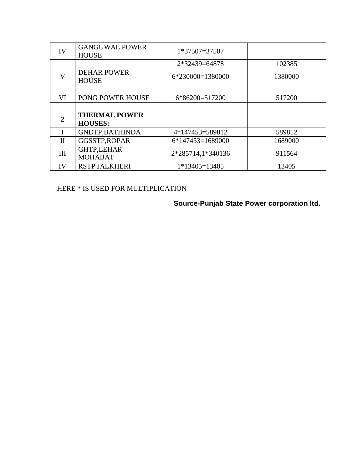| IV           | <b>GANGUWAL POWER</b><br><b>HOUSE</b> | 1*37507=37507     |         |
|--------------|---------------------------------------|-------------------|---------|
|              |                                       | 2*32439=64878     | 102385  |
| V            | <b>DEHAR POWER</b><br><b>HOUSE</b>    | 6*230000=1380000  | 1380000 |
|              |                                       |                   |         |
| VI           | PONG POWER HOUSE                      | 6*86200=517200    | 517200  |
|              |                                       |                   |         |
| $\mathbf{2}$ | <b>THERMAL POWER</b>                  |                   |         |
|              | <b>HOUSES:</b>                        |                   |         |
| I            | GNDTP, BATHINDA                       | 4*147453=589812   | 589812  |
| $\mathbf{I}$ | GGSSTP, ROPAR                         | 6*147453=1689000  | 1689000 |
| III          | <b>GHTP,LEHAR</b>                     | 2*285714,1*340136 | 911564  |
|              | <b>MOHABAT</b>                        |                   |         |
| IV           | <b>RSTP JALKHERI</b>                  | $1*13405=13405$   | 13405   |

HERE \* IS USED FOR MULTIPLICATION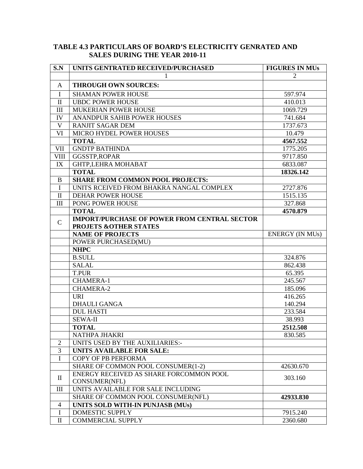### **TABLE 4.3 PARTICULARS OF BOARD'S ELECTRICITY GENRATED AND SALES DURING THE YEAR 2010-11**

| S.N            | UNITS GENTRATED RECEIVED/PURCHASED                  | <b>FIGURES IN MUs</b>  |
|----------------|-----------------------------------------------------|------------------------|
|                | 1                                                   | 2                      |
| A              | <b>THROUGH OWN SOURCES:</b>                         |                        |
| $\mathbf I$    | <b>SHAMAN POWER HOUSE</b>                           | 597.974                |
| $\mathbf{I}$   | <b>UBDC POWER HOUSE</b>                             | 410.013                |
| III            | MUKERIAN POWER HOUSE                                | 1069.729               |
| IV             | ANANDPUR SAHIB POWER HOUSES                         | 741.684                |
| V              | <b>RANJIT SAGAR DEM</b>                             | 1737.673               |
| VI             | MICRO HYDEL POWER HOUSES                            | 10.479                 |
|                | <b>TOTAL</b>                                        | 4567.552               |
| VII            | <b>GNDTP BATHINDA</b>                               | 1775.205               |
| <b>VIII</b>    | GGSSTP, ROPAR                                       | 9717.850               |
| IX             | <b>GHTP, LEHRA MOHABAT</b>                          | 6833.087               |
|                | <b>TOTAL</b>                                        | 18326.142              |
| B              | <b>SHARE FROM COMMON POOL PROJECTS:</b>             |                        |
| $\mathbf I$    | UNITS RCEIVED FROM BHAKRA NANGAL COMPLEX            | 2727.876               |
| $\mathbf{I}$   | <b>DEHAR POWER HOUSE</b>                            | 1515.135               |
| III            | PONG POWER HOUSE                                    | 327.868                |
|                | <b>TOTAL</b>                                        | 4570.879               |
| $\mathsf{C}$   | <b>IMPORT/PURCHASE OF POWER FROM CENTRAL SECTOR</b> |                        |
|                | PROJETS &OTHER STATES                               |                        |
|                | <b>NAME OF PROJECTS</b>                             | <b>ENERGY (IN MUs)</b> |
|                | POWER PURCHASED(MU)                                 |                        |
|                | <b>NHPC</b>                                         |                        |
|                | <b>B.SULL</b>                                       | 324.876                |
|                | <b>SALAL</b>                                        | 862.438                |
|                | <b>T.PUR</b>                                        | 65.395                 |
|                | <b>CHAMERA-1</b>                                    | 245.567                |
|                | <b>CHAMERA-2</b>                                    | 185.096                |
|                | <b>URI</b>                                          | 416.265                |
|                | <b>DHAULI GANGA</b>                                 | 140.294                |
|                | <b>DUL HASTI</b>                                    | 233.584                |
|                | <b>SEWA-II</b>                                      | 38.993                 |
|                | <b>TOTAL</b>                                        | 2512.508               |
|                | NATHPA JHAKRI                                       | 830.585                |
| $\overline{2}$ | UNITS USED BY THE AUXILIARIES:-                     |                        |
| 3              | <b>UNITS AVAILABLE FOR SALE:</b>                    |                        |
| $\bf I$        | COPY OF PB PERFORMA                                 |                        |
|                | SHARE OF COMMON POOL CONSUMER(1-2)                  | 42630.670              |
| $\mathbf{I}$   | ENERGY RECEIVED AS SHARE FORCOMMON POOL             | 303.160                |
|                | <b>CONSUMER(NFL)</b>                                |                        |
| Ш              | UNITS AVAILABLE FOR SALE INCLUDING                  |                        |
|                | SHARE OF COMMON POOL CONSUMER(NFL)                  | 42933.830              |
| 4              | UNITS SOLD WITH-IN PUNJASB (MUs)                    |                        |
| $\mathbf I$    | <b>DOMESTIC SUPPLY</b>                              | 7915.240               |
| $\mathbf{I}$   | <b>COMMERCIAL SUPPLY</b>                            | 2360.680               |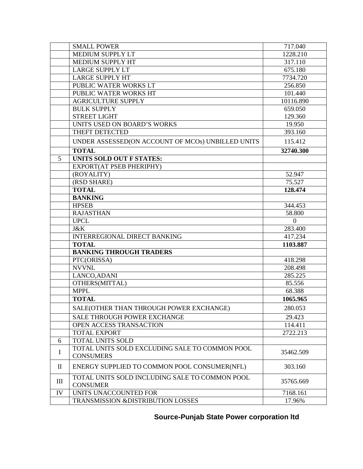|              | <b>SMALL POWER</b>                                                 | 717.040        |
|--------------|--------------------------------------------------------------------|----------------|
|              | <b>MEDIUM SUPPLY LT</b>                                            | 1228.210       |
|              | MEDIUM SUPPLY HT                                                   | 317.110        |
|              | <b>LARGE SUPPLY LT</b>                                             | 675.180        |
|              | <b>LARGE SUPPLY HT</b>                                             | 7734.720       |
|              | PUBLIC WATER WORKS LT                                              | 256.850        |
|              | PUBLIC WATER WORKS HT                                              | 101.440        |
|              | <b>AGRICULTURE SUPPLY</b>                                          | 10116.890      |
|              | <b>BULK SUPPLY</b>                                                 | 659.050        |
|              | <b>STREET LIGHT</b>                                                | 129.360        |
|              | UNITS USED ON BOARD'S WORKS                                        | 19.950         |
|              | THEFT DETECTED                                                     | 393.160        |
|              | UNDER ASSESSED(ON ACCOUNT OF MCOs) UNBILLED UNITS                  | 115.412        |
|              | <b>TOTAL</b>                                                       | 32740.300      |
| 5            | UNITS SOLD OUT F STATES:                                           |                |
|              | EXPORT(AT PSEB PHERIPHY)                                           |                |
|              | (ROYALITY)                                                         | 52.947         |
|              | (RSD SHARE)                                                        | 75.527         |
|              | <b>TOTAL</b>                                                       | 128.474        |
|              | <b>BANKING</b>                                                     |                |
|              | <b>HPSEB</b>                                                       | 344.453        |
|              |                                                                    |                |
|              | <b>RAJASTHAN</b>                                                   | 58.800         |
|              | <b>UPCL</b>                                                        | $\overline{0}$ |
|              | J&K                                                                | 283.400        |
|              | <b>INTERREGIONAL DIRECT BANKING</b>                                | 417.234        |
|              | <b>TOTAL</b>                                                       | 1103.887       |
|              | <b>BANKING THROUGH TRADERS</b>                                     |                |
|              | PTC(ORISSA)                                                        | 418.298        |
|              | <b>NVVNL</b>                                                       | 208.498        |
|              | LANCO, ADANI                                                       | 285.225        |
|              | OTHERS(MITTAL)                                                     | 85.556         |
|              | <b>MPPL</b>                                                        | 68.388         |
|              | <b>TOTAL</b>                                                       | 1065.965       |
|              | SALE(OTHER THAN THROUGH POWER EXCHANGE)                            | 280.053        |
|              | <b>SALE THROUGH POWER EXCHANGE</b>                                 | 29.423         |
|              | OPEN ACCESS TRANSACTION                                            | 114.411        |
|              | <b>TOTAL EXPORT</b>                                                | 2722.213       |
| 6            | <b>TOTAL UNITS SOLD</b>                                            |                |
| I            | TOTAL UNITS SOLD EXCLUDING SALE TO COMMON POOL<br><b>CONSUMERS</b> | 35462.509      |
| $\mathbf{I}$ | ENERGY SUPPLIED TO COMMON POOL CONSUMER(NFL)                       | 303.160        |
| Ш            | TOTAL UNITS SOLD INCLUDING SALE TO COMMON POOL<br><b>CONSUMER</b>  | 35765.669      |
| IV           | UNITS UNACCOUNTED FOR                                              | 7168.161       |
|              | TRANSMISSION & DISTRIBUTION LOSSES                                 | 17.96%         |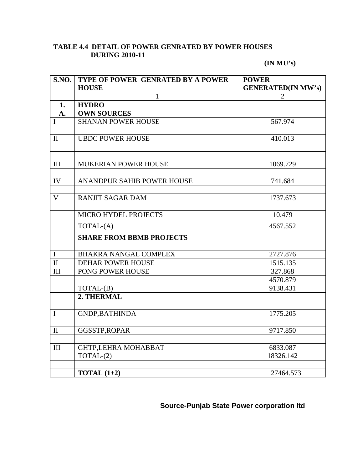### **TABLE 4.4 DETAIL OF POWER GENRATED BY POWER HOUSES DURING 2010-11**

### **(IN MU's)**

| <b>S.NO.</b> | TYPE OF POWER GENRATED BY A POWER | <b>POWER</b>              |  |  |
|--------------|-----------------------------------|---------------------------|--|--|
|              | <b>HOUSE</b>                      | <b>GENERATED(IN MW's)</b> |  |  |
|              | $\mathbf{1}$                      | $\overline{2}$            |  |  |
| 1.           | <b>HYDRO</b>                      |                           |  |  |
| A.           | <b>OWN SOURCES</b>                |                           |  |  |
| I            | <b>SHANAN POWER HOUSE</b>         | 567.974                   |  |  |
|              |                                   |                           |  |  |
| $\mathbf{I}$ | <b>UBDC POWER HOUSE</b>           | 410.013                   |  |  |
|              |                                   |                           |  |  |
|              |                                   |                           |  |  |
| III          | <b>MUKERIAN POWER HOUSE</b>       | 1069.729                  |  |  |
|              |                                   |                           |  |  |
| IV           | ANANDPUR SAHIB POWER HOUSE        | 741.684                   |  |  |
|              |                                   |                           |  |  |
| $\mathbf V$  | <b>RANJIT SAGAR DAM</b>           | 1737.673                  |  |  |
|              |                                   |                           |  |  |
|              | MICRO HYDEL PROJECTS              | 10.479                    |  |  |
|              | TOTAL-(A)                         | 4567.552                  |  |  |
|              | <b>SHARE FROM BBMB PROJECTS</b>   |                           |  |  |
|              |                                   |                           |  |  |
| $\mathbf I$  | BHAKRA NANGAL COMPLEX             | 2727.876                  |  |  |
| $\mathbf{I}$ | <b>DEHAR POWER HOUSE</b>          | 1515.135                  |  |  |
| III          | PONG POWER HOUSE                  | 327.868                   |  |  |
|              |                                   | 4570.879                  |  |  |
|              | TOTAL-(B)                         | 9138.431                  |  |  |
|              | 2. THERMAL                        |                           |  |  |
|              |                                   |                           |  |  |
| $\mathbf I$  | <b>GNDP, BATHINDA</b>             | 1775.205                  |  |  |
|              |                                   |                           |  |  |
| $\mathbf{I}$ | GGSSTP, ROPAR                     | 9717.850                  |  |  |
|              |                                   |                           |  |  |
| III          | <b>GHTP, LEHRA MOHABBAT</b>       | 6833.087                  |  |  |
|              | $TOTAL-(2)$                       | 18326.142                 |  |  |
|              |                                   |                           |  |  |
|              | TOTAL $(1+2)$                     | 27464.573                 |  |  |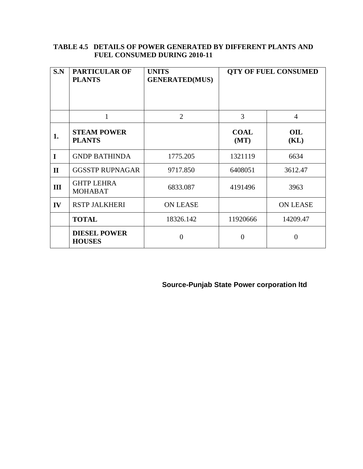#### **TABLE 4.5 DETAILS OF POWER GENERATED BY DIFFERENT PLANTS AND FUEL CONSUMED DURING 2010-11**

| S.N          | <b>PARTICULAR OF</b><br><b>PLANTS</b> | <b>UNITS</b><br><b>GENERATED(MUS)</b> | <b>QTY OF FUEL CONSUMED</b> |                 |
|--------------|---------------------------------------|---------------------------------------|-----------------------------|-----------------|
|              | 1                                     | $\overline{2}$                        | 3                           | 4               |
| 1.           | <b>STEAM POWER</b><br><b>PLANTS</b>   |                                       | <b>COAL</b><br>(MT)         | OIL<br>(KL)     |
| I            | <b>GNDP BATHINDA</b>                  | 1775.205                              | 1321119                     | 6634            |
| $\mathbf{I}$ | <b>GGSSTP RUPNAGAR</b>                | 9717.850                              | 6408051                     | 3612.47         |
| III          | <b>GHTP LEHRA</b><br><b>MOHABAT</b>   | 6833.087                              | 4191496                     | 3963            |
| IV           | <b>RSTP JALKHERI</b>                  | <b>ON LEASE</b>                       |                             | <b>ON LEASE</b> |
|              | <b>TOTAL</b>                          | 18326.142                             | 11920666                    | 14209.47        |
|              | <b>DIESEL POWER</b><br><b>HOUSES</b>  | $\overline{0}$                        | $\overline{0}$              | $\overline{0}$  |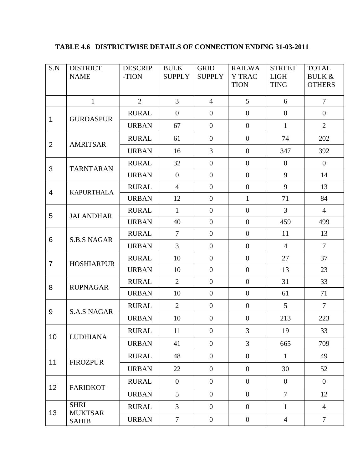### **TABLE 4.6 DISTRICTWISE DETAILS OF CONNECTION ENDING 31-03-2011**

| S.N            | <b>DISTRICT</b><br><b>NAME</b> | <b>DESCRIP</b><br>-TION | <b>BULK</b><br><b>SUPPLY</b> | <b>GRID</b><br><b>SUPPLY</b> | <b>RAILWA</b><br><b>Y TRAC</b> | <b>STREET</b><br><b>LIGH</b> | <b>TOTAL</b><br><b>BULK &amp;</b> |
|----------------|--------------------------------|-------------------------|------------------------------|------------------------------|--------------------------------|------------------------------|-----------------------------------|
|                |                                |                         |                              |                              | <b>TION</b>                    | <b>TING</b>                  | <b>OTHERS</b>                     |
|                | $\mathbf{1}$                   | $\overline{2}$          | $\overline{3}$               | $\overline{4}$               | 5                              | 6                            | $\overline{7}$                    |
| $\mathbf{1}$   | <b>GURDASPUR</b>               | <b>RURAL</b>            | $\overline{0}$               | $\overline{0}$               | $\mathbf{0}$                   | $\mathbf{0}$                 | $\overline{0}$                    |
|                |                                | <b>URBAN</b>            | 67                           | $\overline{0}$               | $\overline{0}$                 | $\mathbf{1}$                 | $\overline{2}$                    |
| 2              | <b>AMRITSAR</b>                | <b>RURAL</b>            | 61                           | $\overline{0}$               | $\mathbf{0}$                   | 74                           | 202                               |
|                |                                | <b>URBAN</b>            | 16                           | $\overline{3}$               | $\overline{0}$                 | 347                          | 392                               |
| 3              | <b>TARNTARAN</b>               | <b>RURAL</b>            | 32                           | $\overline{0}$               | $\overline{0}$                 | $\overline{0}$               | $\overline{0}$                    |
|                |                                | <b>URBAN</b>            | $\mathbf{0}$                 | $\overline{0}$               | $\overline{0}$                 | 9                            | 14                                |
| $\overline{4}$ | <b>KAPURTHALA</b>              | <b>RURAL</b>            | $\overline{4}$               | $\overline{0}$               | $\overline{0}$                 | 9                            | 13                                |
|                |                                | <b>URBAN</b>            | 12                           | $\overline{0}$               | $\mathbf{1}$                   | 71                           | 84                                |
| 5              | <b>JALANDHAR</b>               | <b>RURAL</b>            | $\mathbf{1}$                 | $\overline{0}$               | $\overline{0}$                 | $\overline{3}$               | $\overline{4}$                    |
|                |                                | <b>URBAN</b>            | 40                           | $\overline{0}$               | $\overline{0}$                 | 459                          | 499                               |
| 6              | <b>S.B.S NAGAR</b>             | <b>RURAL</b>            | $\tau$                       | $\overline{0}$               | $\overline{0}$                 | 11                           | 13                                |
|                |                                | <b>URBAN</b>            | $\overline{3}$               | $\overline{0}$               | $\mathbf{0}$                   | $\overline{4}$               | $\overline{7}$                    |
| $\overline{7}$ | <b>HOSHIARPUR</b>              | <b>RURAL</b>            | 10                           | $\overline{0}$               | $\mathbf{0}$                   | 27                           | 37                                |
|                |                                | <b>URBAN</b>            | 10                           | $\overline{0}$               | $\mathbf{0}$                   | 13                           | 23                                |
| 8              | <b>RUPNAGAR</b>                | <b>RURAL</b>            | $\overline{2}$               | $\overline{0}$               | $\overline{0}$                 | 31                           | 33                                |
|                |                                | <b>URBAN</b>            | 10                           | $\overline{0}$               | $\overline{0}$                 | 61                           | 71                                |
| 9              | <b>S.A.S NAGAR</b>             | <b>RURAL</b>            | 2                            | $\overline{0}$               | $\mathbf{0}$                   | $5\overline{)}$              | $\tau$                            |
|                |                                | <b>URBAN</b>            | 10                           | $\overline{0}$               | $\boldsymbol{0}$               | 213                          | 223                               |
| 10             | <b>LUDHIANA</b>                | <b>RURAL</b>            | 11                           | $\mathbf{0}$                 | 3                              | 19                           | 33                                |
|                |                                | <b>URBAN</b>            | 41                           | $\overline{0}$               | $\overline{3}$                 | 665                          | 709                               |
| 11             | <b>FIROZPUR</b>                | <b>RURAL</b>            | 48                           | $\overline{0}$               | $\boldsymbol{0}$               | $\mathbf{1}$                 | 49                                |
|                |                                | <b>URBAN</b>            | 22                           | $\overline{0}$               | $\mathbf{0}$                   | 30                           | 52                                |
| 12             | <b>FARIDKOT</b>                | <b>RURAL</b>            | $\mathbf{0}$                 | $\overline{0}$               | $\overline{0}$                 | $\mathbf{0}$                 | $\overline{0}$                    |
|                |                                | <b>URBAN</b>            | 5 <sup>5</sup>               | $\overline{0}$               | $\mathbf{0}$                   | $\tau$                       | 12                                |
| 13             | <b>SHRI</b><br><b>MUKTSAR</b>  | <b>RURAL</b>            | $\overline{3}$               | $\overline{0}$               | $\overline{0}$                 | $\mathbf{1}$                 | $\overline{4}$                    |
|                | <b>SAHIB</b>                   | <b>URBAN</b>            | $7\phantom{.0}$              | $\overline{0}$               | $\boldsymbol{0}$               | $\overline{4}$               | $\tau$                            |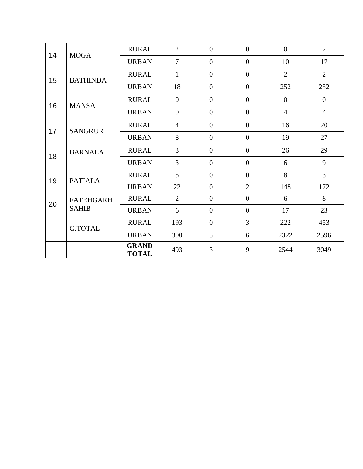| 14 | <b>MOGA</b>      | <b>RURAL</b>                 | $\overline{2}$ | $\overline{0}$ | $\overline{0}$   | $\overline{0}$ | 2              |
|----|------------------|------------------------------|----------------|----------------|------------------|----------------|----------------|
|    |                  | <b>URBAN</b>                 | $\overline{7}$ | $\Omega$       | $\overline{0}$   | 10             | 17             |
| 15 | <b>BATHINDA</b>  | <b>RURAL</b>                 | $\mathbf{1}$   | $\overline{0}$ | $\overline{0}$   | $\overline{2}$ | $\overline{2}$ |
|    |                  | <b>URBAN</b>                 | 18             | $\overline{0}$ | $\overline{0}$   | 252            | 252            |
| 16 | <b>MANSA</b>     | <b>RURAL</b>                 | $\overline{0}$ | $\overline{0}$ | $\overline{0}$   | $\overline{0}$ | $\overline{0}$ |
|    |                  | <b>URBAN</b>                 | $\overline{0}$ | $\overline{0}$ | $\overline{0}$   | $\overline{4}$ | $\overline{4}$ |
| 17 | <b>SANGRUR</b>   | <b>RURAL</b>                 | $\overline{4}$ | $\Omega$       | $\overline{0}$   | 16             | 20             |
|    |                  | <b>URBAN</b>                 | 8              | $\Omega$       | $\overline{0}$   | 19             | 27             |
| 18 | <b>BARNALA</b>   | <b>RURAL</b>                 | $\overline{3}$ | $\overline{0}$ | $\overline{0}$   | 26             | 29             |
|    |                  | <b>URBAN</b>                 | $\overline{3}$ | $\overline{0}$ | $\overline{0}$   | 6              | 9              |
| 19 | <b>PATIALA</b>   | <b>RURAL</b>                 | 5              | $\overline{0}$ | $\boldsymbol{0}$ | 8              | $\overline{3}$ |
|    |                  | <b>URBAN</b>                 | 22             | $\overline{0}$ | $\overline{2}$   | 148            | 172            |
| 20 | <b>FATEHGARH</b> | <b>RURAL</b>                 | $\overline{2}$ | $\overline{0}$ | $\overline{0}$   | 6              | 8              |
|    | <b>SAHIB</b>     | <b>URBAN</b>                 | 6              | $\overline{0}$ | $\overline{0}$   | 17             | 23             |
|    | <b>G.TOTAL</b>   | <b>RURAL</b>                 | 193            | $\overline{0}$ | 3                | 222            | 453            |
|    |                  | <b>URBAN</b>                 | 300            | 3              | 6                | 2322           | 2596           |
|    |                  | <b>GRAND</b><br><b>TOTAL</b> | 493            | 3              | 9                | 2544           | 3049           |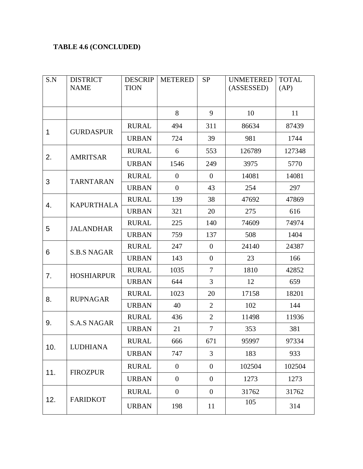### **TABLE 4.6 (CONCLUDED)**

| S.N | <b>DISTRICT</b>    | <b>DESCRIP</b> | <b>METERED</b>   | <b>SP</b>        | <b>UNMETERED</b> | <b>TOTAL</b> |
|-----|--------------------|----------------|------------------|------------------|------------------|--------------|
|     | <b>NAME</b>        | <b>TION</b>    |                  |                  | (ASSESSED)       | (AP)         |
|     |                    |                |                  |                  |                  |              |
|     |                    |                | 8                | 9                | 10               | 11           |
| 1   | <b>GURDASPUR</b>   | <b>RURAL</b>   | 494              | 311              | 86634            | 87439        |
|     |                    | <b>URBAN</b>   | 724              | 39               | 981              | 1744         |
| 2.  | <b>AMRITSAR</b>    | <b>RURAL</b>   | 6                | 553              | 126789           | 127348       |
|     |                    | <b>URBAN</b>   | 1546             | 249              | 3975             | 5770         |
| 3   | <b>TARNTARAN</b>   | <b>RURAL</b>   | $\boldsymbol{0}$ | $\overline{0}$   | 14081            | 14081        |
|     |                    | <b>URBAN</b>   | $\mathbf{0}$     | 43               | 254              | 297          |
| 4.  | <b>KAPURTHALA</b>  | <b>RURAL</b>   | 139              | 38               | 47692            | 47869        |
|     |                    | <b>URBAN</b>   | 321              | 20               | 275              | 616          |
| 5   | <b>JALANDHAR</b>   | <b>RURAL</b>   | 225              | 140              | 74609            | 74974        |
|     |                    | <b>URBAN</b>   | 759              | 137              | 508              | 1404         |
| 6   | <b>S.B.S NAGAR</b> | <b>RURAL</b>   | 247              | $\overline{0}$   | 24140            | 24387        |
|     |                    | <b>URBAN</b>   | 143              | $\overline{0}$   | 23               | 166          |
| 7.  | <b>HOSHIARPUR</b>  | <b>RURAL</b>   | 1035             | $\overline{7}$   | 1810             | 42852        |
|     |                    | <b>URBAN</b>   | 644              | 3                | 12               | 659          |
| 8.  | <b>RUPNAGAR</b>    | <b>RURAL</b>   | 1023             | 20               | 17158            | 18201        |
|     |                    | <b>URBAN</b>   | 40               | $\overline{2}$   | 102              | 144          |
| 9.  | <b>S.A.S NAGAR</b> | <b>RURAL</b>   | 436              | $\overline{2}$   | 11498            | 11936        |
|     |                    | <b>URBAN</b>   | 21               | $\overline{7}$   | 353              | 381          |
| 10. | <b>LUDHIANA</b>    | <b>RURAL</b>   | 666              | 671              | 95997            | 97334        |
|     |                    | <b>URBAN</b>   | 747              | 3                | 183              | 933          |
| 11. | <b>FIROZPUR</b>    | <b>RURAL</b>   | $\boldsymbol{0}$ | $\boldsymbol{0}$ | 102504           | 102504       |
|     |                    | <b>URBAN</b>   | $\overline{0}$   | $\overline{0}$   | 1273             | 1273         |
|     |                    | <b>RURAL</b>   | $\overline{0}$   | $\boldsymbol{0}$ | 31762            | 31762        |
| 12. | <b>FARIDKOT</b>    | <b>URBAN</b>   | 198              | 11               | 105              | 314          |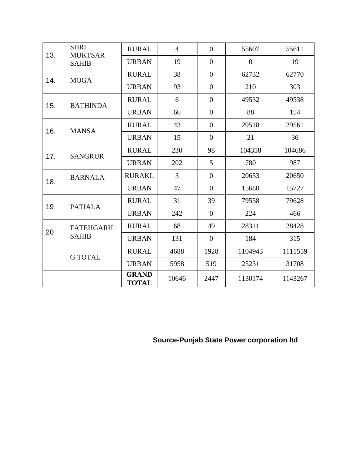|     | <b>SHRI</b><br><b>MUKTSAR</b> | <b>RURAL</b>                 | $\overline{4}$ | $\overline{0}$   | 55607            | 55611   |
|-----|-------------------------------|------------------------------|----------------|------------------|------------------|---------|
| 13. | <b>SAHIB</b>                  | <b>URBAN</b>                 | 19             | $\boldsymbol{0}$ | $\boldsymbol{0}$ | 19      |
| 14. | <b>MOGA</b>                   | <b>RURAL</b>                 | 38             | $\overline{0}$   | 62732            | 62770   |
|     |                               | <b>URBAN</b>                 | 93             | $\overline{0}$   | 210              | 303     |
| 15. | <b>BATHINDA</b>               | <b>RURAL</b>                 | 6              | $\overline{0}$   | 49532            | 49538   |
|     |                               | <b>URBAN</b>                 | 66             | $\boldsymbol{0}$ | 88               | 154     |
| 16. | <b>MANSA</b>                  | <b>RURAL</b>                 | 43             | $\overline{0}$   | 29518            | 29561   |
|     |                               | <b>URBAN</b>                 | 15             | $\overline{0}$   | 21               | 36      |
|     | <b>SANGRUR</b>                | <b>RURAL</b>                 | 230            | 98               | 104358           | 104686  |
| 17. |                               | <b>URBAN</b>                 | 202            | 5                | 780              | 987     |
| 18. | <b>BARNALA</b>                | <b>RURAKL</b>                | $\overline{3}$ | $\overline{0}$   | 20653            | 20650   |
|     |                               | <b>URBAN</b>                 | 47             | $\overline{0}$   | 15680            | 15727   |
| 19  | <b>PATIALA</b>                | <b>RURAL</b>                 | 31             | 39               | 79558            | 79628   |
|     |                               | <b>URBAN</b>                 | 242            | $\overline{0}$   | 224              | 466     |
| 20  | <b>FATEHGARH</b>              | <b>RURAL</b>                 | 68             | 49               | 28311            | 28428   |
|     | <b>SAHIB</b>                  | <b>URBAN</b>                 | 131            | $\overline{0}$   | 184              | 315     |
|     | <b>G.TOTAL</b>                | <b>RURAL</b>                 | 4688           | 1928             | 1104943          | 1111559 |
|     |                               | <b>URBAN</b>                 | 5958           | 519              | 25231            | 31708   |
|     |                               | <b>GRAND</b><br><b>TOTAL</b> | 10646          | 2447             | 1130174          | 1143267 |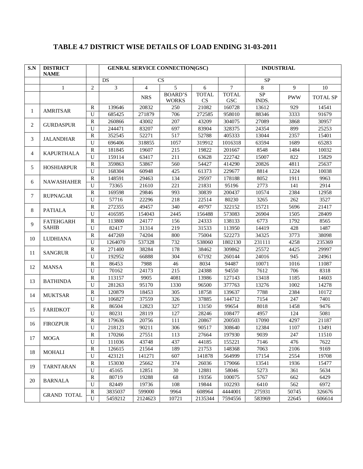| S.N | <b>DISTRICT</b><br><b>NAME</b> |                |                |                | <b>GENRAL SERVICE CONNECTION(GSC)</b> |                    | <b>INDUSTRIAL</b>          |             |            |                 |  |
|-----|--------------------------------|----------------|----------------|----------------|---------------------------------------|--------------------|----------------------------|-------------|------------|-----------------|--|
|     |                                |                | <b>DS</b>      | CS             |                                       |                    |                            |             | SP         |                 |  |
|     | $\mathbf{1}$                   | $\overline{c}$ | $\overline{3}$ | $\overline{4}$ | 5                                     | 6                  | $\overline{7}$             | 8           | 9          | 10              |  |
|     |                                |                |                | <b>NRS</b>     | <b>BOARD'S</b><br><b>WORKS</b>        | <b>TOTAL</b><br>CS | <b>TOTAL</b><br><b>GSC</b> | SP<br>INDS. | <b>PWW</b> | <b>TOTAL SP</b> |  |
|     |                                | $\mathbb{R}$   | 139646         | 20832          | 250                                   | 21082              | 160728                     | 13612       | 929        | 14541           |  |
| 1   | <b>AMRITSAR</b>                | U              | 685425         | 271879         | 706                                   | 272585             | 958010                     | 88346       | 3333       | 91679           |  |
| 2   | <b>GURDASPUR</b>               | $\mathbb{R}$   | 260866         | 43002          | 207                                   | 43209              | 304075                     | 27089       | 3868       | 30957           |  |
|     |                                | U              | 244471         | 83207          | 697                                   | 83904              | 328375                     | 24354       | 899        | 25253           |  |
| 3   | <b>JALANDHAR</b>               | $\mathbb{R}$   | 352545         | 52271          | 517                                   | 52788              | 405333                     | 13044       | 2357       | 15401           |  |
|     |                                | U              | 696406         | 318855         | 1057                                  | 319912             | 1016318                    | 63594       | 1689       | 65283           |  |
| 4   | <b>KAPURTHALA</b>              | $\mathbb{R}$   | 181845         | 19607          | 215                                   | 19822              | 201667                     | 8548        | 1484       | 10032           |  |
|     |                                | U              | 159114         | 63417          | 211                                   | 63628              | 222742                     | 15007       | 822        | 15829           |  |
| 5   | <b>HOSHIARPUR</b>              | $\mathbb{R}$   | 359863         | 53867          | 560                                   | 54427              | 414290                     | 20826       | 4811       | 25637           |  |
|     |                                | U              | 168304         | 60948          | 425                                   | 61373              | 229677                     | 8814        | 1224       | 10038           |  |
| 6   | <b>NAWASHAHER</b>              | $\mathbb{R}$   | 148591         | 29463          | 134                                   | 29597              | 178188                     | 8052        | 1911       | 9963            |  |
|     |                                | $\mathbf U$    | 73365          | 21610          | 221                                   | 21831              | 95196                      | 2773        | 141        | 2914            |  |
| 7   | <b>RUPNAGAR</b>                | $\mathbb{R}$   | 169598         | 29846          | 993                                   | 30839              | 200437                     | 10574       | 2384       | 12958           |  |
|     |                                | $\mathbf U$    | 57716          | 22296          | 218                                   | 22514              | 80230                      | 3265        | 262        | 3527            |  |
| 8   | <b>PATIALA</b>                 | ${\bf R}$      | 272355         | 49457          | 340                                   | 49797              | 322152                     | 15721       | 5696       | 21417           |  |
|     |                                | U              | 416595         | 154043         | 2445                                  | 156488             | 573083                     | 26904       | 1505       | 28409           |  |
| 9   | <b>FATEHGARH</b>               | $\mathbb{R}$   | 113800         | 24177          | 156                                   | 24333              | 138133                     | 6773        | 1792       | 8565            |  |
|     | <b>SAHIB</b>                   | U              | 82417          | 31314          | 219                                   | 31533              | 113950                     | 14419       | 428        | 1487            |  |
| 10  | <b>LUDHIANA</b>                | $\mathbb{R}$   | 447269         | 74204          | 800                                   | 75004              | 522273                     | 34325       | 3773       | 38098           |  |
|     |                                | U              | 1264070        | 537328         | 732                                   | 538060             | 1802130                    | 231111      | 4258       | 235369          |  |
| 11  | <b>SANGRUR</b>                 | $\mathbb{R}$   | 271400         | 38284          | 178                                   | 38462              | 309862                     | 25572       | 4425       | 29997           |  |
|     |                                | $\mathbf U$    | 192952         | 66888          | 304                                   | 67192              | 260144                     | 24016       | 945        | 24961           |  |
| 12  | <b>MANSA</b>                   | ${\bf R}$      | 86453          | 7988           | 46                                    | 8034               | 94487                      | 10071       | 1016       | 11087           |  |
|     |                                | $\mathbf U$    | 70162          | 24173          | 215                                   | 24388              | 94550                      | 7612        | 706        | 8318            |  |
| 13  | <b>BATHINDA</b>                | ${\bf R}$      | 113157         | 9905           | 4081                                  | 13986              | 127143                     | 13418       | 1185       | 14603           |  |
|     |                                | ${\bf U}$      | 281263         | 95170          | 1330                                  | 96500              | 377763                     | 13276       | 1002       | 14278           |  |
| 14  | <b>MUKTSAR</b>                 | ${\bf R}$      | 120879         | 18453          | 305                                   | 18758              | 139637                     | 7788        | 2384       | 10172           |  |
|     |                                | ${\bf U}$      | 106827         | 37559          | 326                                   | 37885              | 144712                     | 7154        | 247        | 7401            |  |
| 15  | <b>FARIDKOT</b>                | $\mathbb{R}$   | 86504          | 12823          | 327                                   | 13150              | 99654                      | 8018        | 1458       | 9476            |  |
|     |                                | U              | 80231          | 28119          | 127                                   | 28246              | 108477                     | 4957        | 124        | 5081            |  |
| 16  | <b>FIROZPUR</b>                | $\mathbb{R}$   | 179636         | 20756          | 111                                   | 20867              | 200503                     | 17090       | 4297       | 21187           |  |
|     |                                | U              | 218123         | 90211          | 306                                   | 90517              | 308640                     | 12384       | 1107       | 13491           |  |
| 17  | <b>MOGA</b>                    | ${\mathbb R}$  | 170266         | 27551          | 113                                   | 27664              | 197930                     | 9039        | 247        | 11510           |  |
|     |                                | U              | 111036         | 43748          | 437                                   | 44185              | 155221                     | 7146        | 476        | 7622            |  |
| 18  | <b>MOHALI</b>                  | ${\bf R}$      | 126615         | 21564          | 189                                   | 21753              | 148368                     | 7063        | 2106       | 9169            |  |
|     |                                | U              | 423121         | 141271         | 607                                   | 141878             | 564999                     | 17154       | 2554       | 19708           |  |
| 19  | <b>TARNTARAN</b>               | ${\bf R}$      | 153030         | 25662          | 374                                   | 26036              | 179066                     | 13541       | 1936       | 15477           |  |
|     |                                | ${\bf U}$      | 45165          | 12851          | $30\,$                                | 12881              | 58046                      | 5273        | 361        | 5634            |  |
| 20  | <b>BARNALA</b>                 | ${\bf R}$      | 80719          | 19288          | 68                                    | 19356              | 100075                     | 5767        | 662        | 6429            |  |
|     |                                | ${\bf U}$      | 82449          | 19736          | 108                                   | 19844              | 102293                     | 6410        | 562        | 6972            |  |
|     | <b>GRAND TOTAL</b>             | ${\bf R}$      | 3835037        | 599000         | 9964                                  | 608964             | 4444001                    | 275931      | 50745      | 326676          |  |
|     |                                | ${\bf U}$      | 5459212        | 2124623        | 10721                                 | 2135344            | 7594556                    | 583969      | 22645      | 606614          |  |

### **TABLE 4.7 DISTRICT WISE DETAILS OF LOAD ENDING 31-03-2011**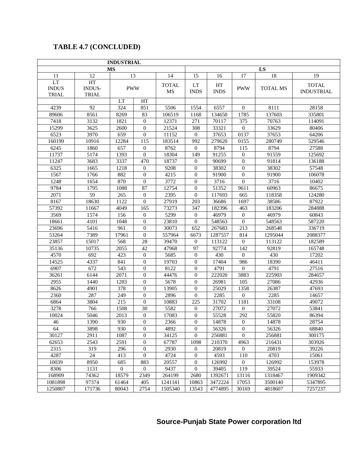### **TABLE 4.7 (CONCLUDED)**

|                                                            |                                               | <b>INDUSTRIAL</b> |                  |                           |                   |                         |                  |                 |                                   |
|------------------------------------------------------------|-----------------------------------------------|-------------------|------------------|---------------------------|-------------------|-------------------------|------------------|-----------------|-----------------------------------|
|                                                            |                                               | <b>MS</b>         |                  |                           | LS                |                         |                  |                 |                                   |
| 11                                                         | 12                                            | 13                |                  | 14                        | 15                | 16                      | 17               | 18              | 19                                |
| $\mathop{\rm LT}\nolimits$<br><b>INDUS</b><br><b>TRIAL</b> | $\operatorname{HT}$<br>INDUS-<br><b>TRIAL</b> | <b>PWW</b>        |                  | <b>TOTAL</b><br><b>MS</b> | LT<br><b>INDS</b> | $\rm HT$<br><b>INDS</b> | <b>PWW</b>       | <b>TOTAL MS</b> | <b>TOTAL</b><br><b>INDUSTRIAL</b> |
|                                                            |                                               | LT                | HT               |                           |                   |                         |                  |                 |                                   |
| 4239                                                       | 92                                            | 324               | 851              | 5506                      | 1554              | 6557                    | $\overline{0}$   | 8111            | 28158                             |
| 89606                                                      | 8561                                          | 8269              | 83               | 106519                    | 1168              | 134650                  | 1785             | 137603          | 335801                            |
| 7418                                                       | 3132                                          | 1821              | $\mathbf{0}$     | 12371                     | 271               | 70117                   | 375              | 70763           | 114091                            |
| 15299                                                      | 3625                                          | 2600              | $\mathbf{0}$     | 21524                     | 308               | 33321                   | $\boldsymbol{0}$ | 33629           | 80406                             |
| 6523                                                       | 3970                                          | 659               | $\overline{0}$   | 11152                     | $\overline{0}$    | 37653                   | 0137             | 37653           | 64206                             |
| 160199                                                     | 10916                                         | 12284             | 115              | 183514                    | 992               | 279620                  | 0155             | 280749          | 529546                            |
| 6245                                                       | 1860                                          | 657               | $\overline{0}$   | 8762                      | $\overline{0}$    | 8794                    | 115              | 8794            | 27588                             |
| 11737                                                      | 5174                                          | 1393              | $\theta$         | 18304                     | 149               | 91255                   | $\mathbf{0}$     | 91559           | 125692                            |
| 11247                                                      | 3683                                          | 3337              | 470              | 18737                     | $\overline{0}$    | 90699                   | $\mathbf{0}$     | 91814           | 136188                            |
| 6325                                                       | 1665                                          | 1218              | $\overline{0}$   | 9208                      | $\theta$          | 38302                   | $\Omega$         | 38302           | 57548                             |
| 1567                                                       | 1766                                          | 882               | $\overline{0}$   | 4215                      | $\theta$          | 91900                   | $\boldsymbol{0}$ | 91900           | 106078                            |
| 1248                                                       | 1654                                          | 870               | $\Omega$         | 3772                      | $\overline{0}$    | 3716                    | $\overline{0}$   | 3716            | 10402                             |
| 9784                                                       | 1795                                          | 1088              | 87               | 12754                     | $\boldsymbol{0}$  | 51352                   | 9611             | 60963           | 86675                             |
| 2071                                                       | 59                                            | 265               | $\overline{0}$   | 2395                      | $\overline{0}$    | 117693                  | 665              | 118358          | 124280                            |
| 8167                                                       | 18630                                         | 1122              | $\overline{0}$   | 27919                     | 203               | 36686                   | 1697             | 38586           | 87922                             |
| 57392                                                      | 11667                                         | 4049              | 165              | 73273                     | 347               | 182396                  | 463              | 183206          | 284888                            |
| 3569                                                       | 1574                                          | 156               | $\mathbf{0}$     | 5299                      | $\boldsymbol{0}$  | 46979                   | $\boldsymbol{0}$ | 46979           | 60843                             |
| 18661                                                      | 4101                                          | 1048              | $\mathbf{0}$     | 23810                     | $\overline{0}$    | 548563                  | $\mathbf{0}$     | 548563          | 587220                            |
| 23696                                                      | 5416                                          | 961               | $\mathbf{0}$     | 30073                     | 652               | 267683                  | 213              | 268548          | 336719                            |
| 53264                                                      | 7389                                          | 17961             | $\mathbf{0}$     | 557964                    | 6673              | 1287557                 | 814              | 1295044         | 2088377                           |
| 23857                                                      | 15017                                         | 568               | 28               | 39470                     | $\overline{0}$    | 113122                  | $\mathbf{0}$     | 113122          | 182589                            |
| 35136                                                      | 10735                                         | 2055              | 42               | 47968                     | 97                | 92774                   | 142              | 92819           | 165748                            |
| 4570                                                       | 692                                           | 423               | $\overline{0}$   | 5685                      | $\overline{0}$    | 430                     | $\mathbf{0}$     | 430             | 17202                             |
| 14525                                                      | 4337                                          | 841               | $\overline{0}$   | 19703                     | $\theta$          | 17404                   | 986              | 18390           | 46411                             |
| 6907                                                       | 672                                           | 543               | $\theta$         | 8122                      | $\theta$          | 4791                    | $\mathbf{0}$     | 4791            | 27516                             |
| 36261                                                      | 6144                                          | 2071              | $\overline{0}$   | 44476                     | $\overline{0}$    | 222020                  | 3883             | 225903          | 284657                            |
| 2955                                                       | 1440                                          | 1283              | $\overline{0}$   | 5678                      | $\theta$          | 26981                   | 105              | 27086           | 42936                             |
| 8626                                                       | 4901                                          | 378               | $\overline{0}$   | 13905                     | $\boldsymbol{0}$  | 25029                   | 1358             | 26387           | 47693                             |
| 2360                                                       | 287                                           | 249               | $\mathbf{0}$     | 2896                      | $\theta$          | 2285                    | $\Omega$         | 2285            | 14657                             |
| 6864                                                       | 3804                                          | 215               | $\mathbf{0}$     | 10883                     | 225               | 31702                   | 1181             | 33108           | 49072                             |
| 3278                                                       | 766                                           | 1508              | 30               | 5582                      | $\overline{0}$    | 27072                   | $\Omega$         | 27072           | 53841                             |
| 10024                                                      | 5046                                          | 2013              | $\boldsymbol{0}$ | 17083                     | $\boldsymbol{0}$  | 55528                   | 292              | 55820           | 86394                             |
| $46\,$                                                     | 1390                                          | 930               | $\Omega$         | 2366                      | $\Omega$          | 14878                   | $\boldsymbol{0}$ | 14878           | 28754                             |
| 64                                                         | 3898                                          | 930               | $\mathbf{0}$     | 4892                      | $\boldsymbol{0}$  | 56326                   | $\boldsymbol{0}$ | 56326           | 68840                             |
| 30127                                                      | 2911                                          | 1087              | $\mathbf{0}$     | 34125                     | $\overline{0}$    | 256881                  | $\theta$         | 256881          | 300175                            |
| 62653                                                      | 2543                                          | 2591              | $\overline{0}$   | 67787                     | 1098              | 210370                  | 4963             | 216431          | 303926                            |
| 2315                                                       | 319                                           | 296               | $\mathbf{0}$     | 2930                      | 0                 | 20819                   | $\theta$         | 20819           | 39226                             |
| 4287                                                       | 24                                            | 413               | $\theta$         | 4724                      | $\boldsymbol{0}$  | 4593                    | 110              | 4703            | 15061                             |
| 10039                                                      | 8950                                          | 685               | 883              | 20557                     | $\boldsymbol{0}$  | 126992                  | $\mathbf{0}$     | 126992          | 153978                            |
| 8306                                                       | 1131                                          | $\boldsymbol{0}$  | $\mathbf{0}$     | 9437                      | $\boldsymbol{0}$  | 39405                   | 119              | 39524           | 55933                             |
| 168909                                                     | 74362                                         | 18579             | 2349             | 264199                    | 2680              | 1392671                 | 13116            | 1318467         | 1909342                           |
| 1081898                                                    | 97374                                         | 61464             | 405              | 1241141                   | 10863             | 3472224                 | 17053            | 3500140         | 5347895                           |
| 1250807                                                    | 171736                                        | 80043             | 2754             | 1505340                   | 13543             | 4774895                 | 30169            | 4818607         | 7257237                           |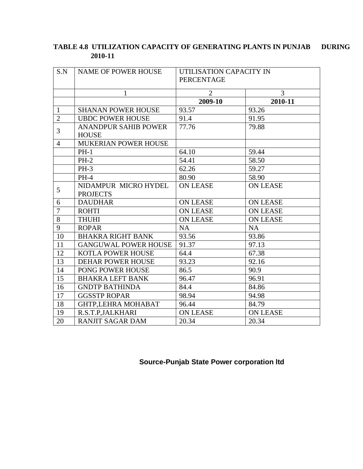### TABLE 4.8 UTILIZATION CAPACITY OF GENERATING PLANTS IN PUNJAB DURING **2010-11**

| S.N            | NAME OF POWER HOUSE                         | UTILISATION CAPACITY IN |                 |  |  |
|----------------|---------------------------------------------|-------------------------|-----------------|--|--|
|                |                                             | <b>PERCENTAGE</b>       |                 |  |  |
|                | $\mathbf{1}$                                | $\overline{2}$          | 3               |  |  |
|                |                                             | 2009-10                 | 2010-11         |  |  |
| $\mathbf{1}$   | <b>SHANAN POWER HOUSE</b>                   | 93.57                   | 93.26           |  |  |
| $\overline{2}$ | <b>UBDC POWER HOUSE</b>                     | 91.4                    | 91.95           |  |  |
| 3              | <b>ANANDPUR SAHIB POWER</b><br><b>HOUSE</b> | 77.76                   | 79.88           |  |  |
| $\overline{4}$ | <b>MUKERIAN POWER HOUSE</b>                 |                         |                 |  |  |
|                | $PH-1$                                      | 64.10                   | 59.44           |  |  |
|                | $PH-2$                                      | 54.41                   | 58.50           |  |  |
|                | $PH-3$                                      | 62.26                   | 59.27           |  |  |
|                | $PH-4$                                      | 80.90                   | 58.90           |  |  |
| 5              | NIDAMPUR MICRO HYDEL<br><b>PROJECTS</b>     | <b>ON LEASE</b>         | <b>ON LEASE</b> |  |  |
| 6              | <b>DAUDHAR</b>                              | <b>ON LEASE</b>         | <b>ON LEASE</b> |  |  |
| $\overline{7}$ | <b>ROHTI</b>                                | <b>ON LEASE</b>         | <b>ON LEASE</b> |  |  |
| 8              | <b>THUHI</b>                                | <b>ON LEASE</b>         | <b>ON LEASE</b> |  |  |
| 9              | <b>ROPAR</b>                                | <b>NA</b>               | <b>NA</b>       |  |  |
| 10             | <b>BHAKRA RIGHT BANK</b>                    | 93.56                   | 93.86           |  |  |
| 11             | <b>GANGUWAL POWER HOUSE</b>                 | 91.37                   | 97.13           |  |  |
| 12             | KOTLA POWER HOUSE                           | 64.4                    | 67.38           |  |  |
| 13             | <b>DEHAR POWER HOUSE</b>                    | 93.23                   | 92.16           |  |  |
| 14             | PONG POWER HOUSE                            | 86.5                    | 90.9            |  |  |
| 15             | <b>BHAKRA LEFT BANK</b>                     | 96.47                   | 96.91           |  |  |
| 16             | <b>GNDTP BATHINDA</b>                       | 84.4                    | 84.86           |  |  |
| 17             | <b>GGSSTP ROPAR</b>                         | 98.94                   | 94.98           |  |  |
| 18             | <b>GHTP, LEHRA MOHABAT</b>                  | 96.44                   | 84.79           |  |  |
| 19             | R.S.T.P, JALKHARI                           | <b>ON LEASE</b>         | <b>ON LEASE</b> |  |  |
| 20             | <b>RANJIT SAGAR DAM</b>                     | 20.34                   | 20.34           |  |  |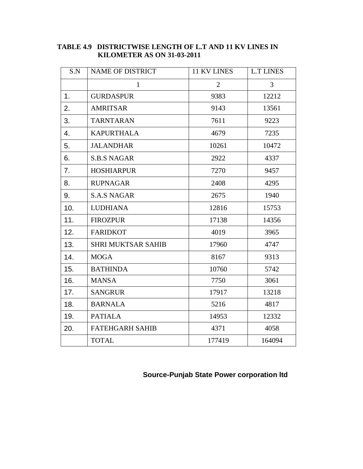| S.N            | <b>NAME OF DISTRICT</b>   | 11 KV LINES    | <b>L.T LINES</b> |
|----------------|---------------------------|----------------|------------------|
|                | $\mathbf{1}$              | $\overline{2}$ | $\overline{3}$   |
| 1.             | <b>GURDASPUR</b>          | 9383           | 12212            |
| 2.             | <b>AMRITSAR</b>           | 9143           | 13561            |
| 3.             | <b>TARNTARAN</b>          | 7611           | 9223             |
| 4.             | <b>KAPURTHALA</b>         | 4679           | 7235             |
| 5.             | <b>JALANDHAR</b>          | 10261          | 10472            |
| 6.             | <b>S.B.S NAGAR</b>        | 2922           | 4337             |
| 7 <sub>1</sub> | <b>HOSHIARPUR</b>         | 7270           | 9457             |
| 8.             | <b>RUPNAGAR</b>           | 2408           | 4295             |
| 9.             | <b>S.A.S NAGAR</b>        | 2675           | 1940             |
| 10.            | <b>LUDHIANA</b>           | 12816          | 15753            |
| 11.            | <b>FIROZPUR</b>           | 17138          | 14356            |
| 12.            | <b>FARIDKOT</b>           | 4019           | 3965             |
| 13.            | <b>SHRI MUKTSAR SAHIB</b> | 17960          | 4747             |
| 14.            | <b>MOGA</b>               | 8167           | 9313             |
| 15.            | <b>BATHINDA</b>           | 10760          | 5742             |
| 16.            | <b>MANSA</b>              | 7750           | 3061             |
| 17.            | <b>SANGRUR</b>            | 17917          | 13218            |
| 18.            | <b>BARNALA</b>            | 5216           | 4817             |
| 19.            | <b>PATIALA</b>            | 14953          | 12332            |
| 20.            | <b>FATEHGARH SAHIB</b>    | 4371           | 4058             |
|                | <b>TOTAL</b>              | 177419         | 164094           |

#### **TABLE 4.9 DISTRICTWISE LENGTH OF L.T AND 11 KV LINES IN KILOMETER AS ON 31-03-2011**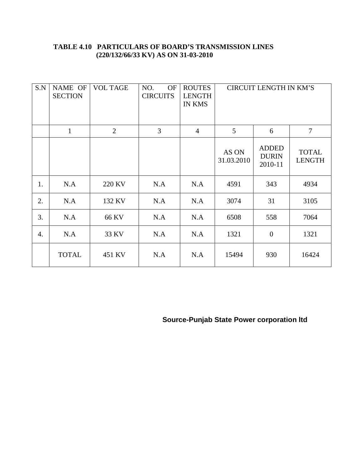### **TABLE 4.10 PARTICULARS OF BOARD'S TRANSMISSION LINES (220/132/66/33 KV) AS ON 31-03-2010**

| S.N | NAME OF<br><b>SECTION</b> | <b>VOL TAGE</b> | <b>OF</b><br>NO.<br><b>CIRCUITS</b> | <b>ROUTES</b><br><b>LENGTH</b><br><b>IN KMS</b> |                     | <b>CIRCUIT LENGTH IN KM'S</b>           |                               |
|-----|---------------------------|-----------------|-------------------------------------|-------------------------------------------------|---------------------|-----------------------------------------|-------------------------------|
|     | $\mathbf{1}$              | $\overline{2}$  | $\overline{3}$                      | $\overline{4}$                                  | 5                   | 6                                       | $\overline{7}$                |
|     |                           |                 |                                     |                                                 | AS ON<br>31.03.2010 | <b>ADDED</b><br><b>DURIN</b><br>2010-11 | <b>TOTAL</b><br><b>LENGTH</b> |
| 1.  | N.A                       | 220 KV          | N.A                                 | N.A                                             | 4591                | 343                                     | 4934                          |
| 2.  | N.A                       | 132 KV          | N.A                                 | N.A                                             | 3074                | 31                                      | 3105                          |
| 3.  | N.A                       | 66 KV           | N.A                                 | N.A                                             | 6508                | 558                                     | 7064                          |
| 4.  | N.A                       | 33 KV           | N.A                                 | N.A                                             | 1321                | $\overline{0}$                          | 1321                          |
|     | <b>TOTAL</b>              | 451 KV          | N.A                                 | N.A                                             | 15494               | 930                                     | 16424                         |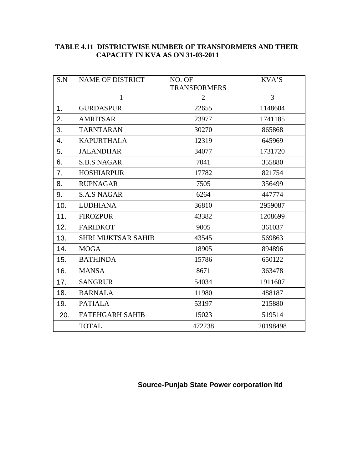| <b>TABLE 4.11 DISTRICTWISE NUMBER OF TRANSFORMERS AND THEIR</b> |
|-----------------------------------------------------------------|
| CAPACITY IN KVA AS ON 31-03-2011                                |

| S.N           | <b>NAME OF DISTRICT</b>   | NO. OF<br><b>TRANSFORMERS</b> | KVA'S          |
|---------------|---------------------------|-------------------------------|----------------|
|               | $\mathbf{1}$              | $\overline{2}$                | $\overline{3}$ |
| $\mathbf 1$ . | <b>GURDASPUR</b>          | 22655                         | 1148604        |
| 2.            | <b>AMRITSAR</b>           | 23977                         | 1741185        |
| 3.            | <b>TARNTARAN</b>          | 30270                         | 865868         |
| 4.            | <b>KAPURTHALA</b>         | 12319                         | 645969         |
| 5.            | <b>JALANDHAR</b>          | 34077                         | 1731720        |
| 6.            | <b>S.B.S NAGAR</b>        | 7041                          | 355880         |
| 7.            | <b>HOSHIARPUR</b>         | 17782                         | 821754         |
| 8.            | <b>RUPNAGAR</b>           | 7505                          | 356499         |
| 9.            | <b>S.A.S NAGAR</b>        | 6264                          | 447774         |
| 10.           | <b>LUDHIANA</b>           | 36810                         | 2959087        |
| 11.           | <b>FIROZPUR</b>           | 43382                         | 1208699        |
| 12.           | <b>FARIDKOT</b>           | 9005                          | 361037         |
| 13.           | <b>SHRI MUKTSAR SAHIB</b> | 43545                         | 569863         |
| 14.           | <b>MOGA</b>               | 18905                         | 894896         |
| 15.           | <b>BATHINDA</b>           | 15786                         | 650122         |
| 16.           | <b>MANSA</b>              | 8671                          | 363478         |
| 17.           | <b>SANGRUR</b>            | 54034                         | 1911607        |
| 18.           | <b>BARNALA</b>            | 11980                         | 488187         |
| 19.           | <b>PATIALA</b>            | 53197                         | 215880         |
| 20.           | <b>FATEHGARH SAHIB</b>    | 15023                         | 519514         |
|               | <b>TOTAL</b>              | 472238                        | 20198498       |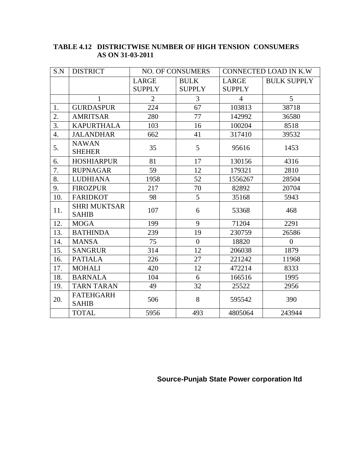| S.N              | <b>DISTRICT</b>                     |                | <b>NO. OF CONSUMERS</b> | CONNECTED LOAD IN K.W |                    |  |
|------------------|-------------------------------------|----------------|-------------------------|-----------------------|--------------------|--|
|                  |                                     | <b>LARGE</b>   | <b>BULK</b>             | <b>LARGE</b>          | <b>BULK SUPPLY</b> |  |
|                  |                                     | <b>SUPPLY</b>  | <b>SUPPLY</b>           | <b>SUPPLY</b>         |                    |  |
|                  | $\mathbf{1}$                        | $\overline{2}$ | $\overline{3}$          | $\overline{4}$        | 5                  |  |
| 1.               | <b>GURDASPUR</b>                    | 224            | 67                      | 103813                | 38718              |  |
| 2.               | <b>AMRITSAR</b>                     | 280            | 77                      | 142992                | 36580              |  |
| 3.               | <b>KAPURTHALA</b>                   | 103            | 16                      | 100204                | 8518               |  |
| $\overline{4}$ . | <b>JALANDHAR</b>                    | 662            | 41                      | 317410                | 39532              |  |
| 5.               | <b>NAWAN</b><br><b>SHEHER</b>       | 35             | 5                       | 95616                 | 1453               |  |
| 6.               | <b>HOSHIARPUR</b>                   | 81             | 17                      | 130156                | 4316               |  |
| 7.               | <b>RUPNAGAR</b>                     | 59             | 12                      | 179321                | 2810               |  |
| 8.               | <b>LUDHIANA</b>                     | 1958           | 52                      | 1556267               | 28504              |  |
| 9.               | <b>FIROZPUR</b>                     | 217            | 70                      | 82892                 | 20704              |  |
| 10.              | <b>FARIDKOT</b>                     | 98             | 5                       | 35168                 | 5943               |  |
| 11.              | <b>SHRI MUKTSAR</b><br><b>SAHIB</b> | 107            | 6                       | 53368                 | 468                |  |
| 12.              | <b>MOGA</b>                         | 199            | 9                       | 71204                 | 2291               |  |
| 13.              | <b>BATHINDA</b>                     | 239            | 19                      | 230759                | 26586              |  |
| 14.              | <b>MANSA</b>                        | 75             | $\overline{0}$          | 18820                 | $\overline{0}$     |  |
| 15.              | <b>SANGRUR</b>                      | 314            | 12                      | 206038                | 1879               |  |
| 16.              | <b>PATIALA</b>                      | 226            | 27                      | 221242                | 11968              |  |
| 17.              | <b>MOHALI</b>                       | 420            | 12                      | 472214                | 8333               |  |
| 18.              | <b>BARNALA</b>                      | 104            | 6                       | 166516                | 1995               |  |
| 19.              | <b>TARN TARAN</b>                   | 49             | 32                      | 25522                 | 2956               |  |
| 20.              | <b>FATEHGARH</b><br><b>SAHIB</b>    | 506            | 8                       | 595542                | 390                |  |
|                  | <b>TOTAL</b>                        | 5956           | 493                     | 4805064               | 243944             |  |

### **TABLE 4.12 DISTRICTWISE NUMBER OF HIGH TENSION CONSUMERS AS ON 31-03-2011**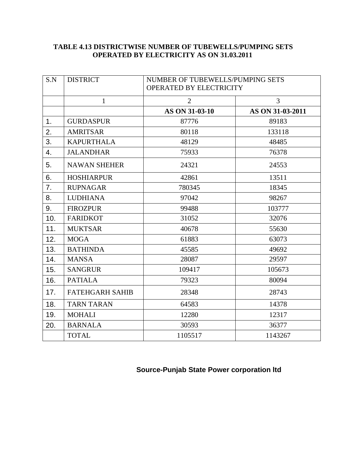### **TABLE 4.13 DISTRICTWISE NUMBER OF TUBEWELLS/PUMPING SETS OPERATED BY ELECTRICITY AS ON 31.03.2011**

| S.N | <b>DISTRICT</b>        | NUMBER OF TUBEWELLS/PUMPING SETS<br>OPERATED BY ELECTRICITY |                  |  |  |
|-----|------------------------|-------------------------------------------------------------|------------------|--|--|
|     | $\mathbf{1}$           | 2                                                           | $\overline{3}$   |  |  |
|     |                        | AS ON 31-03-10                                              | AS ON 31-03-2011 |  |  |
| 1.  | <b>GURDASPUR</b>       | 87776                                                       | 89183            |  |  |
| 2.  | <b>AMRITSAR</b>        | 80118                                                       | 133118           |  |  |
| 3.  | <b>KAPURTHALA</b>      | 48129                                                       | 48485            |  |  |
| 4.  | <b>JALANDHAR</b>       | 75933                                                       | 76378            |  |  |
| 5.  | <b>NAWAN SHEHER</b>    | 24321                                                       | 24553            |  |  |
| 6.  | <b>HOSHIARPUR</b>      | 42861                                                       | 13511            |  |  |
| 7.  | <b>RUPNAGAR</b>        | 780345                                                      | 18345            |  |  |
| 8.  | <b>LUDHIANA</b>        | 97042                                                       | 98267            |  |  |
| 9.  | <b>FIROZPUR</b>        | 99488                                                       | 103777           |  |  |
| 10. | <b>FARIDKOT</b>        | 31052                                                       | 32076            |  |  |
| 11. | <b>MUKTSAR</b>         | 40678                                                       | 55630            |  |  |
| 12. | <b>MOGA</b>            | 61883                                                       | 63073            |  |  |
| 13. | <b>BATHINDA</b>        | 45585                                                       | 49692            |  |  |
| 14. | <b>MANSA</b>           | 28087                                                       | 29597            |  |  |
| 15. | <b>SANGRUR</b>         | 109417                                                      | 105673           |  |  |
| 16. | <b>PATIALA</b>         | 79323                                                       | 80094            |  |  |
| 17. | <b>FATEHGARH SAHIB</b> | 28348                                                       | 28743            |  |  |
| 18. | <b>TARN TARAN</b>      | 64583                                                       | 14378            |  |  |
| 19. | <b>MOHALI</b>          | 12280                                                       | 12317            |  |  |
| 20. | <b>BARNALA</b>         | 30593                                                       | 36377            |  |  |
|     | <b>TOTAL</b>           | 1105517                                                     | 1143267          |  |  |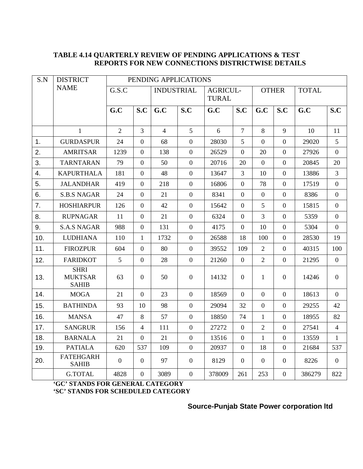### **TABLE 4.14 QUARTERLY REVIEW OF PENDING APPLICATIONS & TEST REPORTS FOR NEW CONNECTIONS DISTRICTWISE DETAILS**

| S.N | <b>DISTRICT</b>                               |                | PENDING APPLICATIONS |                   |                  |                          |                |                |                  |              |                  |
|-----|-----------------------------------------------|----------------|----------------------|-------------------|------------------|--------------------------|----------------|----------------|------------------|--------------|------------------|
|     | <b>NAME</b>                                   | G.S.C          |                      | <b>INDUSTRIAL</b> |                  | AGRICUL-<br><b>TURAL</b> |                | <b>OTHER</b>   |                  | <b>TOTAL</b> |                  |
|     |                                               | G.C            | S.C                  | G.C               | S.C              | G.C                      | S.C            | G.C            | S.C              | G.C          | S.C              |
|     |                                               |                |                      |                   |                  |                          |                |                |                  |              |                  |
|     | $\mathbf{1}$                                  | $\overline{2}$ | $\overline{3}$       | $\overline{4}$    | 5                | 6                        | $\overline{7}$ | 8              | 9                | 10           | 11               |
| 1.  | <b>GURDASPUR</b>                              | 24             | $\overline{0}$       | 68                | $\overline{0}$   | 28030                    | 5              | $\overline{0}$ | $\overline{0}$   | 29020        | 5                |
| 2.  | <b>AMRITSAR</b>                               | 1239           | $\Omega$             | 138               | $\overline{0}$   | 26529                    | $\Omega$       | 20             | $\mathbf{0}$     | 27926        | $\overline{0}$   |
| 3.  | <b>TARNTARAN</b>                              | 79             | $\boldsymbol{0}$     | 50                | $\overline{0}$   | 20716                    | 20             | $\Omega$       | $\mathbf{0}$     | 20845        | 20               |
| 4.  | <b>KAPURTHALA</b>                             | 181            | $\theta$             | 48                | $\mathbf{0}$     | 13647                    | 3              | 10             | $\overline{0}$   | 13886        | 3                |
| 5.  | <b>JALANDHAR</b>                              | 419            | $\overline{0}$       | 218               | $\mathbf{0}$     | 16806                    | $\overline{0}$ | 78             | $\mathbf{0}$     | 17519        | $\overline{0}$   |
| 6.  | <b>S.B.S NAGAR</b>                            | 24             | $\overline{0}$       | 21                | $\boldsymbol{0}$ | 8341                     | $\overline{0}$ | $\overline{0}$ | $\boldsymbol{0}$ | 8386         | $\overline{0}$   |
| 7.  | <b>HOSHIARPUR</b>                             | 126            | $\overline{0}$       | 42                | $\overline{0}$   | 15642                    | $\Omega$       | 5              | $\mathbf{0}$     | 15815        | $\boldsymbol{0}$ |
| 8.  | <b>RUPNAGAR</b>                               | 11             | $\overline{0}$       | 21                | $\overline{0}$   | 6324                     | $\overline{0}$ | $\overline{3}$ | $\overline{0}$   | 5359         | $\overline{0}$   |
| 9.  | <b>S.A.S NAGAR</b>                            | 988            | $\mathbf{0}$         | 131               | $\overline{0}$   | 4175                     | $\overline{0}$ | 10             | $\mathbf{0}$     | 5304         | $\mathbf{0}$     |
| 10. | <b>LUDHIANA</b>                               | 110            | $\mathbf{1}$         | 1732              | $\mathbf{0}$     | 26588                    | 18             | 100            | $\mathbf{0}$     | 28530        | 19               |
| 11. | <b>FIROZPUR</b>                               | 604            | $\overline{0}$       | 80                | $\overline{0}$   | 39552                    | 109            | $\overline{2}$ | $\overline{0}$   | 40315        | 100              |
| 12. | <b>FARIDKOT</b>                               | 5              | $\overline{0}$       | 28                | $\overline{0}$   | 21260                    | $\mathbf{0}$   | $\overline{2}$ | $\mathbf{0}$     | 21295        | $\overline{0}$   |
| 13. | <b>SHRI</b><br><b>MUKTSAR</b><br><b>SAHIB</b> | 63             | $\Omega$             | 50                | $\overline{0}$   | 14132                    | $\Omega$       | $\mathbf{1}$   | $\mathbf{0}$     | 14246        | $\overline{0}$   |
| 14. | <b>MOGA</b>                                   | 21             | $\overline{0}$       | 23                | $\mathbf{0}$     | 18569                    | $\overline{0}$ | $\overline{0}$ | $\overline{0}$   | 18613        | $\overline{0}$   |
| 15. | <b>BATHINDA</b>                               | 93             | 10                   | 98                | $\overline{0}$   | 29094                    | 32             | $\overline{0}$ | $\mathbf{0}$     | 29255        | 42               |
| 16. | <b>MANSA</b>                                  | 47             | 8                    | 57                | $\boldsymbol{0}$ | 18850                    | 74             | $\mathbf{1}$   | $\boldsymbol{0}$ | 18955        | 82               |
| 17. | <b>SANGRUR</b>                                | 156            | $\overline{4}$       | 111               | $\overline{0}$   | 27272                    | $\mathbf{0}$   | $\overline{2}$ | $\boldsymbol{0}$ | 27541        | $\overline{4}$   |
| 18. | <b>BARNALA</b>                                | 21             | $\mathbf{0}$         | 21                | $\overline{0}$   | 13516                    | $\overline{0}$ | $\mathbf{1}$   | $\mathbf{0}$     | 13559        | $\mathbf{1}$     |
| 19. | <b>PATIALA</b>                                | 620            | 537                  | 109               | $\overline{0}$   | 20937                    | $\overline{0}$ | 18             | $\mathbf{0}$     | 21684        | 537              |
| 20. | <b>FATEHGARH</b><br><b>SAHIB</b>              | $\overline{0}$ | $\overline{0}$       | 97                | $\overline{0}$   | 8129                     | $\theta$       | $\overline{0}$ | $\overline{0}$   | 8226         | $\overline{0}$   |
|     | <b>G.TOTAL</b>                                | 4828           | $\overline{0}$       | 3089              | $\overline{0}$   | 378009                   | 261            | 253            | $\mathbf{0}$     | 386279       | 822              |

**'GC' STANDS FOR GENERAL CATEGORY 'SC' STANDS FOR SCHEDULED CATEGORY**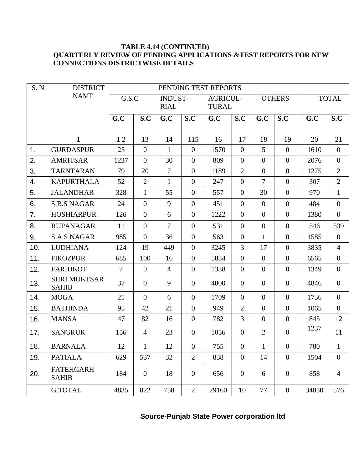### **TABLE 4.14 (CONTINUED) QUARTERLY REVIEW OF PENDING APPLICATIONS &TEST REPORTS FOR NEW CONNECTIONS DISTRICTWISE DETAILS**

| S. N | <b>DISTRICT</b>                     | PENDING TEST REPORTS |                |                               |                  |                          |                |                |                  |              |                |
|------|-------------------------------------|----------------------|----------------|-------------------------------|------------------|--------------------------|----------------|----------------|------------------|--------------|----------------|
|      | <b>NAME</b>                         | G.S.C                |                | <b>INDUST-</b><br><b>RIAL</b> |                  | AGRICUL-<br><b>TURAL</b> |                | <b>OTHERS</b>  |                  | <b>TOTAL</b> |                |
|      |                                     | G.C                  | S.C            | G.C                           | S.C              | G.C                      | S.C            | G.C            | S.C              | G.C          | S.C            |
|      |                                     |                      |                |                               |                  |                          |                |                |                  |              |                |
|      | $\mathbf{1}$                        | 12                   | 13             | 14                            | 115              | 16                       | 17             | 18             | 19               | 20           | 21             |
| 1.   | <b>GURDASPUR</b>                    | 25                   | $\overline{0}$ | $\mathbf{1}$                  | $\overline{0}$   | 1570                     | $\overline{0}$ | 5 <sup>5</sup> | $\theta$         | 1610         | $\overline{0}$ |
| 2.   | <b>AMRITSAR</b>                     | 1237                 | $\overline{0}$ | 30                            | $\overline{0}$   | 809                      | $\overline{0}$ | $\theta$       | $\theta$         | 2076         | $\overline{0}$ |
| 3.   | <b>TARNTARAN</b>                    | 79                   | 20             | $\overline{7}$                | $\overline{0}$   | 1189                     | $\overline{2}$ | $\theta$       | $\overline{0}$   | 1275         | 2              |
| 4.   | <b>KAPURTHALA</b>                   | 52                   | 2              | $\mathbf{1}$                  | $\overline{0}$   | 247                      | $\overline{0}$ | $\overline{7}$ | $\overline{0}$   | 307          | 2              |
| 5.   | <b>JALANDHAR</b>                    | 328                  | $\mathbf{1}$   | 55                            | $\overline{0}$   | 557                      | $\overline{0}$ | 30             | $\overline{0}$   | 970          | $\mathbf{1}$   |
| 6.   | <b>S.B.S NAGAR</b>                  | 24                   | $\overline{0}$ | 9                             | $\overline{0}$   | 451                      | $\overline{0}$ | $\theta$       | $\overline{0}$   | 484          | $\overline{0}$ |
| 7.   | <b>HOSHIARPUR</b>                   | 126                  | $\overline{0}$ | 6                             | $\mathbf{0}$     | 1222                     | $\overline{0}$ | $\theta$       | $\overline{0}$   | 1380         | $\overline{0}$ |
| 8.   | <b>RUPANAGAR</b>                    | 11                   | $\overline{0}$ | $\overline{7}$                | $\overline{0}$   | 531                      | $\overline{0}$ | $\theta$       | $\overline{0}$   | 546          | 539            |
| 9.   | <b>S.A.S NAGAR</b>                  | 985                  | $\overline{0}$ | 36                            | $\overline{0}$   | 563                      | $\overline{0}$ | 1              | $\overline{0}$   | 1585         | $\overline{0}$ |
| 10.  | <b>LUDHIANA</b>                     | 124                  | 19             | 449                           | $\overline{0}$   | 3245                     | 3              | 17             | $\overline{0}$   | 3835         | $\overline{4}$ |
| 11.  | <b>FIROZPUR</b>                     | 685                  | 100            | 16                            | $\overline{0}$   | 5884                     | $\overline{0}$ | $\overline{0}$ | $\overline{0}$   | 6565         | $\overline{0}$ |
| 12.  | <b>FARIDKOT</b>                     | $\tau$               | $\overline{0}$ | $\overline{4}$                | $\overline{0}$   | 1338                     | $\overline{0}$ | $\overline{0}$ | $\mathbf{0}$     | 1349         | $\overline{0}$ |
| 13.  | <b>SHRI MUKTSAR</b><br><b>SAHIB</b> | 37                   | $\overline{0}$ | 9                             | $\overline{0}$   | 4800                     | $\overline{0}$ | $\theta$       | $\theta$         | 4846         | $\overline{0}$ |
| 14.  | <b>MOGA</b>                         | 21                   | $\overline{0}$ | 6                             | $\overline{0}$   | 1709                     | $\overline{0}$ | $\overline{0}$ | $\overline{0}$   | 1736         | $\overline{0}$ |
| 15.  | <b>BATHINDA</b>                     | 95                   | 42             | 21                            | $\overline{0}$   | 949                      | $\overline{2}$ | $\overline{0}$ | $\boldsymbol{0}$ | 1065         | $\overline{0}$ |
| 16.  | <b>MANSA</b>                        | 47                   | 82             | 16                            | $\overline{0}$   | 782                      | $\overline{3}$ | $\overline{0}$ | $\mathbf{0}$     | 845          | 12             |
| 17.  | <b>SANGRUR</b>                      | 156                  | $\overline{4}$ | 23                            | $\overline{0}$   | 1056                     | $\overline{0}$ | $\overline{2}$ | $\mathbf{0}$     | 1237         | 11             |
| 18.  | <b>BARNALA</b>                      | 12                   | 1              | 12                            | $\boldsymbol{0}$ | 755                      | $\mathbf{0}$   |                | $\boldsymbol{0}$ | 780          | $\mathbf{1}$   |
| 19.  | <b>PATIALA</b>                      | 629                  | 537            | 32                            | 2                | 838                      | $\overline{0}$ | 14             | $\mathbf{0}$     | 1504         | $\overline{0}$ |
| 20.  | <b>FATEHGARH</b><br><b>SAHIB</b>    | 184                  | $\overline{0}$ | 18                            | $\boldsymbol{0}$ | 656                      | $\overline{0}$ | 6              | $\boldsymbol{0}$ | 858          | $\overline{4}$ |
|      | <b>G.TOTAL</b>                      | 4835                 | 822            | 758                           | $\overline{2}$   | 29160                    | 10             | 77             | $\overline{0}$   | 34830        | 576            |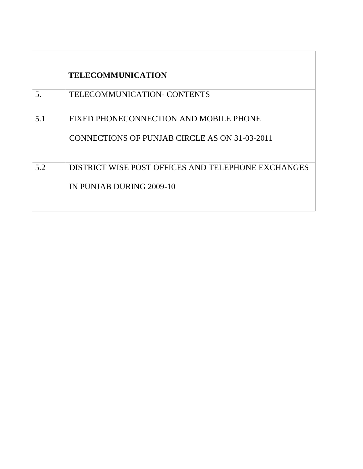| <b>TELECOMMUNICATION</b>                           |
|----------------------------------------------------|
| <b>TELECOMMUNICATION- CONTENTS</b>                 |
| FIXED PHONECONNECTION AND MOBILE PHONE             |
| CONNECTIONS OF PUNJAB CIRCLE AS ON 31-03-2011      |
| DISTRICT WISE POST OFFICES AND TELEPHONE EXCHANGES |
| IN PUNJAB DURING 2009-10                           |
|                                                    |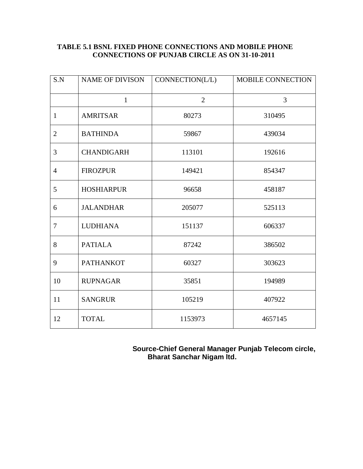### **TABLE 5.1 BSNL FIXED PHONE CONNECTIONS AND MOBILE PHONE CONNECTIONS OF PUNJAB CIRCLE AS ON 31-10-2011**

| S.N            | <b>NAME OF DIVISON</b> | CONNECTION(L/L) | MOBILE CONNECTION |
|----------------|------------------------|-----------------|-------------------|
|                | $\mathbf{1}$           | $\overline{2}$  | 3                 |
| 1              | <b>AMRITSAR</b>        | 80273           | 310495            |
| $\overline{2}$ | <b>BATHINDA</b>        | 59867           | 439034            |
| 3              | <b>CHANDIGARH</b>      | 113101          | 192616            |
| $\overline{4}$ | <b>FIROZPUR</b>        | 149421          | 854347            |
| 5              | <b>HOSHIARPUR</b>      | 96658           | 458187            |
| 6              | <b>JALANDHAR</b>       | 205077          | 525113            |
| 7              | <b>LUDHIANA</b>        | 151137          | 606337            |
| 8              | <b>PATIALA</b>         | 87242           | 386502            |
| 9              | <b>PATHANKOT</b>       | 60327           | 303623            |
| 10             | <b>RUPNAGAR</b>        | 35851           | 194989            |
| 11             | <b>SANGRUR</b>         | 105219          | 407922            |
| 12             | <b>TOTAL</b>           | 1153973         | 4657145           |

 **Source-Chief General Manager Punjab Telecom circle, Bharat Sanchar Nigam ltd.**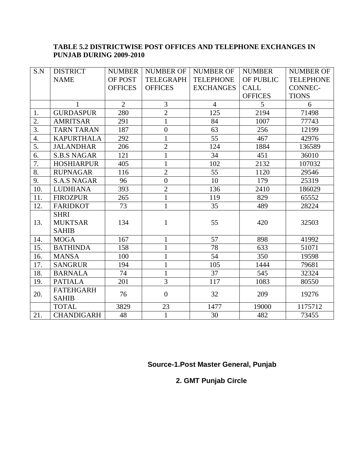#### **TABLE 5.2 DISTRICTWISE POST OFFICES AND TELEPHONE EXCHANGES IN PUNJAB DURING 2009-2010**

| S.N              | <b>DISTRICT</b>    | <b>NUMBER</b>  | <b>NUMBER OF</b> | <b>NUMBER OF</b> | <b>NUMBER</b>    | <b>NUMBER OF</b> |
|------------------|--------------------|----------------|------------------|------------------|------------------|------------------|
|                  | <b>NAME</b>        | OF POST        | <b>TELEGRAPH</b> | <b>TELEPHONE</b> | <b>OF PUBLIC</b> | <b>TELEPHONE</b> |
|                  |                    | <b>OFFICES</b> | <b>OFFICES</b>   | <b>EXCHANGES</b> | <b>CALL</b>      | <b>CONNEC-</b>   |
|                  |                    |                |                  |                  | <b>OFFICES</b>   | <b>TIONS</b>     |
|                  |                    | $\overline{2}$ | 3                | $\overline{4}$   | 5                | 6                |
| 1.               | <b>GURDASPUR</b>   | 280            | $\overline{2}$   | 125              | 2194             | 71498            |
| $\overline{2}$ . | <b>AMRITSAR</b>    | 291            | $\mathbf{1}$     | 84               | 1007             | 77743            |
| $\overline{3}$ . | <b>TARN TARAN</b>  | 187            | $\overline{0}$   | 63               | 256              | 12199            |
| $\overline{4}$ . | <b>KAPURTHALA</b>  | 292            | $\mathbf{1}$     | 55               | 467              | 42976            |
| 5.               | <b>JALANDHAR</b>   | 206            | $\overline{2}$   | 124              | 1884             | 136589           |
| 6.               | <b>S.B.S NAGAR</b> | 121            | $\mathbf{1}$     | 34               | 451              | 36010            |
| 7.               | <b>HOSHIARPUR</b>  | 405            | $\mathbf{1}$     | 102              | 2132             | 107032           |
| 8.               | <b>RUPNAGAR</b>    | 116            | $\overline{2}$   | 55               | 1120             | 29546            |
| 9.               | <b>S.A.S NAGAR</b> | 96             | $\overline{0}$   | 10               | 179              | 25319            |
| 10.              | <b>LUDHIANA</b>    | 393            | $\overline{2}$   | 136              | 2410             | 186029           |
| 11.              | <b>FIROZPUR</b>    | 265            | $\mathbf{1}$     | 119              | 829              | 65552            |
| 12.              | <b>FARIDKOT</b>    | 73             | $\mathbf{1}$     | 35               | 489              | 28224            |
|                  | <b>SHRI</b>        |                |                  |                  |                  |                  |
| 13.              | <b>MUKTSAR</b>     | 134            | 1                | 55               | 420              | 32503            |
|                  | <b>SAHIB</b>       |                |                  |                  |                  |                  |
| 14.              | <b>MOGA</b>        | 167            | $\mathbf{1}$     | 57               | 898              | 41992            |
| 15.              | <b>BATHINDA</b>    | 158            | $\mathbf{1}$     | 78               | 633              | 51071            |
| 16.              | <b>MANSA</b>       | 100            | $\mathbf{1}$     | 54               | 350              | 19598            |
| 17.              | <b>SANGRUR</b>     | 194            | $\mathbf{1}$     | 105              | 1444             | 79681            |
| 18.              | <b>BARNALA</b>     | 74             | $\mathbf{1}$     | 37               | 545              | 32324            |
| 19.              | <b>PATIALA</b>     | 201            | $\overline{3}$   | 117              | 1083             | 80550            |
|                  | <b>FATEHGARH</b>   |                |                  |                  |                  |                  |
| 20.              | <b>SAHIB</b>       | 76             | $\boldsymbol{0}$ | 32               | 209              | 19276            |
|                  | <b>TOTAL</b>       | 3829           | 23               | 1477             | 19000            | 1175712          |
| 21.              | <b>CHANDIGARH</b>  | 48             | $\overline{1}$   | 30               | 482              | 73455            |

### **Source-1.Post Master General, Punjab**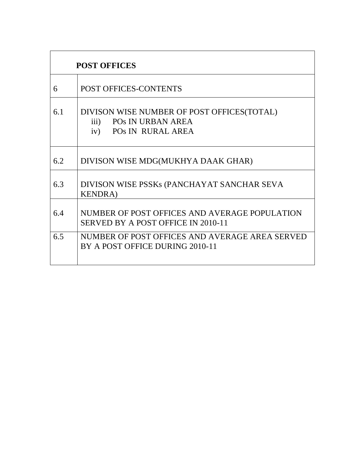|     | <b>POST OFFICES</b>                                                                                                             |
|-----|---------------------------------------------------------------------------------------------------------------------------------|
| 6   | POST OFFICES-CONTENTS                                                                                                           |
| 6.1 | DIVISON WISE NUMBER OF POST OFFICES(TOTAL)<br><b>POS IN URBAN AREA</b><br>$\overline{111}$ )<br><b>POS IN RURAL AREA</b><br>iv) |
| 6.2 | DIVISON WISE MDG(MUKHYA DAAK GHAR)                                                                                              |
| 6.3 | DIVISON WISE PSSKs (PANCHAYAT SANCHAR SEVA<br><b>KENDRA</b> )                                                                   |
| 6.4 | NUMBER OF POST OFFICES AND AVERAGE POPULATION<br>SERVED BY A POST OFFICE IN 2010-11                                             |
| 6.5 | NUMBER OF POST OFFICES AND AVERAGE AREA SERVED<br>BY A POST OFFICE DURING 2010-11                                               |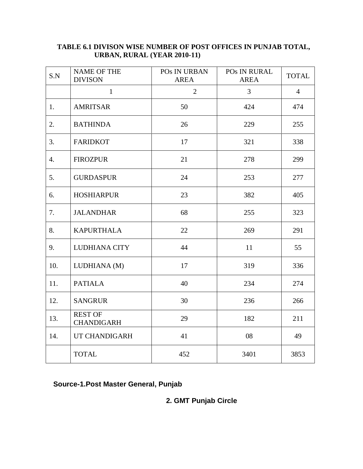| S.N | <b>NAME OF THE</b><br><b>DIVISON</b> | PO <sub>s</sub> IN URBAN<br><b>AREA</b> | POs IN RURAL<br><b>AREA</b> | <b>TOTAL</b>   |
|-----|--------------------------------------|-----------------------------------------|-----------------------------|----------------|
|     | $\mathbf{1}$                         | $\overline{2}$                          | $\overline{3}$              | $\overline{4}$ |
| 1.  | <b>AMRITSAR</b>                      | 50                                      | 424                         | 474            |
| 2.  | <b>BATHINDA</b>                      | 26                                      | 229                         | 255            |
| 3.  | <b>FARIDKOT</b>                      | 17                                      | 321                         | 338            |
| 4.  | <b>FIROZPUR</b>                      | 21                                      | 278                         | 299            |
| 5.  | <b>GURDASPUR</b>                     | 24                                      | 253                         | 277            |
| 6.  | <b>HOSHIARPUR</b>                    | 23                                      | 382                         | 405            |
| 7.  | <b>JALANDHAR</b>                     | 68                                      | 255                         | 323            |
| 8.  | <b>KAPURTHALA</b>                    | 22                                      | 269                         | 291            |
| 9.  | <b>LUDHIANA CITY</b>                 | 44                                      | 11                          | 55             |
| 10. | LUDHIANA (M)                         | 17                                      | 319                         | 336            |
| 11. | <b>PATIALA</b>                       | 40                                      | 234                         | 274            |
| 12. | <b>SANGRUR</b>                       | 30                                      | 236                         | 266            |
| 13. | <b>REST OF</b><br><b>CHANDIGARH</b>  | 29                                      | 182                         | 211            |
| 14. | UT CHANDIGARH                        | 41                                      | 08                          | 49             |
|     | <b>TOTAL</b>                         | 452                                     | 3401                        | 3853           |

### **TABLE 6.1 DIVISON WISE NUMBER OF POST OFFICES IN PUNJAB TOTAL, URBAN, RURAL (YEAR 2010-11)**

**Source-1.Post Master General, Punjab**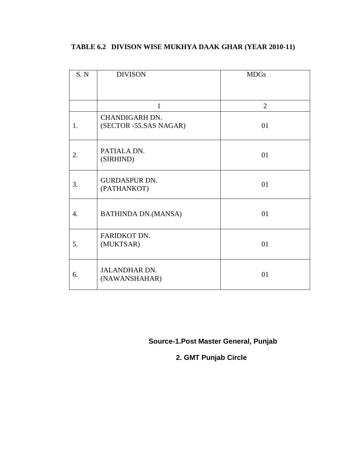### **TABLE 6.2 DIVISON WISE MUKHYA DAAK GHAR (YEAR 2010-11)**

| S. N | <b>DIVISON</b>                                  | <b>MDGs</b>    |
|------|-------------------------------------------------|----------------|
|      |                                                 |                |
|      | 1                                               | $\overline{2}$ |
| 1.   | <b>CHANDIGARH DN.</b><br>(SECTOR -55.SAS NAGAR) | 01             |
| 2.   | PATIALA DN.<br>(SIRHIND)                        | 01             |
| 3.   | <b>GURDASPUR DN.</b><br>(PATHANKOT)             | 01             |
| 4.   | <b>BATHINDA DN.(MANSA)</b>                      | 01             |
| 5.   | FARIDKOT DN.<br>(MUKTSAR)                       | 01             |
| 6.   | <b>JALANDHAR DN.</b><br>(NAWANSHAHAR)           | 01             |

**Source-1.Post Master General, Punjab**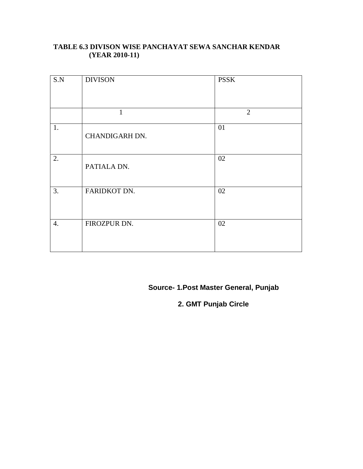### **TABLE 6.3 DIVISON WISE PANCHAYAT SEWA SANCHAR KENDAR (YEAR 2010-11)**

| S.N              | <b>DIVISON</b> | <b>PSSK</b>    |
|------------------|----------------|----------------|
|                  | $\mathbf{1}$   | $\overline{2}$ |
| 1.               | CHANDIGARH DN. | 01             |
| 2.               | PATIALA DN.    | 02             |
| 3.               | FARIDKOT DN.   | 02             |
| $\overline{4}$ . | FIROZPUR DN.   | 02             |

### **Source- 1.Post Master General, Punjab**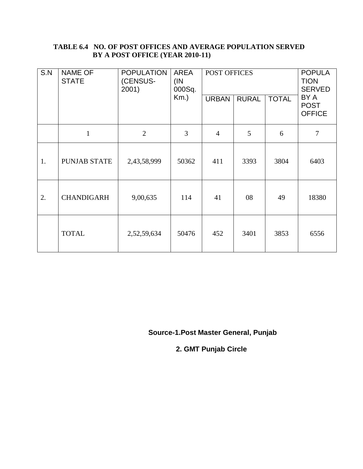### **TABLE 6.4 NO. OF POST OFFICES AND AVERAGE POPULATION SERVED BY A POST OFFICE (YEAR 2010-11)**

| S.N | <b>NAME OF</b><br><b>STATE</b> | <b>POPULATION</b><br>(CENSUS-<br>2001) | <b>AREA</b><br>(IN)<br>000Sq. | POST OFFICES   |              | <b>POPULA</b><br><b>TION</b><br><b>SERVED</b> |                                      |
|-----|--------------------------------|----------------------------------------|-------------------------------|----------------|--------------|-----------------------------------------------|--------------------------------------|
|     |                                |                                        | $Km.$ )                       | <b>URBAN</b>   | <b>RURAL</b> | <b>TOTAL</b>                                  | BY A<br><b>POST</b><br><b>OFFICE</b> |
|     | $\mathbf{1}$                   | $\overline{2}$                         | 3                             | $\overline{4}$ | 5            | 6                                             | $\tau$                               |
| 1.  | <b>PUNJAB STATE</b>            | 2,43,58,999                            | 50362                         | 411            | 3393         | 3804                                          | 6403                                 |
| 2.  | <b>CHANDIGARH</b>              | 9,00,635                               | 114                           | 41             | 08           | 49                                            | 18380                                |
|     | <b>TOTAL</b>                   | 2,52,59,634                            | 50476                         | 452            | 3401         | 3853                                          | 6556                                 |

 **Source-1.Post Master General, Punjab**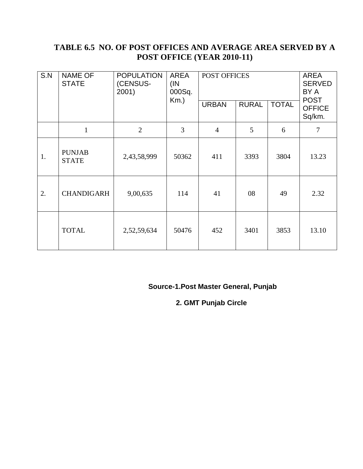# **TABLE 6.5 NO. OF POST OFFICES AND AVERAGE AREA SERVED BY A POST OFFICE (YEAR 2010-11)**

| S.N | <b>NAME OF</b><br><b>STATE</b> | <b>POPULATION</b><br>(CENSUS-<br>2001) | <b>AREA</b><br>(IN)<br>000Sq. | POST OFFICES   |              | <b>AREA</b><br><b>SERVED</b><br>BY A |                                        |
|-----|--------------------------------|----------------------------------------|-------------------------------|----------------|--------------|--------------------------------------|----------------------------------------|
|     |                                |                                        | $Km.$ )                       | <b>URBAN</b>   | <b>RURAL</b> | <b>TOTAL</b>                         | <b>POST</b><br><b>OFFICE</b><br>Sq/km. |
|     | $\mathbf{1}$                   | $\overline{2}$                         | 3                             | $\overline{4}$ | 5            | 6                                    | 7                                      |
| 1.  | <b>PUNJAB</b><br><b>STATE</b>  | 2,43,58,999                            | 50362                         | 411            | 3393         | 3804                                 | 13.23                                  |
| 2.  | <b>CHANDIGARH</b>              | 9,00,635                               | 114                           | 41             | 08           | 49                                   | 2.32                                   |
|     | <b>TOTAL</b>                   | 2,52,59,634                            | 50476                         | 452            | 3401         | 3853                                 | 13.10                                  |

### **Source-1.Post Master General, Punjab**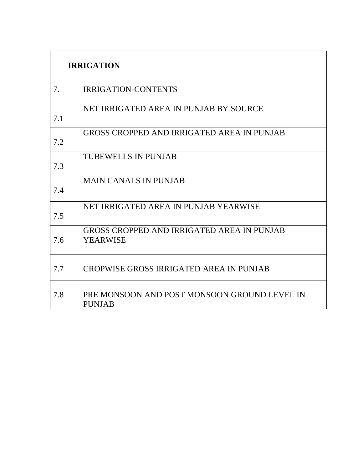|     | <b>IRRIGATION</b>                                             |
|-----|---------------------------------------------------------------|
| 7.  | <b>IRRIGATION-CONTENTS</b>                                    |
| 7.1 | NET IRRIGATED AREA IN PUNJAB BY SOURCE                        |
| 7.2 | GROSS CROPPED AND IRRIGATED AREA IN PUNJAB                    |
| 7.3 | <b>TUBEWELLS IN PUNJAB</b>                                    |
| 7.4 | <b>MAIN CANALS IN PUNJAB</b>                                  |
| 7.5 | NET IRRIGATED AREA IN PUNJAB YEARWISE                         |
| 7.6 | GROSS CROPPED AND IRRIGATED AREA IN PUNJAB<br><b>YEARWISE</b> |
| 7.7 | CROPWISE GROSS IRRIGATED AREA IN PUNJAB                       |
| 7.8 | PRE MONSOON AND POST MONSOON GROUND LEVEL IN<br><b>PUNJAB</b> |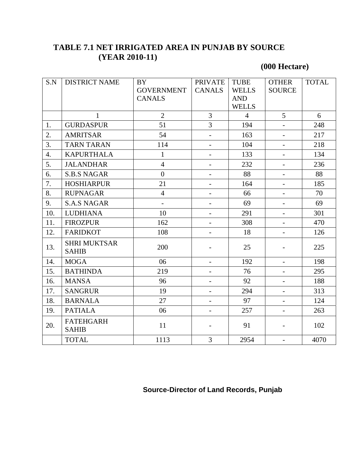# **TABLE 7.1 NET IRRIGATED AREA IN PUNJAB BY SOURCE (YEAR 2010-11)**

# **(000 Hectare)**

| S.N              | <b>DISTRICT NAME</b>                | BY<br><b>GOVERNMENT</b><br><b>CANALS</b> | <b>PRIVATE</b><br><b>CANALS</b> | <b>TUBE</b><br><b>WELLS</b><br><b>AND</b> | <b>OTHER</b><br><b>SOURCE</b> | <b>TOTAL</b> |
|------------------|-------------------------------------|------------------------------------------|---------------------------------|-------------------------------------------|-------------------------------|--------------|
|                  |                                     |                                          |                                 | <b>WELLS</b>                              |                               |              |
|                  | $\mathbf{1}$                        | $\overline{2}$                           | $\overline{3}$                  | $\overline{4}$                            | 5                             | 6            |
| 1.               | <b>GURDASPUR</b>                    | 51                                       | $\overline{3}$                  | 194                                       |                               | 248          |
| 2.               | <b>AMRITSAR</b>                     | 54                                       | $\overline{a}$                  | 163                                       | $\overline{\phantom{a}}$      | 217          |
| 3.               | <b>TARN TARAN</b>                   | 114                                      | $\overline{\phantom{a}}$        | 104                                       | $\overline{\phantom{a}}$      | 218          |
| $\overline{4}$ . | <b>KAPURTHALA</b>                   | $\mathbf{1}$                             |                                 | 133                                       |                               | 134          |
| 5.               | <b>JALANDHAR</b>                    | $\overline{4}$                           | $\overline{\phantom{a}}$        | 232                                       | $\overline{\phantom{a}}$      | 236          |
| 6.               | <b>S.B.S NAGAR</b>                  | $\overline{0}$                           | $\equiv$                        | 88                                        | $\equiv$                      | 88           |
| 7.               | <b>HOSHIARPUR</b>                   | 21                                       | $\overline{\phantom{a}}$        | 164                                       | $\overline{\phantom{a}}$      | 185          |
| 8.               | <b>RUPNAGAR</b>                     | $\overline{4}$                           | $\overline{\phantom{0}}$        | 66                                        | $\frac{1}{2}$                 | 70           |
| 9.               | <b>S.A.S NAGAR</b>                  | $\overline{\phantom{0}}$                 | $\overline{\phantom{0}}$        | 69                                        | $\overline{\phantom{0}}$      | 69           |
| 10.              | <b>LUDHIANA</b>                     | 10                                       | $\qquad \qquad -$               | 291                                       | $\overline{\phantom{a}}$      | 301          |
| 11.              | <b>FIROZPUR</b>                     | 162                                      | $\overline{a}$                  | 308                                       | $\overline{a}$                | 470          |
| 12.              | <b>FARIDKOT</b>                     | 108                                      | $\overline{\phantom{a}}$        | 18                                        | $\overline{\phantom{a}}$      | 126          |
| 13.              | <b>SHRI MUKTSAR</b><br><b>SAHIB</b> | 200                                      |                                 | 25                                        |                               | 225          |
| 14.              | <b>MOGA</b>                         | 06                                       | $\overline{a}$                  | 192                                       |                               | 198          |
| 15.              | <b>BATHINDA</b>                     | 219                                      | $\overline{\phantom{0}}$        | 76                                        | $\blacksquare$                | 295          |
| 16.              | <b>MANSA</b>                        | 96                                       | $\overline{\phantom{0}}$        | 92                                        | $\overline{\phantom{a}}$      | 188          |
| 17.              | <b>SANGRUR</b>                      | 19                                       |                                 | 294                                       | $\overline{a}$                | 313          |
| 18.              | <b>BARNALA</b>                      | 27                                       | $\qquad \qquad -$               | 97                                        | $\overline{\phantom{a}}$      | 124          |
| 19.              | <b>PATIALA</b>                      | 06                                       | $\overline{\phantom{0}}$        | 257                                       | $\overline{\phantom{0}}$      | 263          |
| 20.              | <b>FATEHGARH</b><br><b>SAHIB</b>    | 11                                       | $\overline{\phantom{0}}$        | 91                                        | $\overline{a}$                | 102          |
|                  | <b>TOTAL</b>                        | 1113                                     | $\overline{3}$                  | 2954                                      | $\blacksquare$                | 4070         |

 **Source-Director of Land Records, Punjab**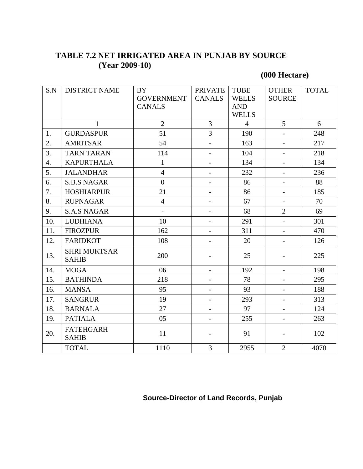# **TABLE 7.2 NET IRRIGATED AREA IN PUNJAB BY SOURCE (Year 2009-10)**

# **(000 Hectare)**

| S.N              | <b>DISTRICT NAME</b>                | <b>BY</b><br><b>GOVERNMENT</b> | <b>PRIVATE</b><br><b>CANALS</b> | <b>TUBE</b><br><b>WELLS</b> | <b>OTHER</b><br><b>SOURCE</b> | <b>TOTAL</b> |
|------------------|-------------------------------------|--------------------------------|---------------------------------|-----------------------------|-------------------------------|--------------|
|                  |                                     | <b>CANALS</b>                  |                                 | <b>AND</b><br><b>WELLS</b>  |                               |              |
|                  | $\mathbf{1}$                        | $\overline{2}$                 | $\overline{3}$                  | $\overline{4}$              | 5                             | 6            |
| 1.               | <b>GURDASPUR</b>                    | 51                             | $\overline{3}$                  | 190                         |                               | 248          |
| 2.               | <b>AMRITSAR</b>                     | 54                             | $\overline{\phantom{a}}$        | 163                         | $\overline{\phantom{a}}$      | 217          |
| 3.               | <b>TARN TARAN</b>                   | 114                            | $-$                             | 104                         | $\blacksquare$                | 218          |
| $\overline{4}$ . | <b>KAPURTHALA</b>                   | $\mathbf{1}$                   | $\overline{\phantom{a}}$        | 134                         | $\overline{\phantom{0}}$      | 134          |
| 5.               | <b>JALANDHAR</b>                    | $\overline{4}$                 | $\blacksquare$                  | 232                         | $\overline{a}$                | 236          |
| 6.               | <b>S.B.S NAGAR</b>                  | $\overline{0}$                 | $\overline{\phantom{a}}$        | 86                          | $\overline{\phantom{a}}$      | 88           |
| 7.               | <b>HOSHIARPUR</b>                   | 21                             | $\overline{\phantom{a}}$        | 86                          | $\overline{\phantom{0}}$      | 185          |
| 8.               | <b>RUPNAGAR</b>                     | $\overline{4}$                 |                                 | 67                          | $\blacksquare$                | 70           |
| 9.               | <b>S.A.S NAGAR</b>                  | $\overline{a}$                 | $\overline{\phantom{a}}$        | 68                          | $\overline{2}$                | 69           |
| 10.              | <b>LUDHIANA</b>                     | 10                             | $-$                             | 291                         | $\blacksquare$                | 301          |
| 11.              | <b>FIROZPUR</b>                     | 162                            | $\overline{\phantom{0}}$        | 311                         | $\overline{a}$                | 470          |
| 12.              | <b>FARIDKOT</b>                     | 108                            | $\blacksquare$                  | 20                          | $\overline{a}$                | 126          |
| 13.              | <b>SHRI MUKTSAR</b><br><b>SAHIB</b> | 200                            |                                 | 25                          |                               | 225          |
| 14.              | <b>MOGA</b>                         | 06                             | $\overline{\phantom{a}}$        | 192                         | $\overline{a}$                | 198          |
| 15.              | <b>BATHINDA</b>                     | 218                            | $\overline{\phantom{0}}$        | 78                          | $\overline{\phantom{0}}$      | 295          |
| 16.              | <b>MANSA</b>                        | 95                             | $\overline{\phantom{a}}$        | 93                          | $\overline{\phantom{0}}$      | 188          |
| 17.              | <b>SANGRUR</b>                      | 19                             | $\blacksquare$                  | 293                         | $\overline{\phantom{0}}$      | 313          |
| 18.              | <b>BARNALA</b>                      | 27                             | $\overline{\phantom{a}}$        | 97                          | $\qquad \qquad -$             | 124          |
| 19.              | <b>PATIALA</b>                      | 05                             | $\overline{\phantom{a}}$        | 255                         | $\overline{\phantom{a}}$      | 263          |
| 20.              | <b>FATEHGARH</b><br><b>SAHIB</b>    | 11                             | $\overline{\phantom{0}}$        | 91                          |                               | 102          |
|                  | <b>TOTAL</b>                        | 1110                           | $\overline{3}$                  | 2955                        | $\overline{2}$                | 4070         |

 **Source-Director of Land Records, Punjab**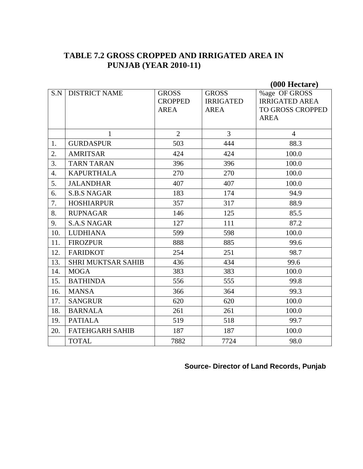# **TABLE 7.2 GROSS CROPPED AND IRRIGATED AREA IN PUNJAB (YEAR 2010-11)**

|                  |                           |                |                  | (000 Hectare)         |
|------------------|---------------------------|----------------|------------------|-----------------------|
| S.N              | <b>DISTRICT NAME</b>      | <b>GROSS</b>   | <b>GROSS</b>     | %age OF GROSS         |
|                  |                           | <b>CROPPED</b> | <b>IRRIGATED</b> | <b>IRRIGATED AREA</b> |
|                  |                           | <b>AREA</b>    | <b>AREA</b>      | TO GROSS CROPPED      |
|                  |                           |                |                  | <b>AREA</b>           |
|                  | $\mathbf{1}$              | $\overline{2}$ | $\overline{3}$   | $\overline{4}$        |
| 1.               | <b>GURDASPUR</b>          | 503            | 444              | 88.3                  |
| 2.               | <b>AMRITSAR</b>           | 424            | 424              | 100.0                 |
| 3.               | <b>TARN TARAN</b>         | 396            | 396              | 100.0                 |
| $\overline{4}$ . | <b>KAPURTHALA</b>         | 270            | 270              | 100.0                 |
| 5.               | <b>JALANDHAR</b>          | 407            | 407              | 100.0                 |
| 6.               | <b>S.B.S NAGAR</b>        | 183            | 174              | 94.9                  |
| 7.               | <b>HOSHIARPUR</b>         | 357            | 317              | 88.9                  |
| 8.               | <b>RUPNAGAR</b>           | 146            | 125              | 85.5                  |
| 9.               | <b>S.A.S NAGAR</b>        | 127            | 111              | 87.2                  |
| 10.              | <b>LUDHIANA</b>           | 599            | 598              | 100.0                 |
| 11.              | <b>FIROZPUR</b>           | 888            | 885              | 99.6                  |
| 12.              | <b>FARIDKOT</b>           | 254            | 251              | 98.7                  |
| 13.              | <b>SHRI MUKTSAR SAHIB</b> | 436            | 434              | 99.6                  |
| 14.              | <b>MOGA</b>               | 383            | 383              | 100.0                 |
| 15.              | <b>BATHINDA</b>           | 556            | 555              | 99.8                  |
| 16.              | <b>MANSA</b>              | 366            | 364              | 99.3                  |
| 17.              | <b>SANGRUR</b>            | 620            | 620              | 100.0                 |
| 18.              | <b>BARNALA</b>            | 261            | 261              | 100.0                 |
| 19.              | <b>PATIALA</b>            | 519            | 518              | 99.7                  |
| 20.              | <b>FATEHGARH SAHIB</b>    | 187            | 187              | 100.0                 |
|                  | <b>TOTAL</b>              | 7882           | 7724             | 98.0                  |

**Source- Director of Land Records, Punjab**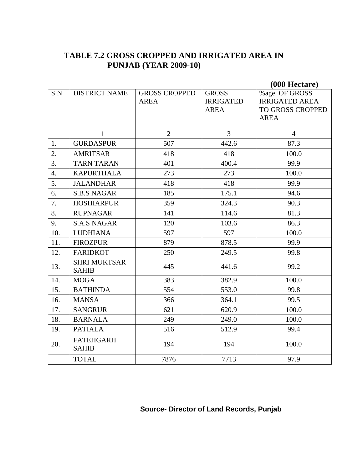# **TABLE 7.2 GROSS CROPPED AND IRRIGATED AREA IN PUNJAB (YEAR 2009-10)**

|                  |                                     |                                     |                                                 | (000 Hectare)                                                             |
|------------------|-------------------------------------|-------------------------------------|-------------------------------------------------|---------------------------------------------------------------------------|
| S.N              | <b>DISTRICT NAME</b>                | <b>GROSS CROPPED</b><br><b>AREA</b> | <b>GROSS</b><br><b>IRRIGATED</b><br><b>AREA</b> | %age OF GROSS<br><b>IRRIGATED AREA</b><br>TO GROSS CROPPED<br><b>AREA</b> |
|                  | $\mathbf{1}$                        | $\overline{2}$                      | $\overline{3}$                                  | $\overline{4}$                                                            |
| 1.               | <b>GURDASPUR</b>                    | 507                                 | 442.6                                           | 87.3                                                                      |
| 2.               | <b>AMRITSAR</b>                     | 418                                 | 418                                             | 100.0                                                                     |
| 3.               | <b>TARN TARAN</b>                   | 401                                 | 400.4                                           | 99.9                                                                      |
| $\overline{4}$ . | <b>KAPURTHALA</b>                   | 273                                 | 273                                             | 100.0                                                                     |
| 5.               | <b>JALANDHAR</b>                    | 418                                 | 418                                             | 99.9                                                                      |
| 6.               | <b>S.B.S NAGAR</b>                  | 185                                 | 175.1                                           | 94.6                                                                      |
| 7.               | <b>HOSHIARPUR</b>                   | 359                                 | 324.3                                           | 90.3                                                                      |
| 8.               | <b>RUPNAGAR</b>                     | 141                                 | 114.6                                           | 81.3                                                                      |
| 9.               | <b>S.A.S NAGAR</b>                  | 120                                 | 103.6                                           | 86.3                                                                      |
| 10.              | <b>LUDHIANA</b>                     | 597                                 | 597                                             | 100.0                                                                     |
| 11.              | <b>FIROZPUR</b>                     | 879                                 | 878.5                                           | 99.9                                                                      |
| 12.              | <b>FARIDKOT</b>                     | 250                                 | 249.5                                           | 99.8                                                                      |
| 13.              | <b>SHRI MUKTSAR</b><br><b>SAHIB</b> | 445                                 | 441.6                                           | 99.2                                                                      |
| 14.              | <b>MOGA</b>                         | 383                                 | 382.9                                           | 100.0                                                                     |
| 15.              | <b>BATHINDA</b>                     | 554                                 | 553.0                                           | 99.8                                                                      |
| 16.              | <b>MANSA</b>                        | 366                                 | 364.1                                           | 99.5                                                                      |
| 17.              | <b>SANGRUR</b>                      | 621                                 | 620.9                                           | 100.0                                                                     |
| 18.              | <b>BARNALA</b>                      | 249                                 | 249.0                                           | 100.0                                                                     |
| 19.              | <b>PATIALA</b>                      | 516                                 | 512.9                                           | 99.4                                                                      |
| 20.              | <b>FATEHGARH</b><br><b>SAHIB</b>    | 194                                 | 194                                             | 100.0                                                                     |
|                  | <b>TOTAL</b>                        | 7876                                | 7713                                            | 97.9                                                                      |

# **Source- Director of Land Records, Punjab**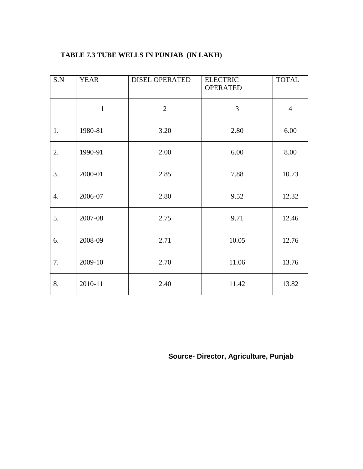### **TABLE 7.3 TUBE WELLS IN PUNJAB (IN LAKH)**

| S.N              | <b>YEAR</b>  | <b>DISEL OPERATED</b> | <b>ELECTRIC</b><br><b>OPERATED</b> | <b>TOTAL</b>   |
|------------------|--------------|-----------------------|------------------------------------|----------------|
|                  | $\mathbf{1}$ | $\overline{2}$        | 3                                  | $\overline{4}$ |
| 1.               | 1980-81      | 3.20                  | 2.80                               | 6.00           |
| 2.               | 1990-91      | 2.00                  | 6.00                               | 8.00           |
| 3.               | 2000-01      | 2.85                  | 7.88                               | 10.73          |
| $\overline{4}$ . | 2006-07      | 2.80                  | 9.52                               | 12.32          |
| 5.               | 2007-08      | 2.75                  | 9.71                               | 12.46          |
| 6.               | 2008-09      | 2.71                  | 10.05                              | 12.76          |
| 7.               | 2009-10      | 2.70                  | 11.06                              | 13.76          |
| 8.               | 2010-11      | 2.40                  | 11.42                              | 13.82          |

 **Source- Director, Agriculture, Punjab**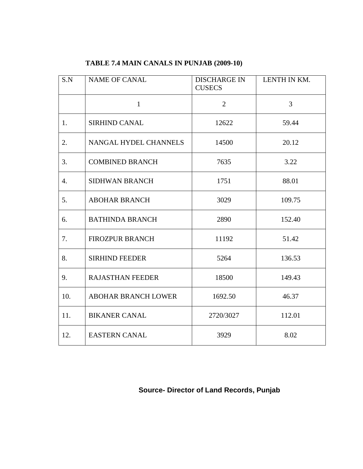# **TABLE 7.4 MAIN CANALS IN PUNJAB (2009-10)**

| S.N | <b>NAME OF CANAL</b>       | <b>DISCHARGE IN</b><br><b>CUSECS</b> | LENTH IN KM. |
|-----|----------------------------|--------------------------------------|--------------|
|     | $\mathbf{1}$               | $\overline{2}$                       | 3            |
| 1.  | <b>SIRHIND CANAL</b>       | 12622                                | 59.44        |
| 2.  | NANGAL HYDEL CHANNELS      | 14500                                | 20.12        |
| 3.  | <b>COMBINED BRANCH</b>     | 7635                                 | 3.22         |
| 4.  | <b>SIDHWAN BRANCH</b>      | 1751                                 | 88.01        |
| 5.  | <b>ABOHAR BRANCH</b>       | 3029                                 | 109.75       |
| 6.  | <b>BATHINDA BRANCH</b>     | 2890                                 | 152.40       |
| 7.  | <b>FIROZPUR BRANCH</b>     | 11192                                | 51.42        |
| 8.  | <b>SIRHIND FEEDER</b>      | 5264                                 | 136.53       |
| 9.  | <b>RAJASTHAN FEEDER</b>    | 18500                                | 149.43       |
| 10. | <b>ABOHAR BRANCH LOWER</b> | 1692.50                              | 46.37        |
| 11. | <b>BIKANER CANAL</b>       | 2720/3027                            | 112.01       |
| 12. | <b>EASTERN CANAL</b>       | 3929                                 | 8.02         |

**Source- Director of Land Records, Punjab**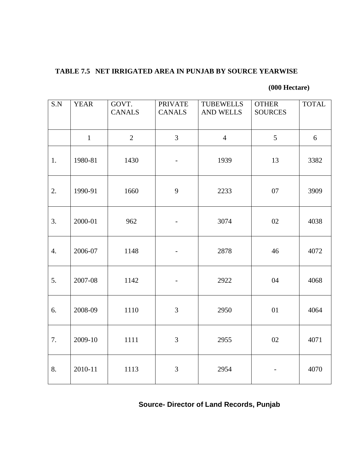#### **TABLE 7.5 NET IRRIGATED AREA IN PUNJAB BY SOURCE YEARWISE**

#### **(000 Hectare)**

| S.N              | <b>YEAR</b>  | GOVT.          | <b>PRIVATE</b>           | <b>TUBEWELLS</b> | <b>OTHER</b>   | <b>TOTAL</b> |
|------------------|--------------|----------------|--------------------------|------------------|----------------|--------------|
|                  |              | <b>CANALS</b>  | <b>CANALS</b>            | <b>AND WELLS</b> | <b>SOURCES</b> |              |
|                  |              |                |                          |                  |                |              |
|                  | $\mathbf{1}$ | $\overline{2}$ | 3                        | $\overline{4}$   | 5              | 6            |
| 1.               | 1980-81      | 1430           | $\overline{\phantom{a}}$ | 1939             | 13             | 3382         |
| 2.               | 1990-91      | 1660           | 9                        | 2233             | 07             | 3909         |
| 3.               | 2000-01      | 962            |                          | 3074             | 02             | 4038         |
| $\overline{4}$ . | 2006-07      | 1148           |                          | 2878             | 46             | 4072         |
| 5.               | 2007-08      | 1142           |                          | 2922             | 04             | 4068         |
| 6.               | 2008-09      | 1110           | $\mathfrak{Z}$           | 2950             | 01             | 4064         |
| 7.               | 2009-10      | 1111           | $\mathfrak{Z}$           | 2955             | 02             | 4071         |
| 8.               | 2010-11      | 1113           | 3                        | 2954             |                | 4070         |

# **Source- Director of Land Records, Punjab**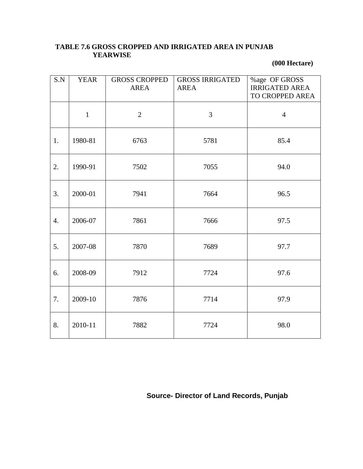## **TABLE 7.6 GROSS CROPPED AND IRRIGATED AREA IN PUNJAB YEARWISE**

#### **(000 Hectare)**

| S.N | <b>YEAR</b>  | <b>GROSS CROPPED</b><br><b>AREA</b> | <b>GROSS IRRIGATED</b><br><b>AREA</b> | %age OF GROSS<br><b>IRRIGATED AREA</b><br>TO CROPPED AREA |
|-----|--------------|-------------------------------------|---------------------------------------|-----------------------------------------------------------|
|     | $\mathbf{1}$ | $\overline{2}$                      | 3                                     | $\overline{4}$                                            |
| 1.  | 1980-81      | 6763                                | 5781                                  | 85.4                                                      |
| 2.  | 1990-91      | 7502                                | 7055                                  | 94.0                                                      |
| 3.  | 2000-01      | 7941                                | 7664                                  | 96.5                                                      |
| 4.  | 2006-07      | 7861                                | 7666                                  | 97.5                                                      |
| 5.  | 2007-08      | 7870                                | 7689                                  | 97.7                                                      |
| 6.  | 2008-09      | 7912                                | 7724                                  | 97.6                                                      |
| 7.  | 2009-10      | 7876                                | 7714                                  | 97.9                                                      |
| 8.  | 2010-11      | 7882                                | 7724                                  | 98.0                                                      |

 **Source- Director of Land Records, Punjab**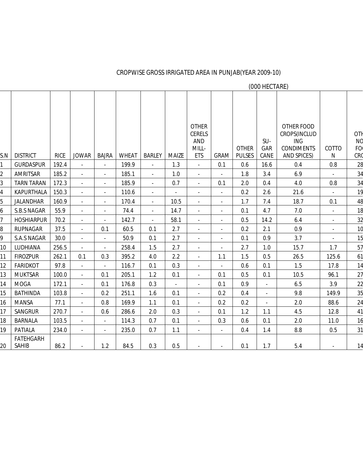## CROPWISE GROSS IRRIGATED AREA IN PUNJAB(YEAR 2009-10)

(000 HECTARE)

|                 |                                  |             |                          |                          |              |                          |              | <b>OTHER</b><br><b>CERELS</b> |                          |                               |                | OTHER FOOD<br>CROPS(INCLUD       |                       | OTH                     |
|-----------------|----------------------------------|-------------|--------------------------|--------------------------|--------------|--------------------------|--------------|-------------------------------|--------------------------|-------------------------------|----------------|----------------------------------|-----------------------|-------------------------|
|                 |                                  |             |                          |                          |              |                          |              | <b>AND</b>                    |                          |                               | SU-            | <b>ING</b>                       |                       | <b>NC</b>               |
| S.N             | <b>DISTRICT</b>                  | <b>RICE</b> | <b>JOWAR</b>             | <b>BAJRA</b>             | <b>WHEAT</b> | <b>BARLEY</b>            | <b>MAIZE</b> | MILL-<br><b>ETS</b>           | <b>GRAM</b>              | <b>OTHER</b><br><b>PULSES</b> | GAR<br>CANE    | <b>CONDIMENTS</b><br>AND SPICES) | COTTO<br>$\mathsf{N}$ | <b>FO</b><br><b>CRO</b> |
|                 | <b>GURDASPUR</b>                 | 192.4       | $\overline{\phantom{a}}$ |                          | 199.9        | $\overline{\phantom{a}}$ | 1.3          | $\blacksquare$                | 0.1                      | 0.6                           | 16.6           | 0.4                              | 0.8                   | 28                      |
| 2               | <b>AMRITSAR</b>                  | 185.2       | $\blacksquare$           | $\blacksquare$           | 185.1        | $\blacksquare$           | 1.0          | $\blacksquare$                |                          | 1.8                           | 3.4            | 6.9                              |                       | 34                      |
| 3               | <b>TARN TARAN</b>                | 172.3       | $\omega$                 | $\overline{a}$           | 185.9        | $\omega$                 | 0.7          | $\omega$                      | 0.1                      | 2.0                           | 0.4            | 4.0                              | 0.8                   | 34                      |
| 4               | <b>KAPURTHALA</b>                | 150.3       | $\overline{\phantom{a}}$ | $\overline{\phantom{a}}$ | 110.6        | $\overline{\phantom{a}}$ |              | $\overline{\phantom{a}}$      | $\overline{\phantom{a}}$ | 0.2                           | 2.6            | 21.6                             |                       | 19                      |
| 5               | <b>JALANDHAR</b>                 | 160.9       | $\omega$                 | $\overline{\phantom{a}}$ | 170.4        | $\overline{\phantom{a}}$ | 10.5         | $\overline{\phantom{a}}$      | $\overline{\phantom{a}}$ | 1.7                           | 7.4            | 18.7                             | 0.1                   | 48                      |
| 6               | S.B.S NAGAR                      | 55.9        | $\overline{\phantom{a}}$ | $\blacksquare$           | 74.4         | $\overline{\phantom{a}}$ | 14.7         | $\blacksquare$                | $\overline{\phantom{a}}$ | 0.1                           | 4.7            | 7.0                              | $\blacksquare$        | 18                      |
| 7               | <b>HOSHIARPUR</b>                | 70.2        | $\blacksquare$           |                          | 142.7        | $\overline{a}$           | 58.1         | $\overline{\phantom{a}}$      | $\overline{a}$           | 0.5                           | 14.2           | 6.4                              | $\blacksquare$        | 32                      |
| 8               | <b>RUPNAGAR</b>                  | 37.5        | $\blacksquare$           | 0.1                      | 60.5         | 0.1                      | 2.7          | $\blacksquare$                | $\overline{\phantom{a}}$ | 0.2                           | 2.1            | 0.9                              | $\blacksquare$        | 10                      |
| 9               | S.A.S NAGAR                      | 30.0        | $\overline{\phantom{a}}$ | $\overline{\phantom{a}}$ | 50.9         | 0.1                      | 2.7          | $\overline{\phantom{a}}$      | $\overline{\phantom{a}}$ | 0.1                           | 0.9            | 3.7                              | $\blacksquare$        | 15                      |
| 10 <sup>1</sup> | LUDHIANA                         | 256.5       | $\omega$                 | $\blacksquare$           | 258.4        | 1.5                      | 2.7          | $\overline{\phantom{a}}$      | $\blacksquare$           | 2.7                           | 1.0            | 15.7                             | 1.7                   | 57                      |
| 11              | <b>FIROZPUR</b>                  | 262.1       | 0.1                      | 0.3                      | 395.2        | 4.0                      | 2.2          | $\blacksquare$                | 1.1                      | 1.5                           | 0.5            | 26.5                             | 125.6                 | 61                      |
| 12              | <b>FARIDKOT</b>                  | 97.8        | $\blacksquare$           |                          | 116.7        | 0.1                      | 0.3          | $\blacksquare$                |                          | 0.6                           | 0.1            | 1.5                              | 17.8                  | 14                      |
| 13              | <b>MUKTSAR</b>                   | 100.0       | $\overline{\phantom{a}}$ | 0.1                      | 205.1        | 1.2                      | 0.1          | $\blacksquare$                | 0.1                      | 0.5                           | 0.1            | 10.5                             | 96.1                  | 27                      |
| 14              | <b>MOGA</b>                      | 172.1       | $\blacksquare$           | 0.1                      | 176.8        | 0.3                      | $\omega$     | $\blacksquare$                | 0.1                      | 0.9                           | $\overline{a}$ | 6.5                              | 3.9                   | 22                      |
| 15              | <b>BATHINDA</b>                  | 103.8       | $\overline{\phantom{a}}$ | 0.2                      | 251.1        | 1.6                      | 0.1          | $\overline{\phantom{a}}$      | 0.2                      | 0.4                           |                | 9.8                              | 149.9                 | 35                      |
| 16              | <b>MANSA</b>                     | 77.1        | $\overline{\phantom{a}}$ | 0.8                      | 169.9        | 1.1                      | 0.1          | $\overline{\phantom{a}}$      | 0.2                      | 0.2                           |                | 2.0                              | 88.6                  | 24                      |
| 17              | SANGRUR                          | 270.7       | $\blacksquare$           | 0.6                      | 286.6        | 2.0                      | 0.3          | $\blacksquare$                | 0.1                      | 1.2                           | 1.1            | 4.5                              | 12.8                  | 41                      |
| 18              | <b>BARNALA</b>                   | 103.5       | $\mathbf{r}$             | $\overline{a}$           | 114.3        | 0.7                      | 0.1          | $\overline{\phantom{a}}$      | 0.3                      | 0.6                           | 0.1            | 2.0                              | 11.0                  | 16                      |
| 19              | <b>PATIALA</b>                   | 234.0       | $\blacksquare$           | $\blacksquare$           | 235.0        | 0.7                      | 1.1          | $\overline{\phantom{a}}$      | $\overline{\phantom{a}}$ | 0.4                           | 1.4            | 8.8                              | 0.5                   | 31                      |
| 20              | <b>FATEHGARH</b><br><b>SAHIB</b> | 86.2        |                          | 1.2                      | 84.5         | 0.3                      | 0.5          |                               |                          | 0.1                           | 1.7            | 5.4                              |                       | 14                      |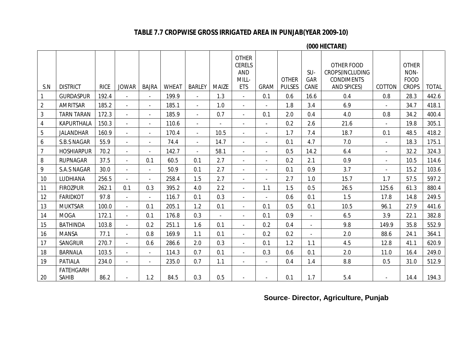## **TABLE 7.7 CROPWISE GROSS IRRIGATED AREA IN PUNJAB(YEAR 2009-10)**

 **(000 HECTARE)**

|                |                                  |             |                          |                          |              |               |              | <b>OTHER</b><br><b>CERELS</b><br><b>AND</b><br>MILL- |                          | <b>OTHER</b>  | SU-<br>GAR     | OTHER FOOD<br>CROPS(INCLUDING<br><b>CONDIMENTS</b> |                | <b>OTHER</b><br>NON-<br><b>FOOD</b> |              |
|----------------|----------------------------------|-------------|--------------------------|--------------------------|--------------|---------------|--------------|------------------------------------------------------|--------------------------|---------------|----------------|----------------------------------------------------|----------------|-------------------------------------|--------------|
| S.N            | <b>DISTRICT</b>                  | <b>RICE</b> | <b>JOWAR</b>             | <b>BAJRA</b>             | <b>WHEAT</b> | <b>BARLEY</b> | <b>MAIZE</b> | ETS                                                  | <b>GRAM</b>              | <b>PULSES</b> | CANE           | <b>AND SPICES)</b>                                 | COTTON         | <b>CROPS</b>                        | <b>TOTAL</b> |
|                | <b>GURDASPUR</b>                 | 192.4       | ÷.                       | $\overline{\phantom{a}}$ | 199.9        |               | 1.3          | $\overline{\phantom{a}}$                             | 0.1                      | 0.6           | 16.6           | 0.4                                                | 0.8            | 28.3                                | 442.6        |
| $\overline{2}$ | <b>AMRITSAR</b>                  | 185.2       | $\overline{\phantom{a}}$ |                          | 185.1        |               | 1.0          |                                                      |                          | 1.8           | 3.4            | 6.9                                                |                | 34.7                                | 418.1        |
| $\mathbf{3}$   | <b>TARN TARAN</b>                | 172.3       | $\overline{\phantom{a}}$ |                          | 185.9        |               | 0.7          |                                                      | 0.1                      | 2.0           | 0.4            | 4.0                                                | 0.8            | 34.2                                | 400.4        |
| 4              | <b>KAPURTHALA</b>                | 150.3       |                          |                          | 110.6        |               |              |                                                      |                          | 0.2           | 2.6            | 21.6                                               |                | 19.8                                | 305.1        |
| 5              | <b>JALANDHAR</b>                 | 160.9       | ÷,                       |                          | 170.4        |               | 10.5         |                                                      |                          | 1.7           | 7.4            | 18.7                                               | 0.1            | 48.5                                | 418.2        |
| 6              | S.B.S NAGAR                      | 55.9        |                          |                          | 74.4         |               | 14.7         |                                                      |                          | 0.1           | 4.7            | 7.0                                                |                | 18.3                                | 175.1        |
| $\overline{7}$ | <b>HOSHIARPUR</b>                | 70.2        | ÷,                       |                          | 142.7        |               | 58.1         |                                                      | $\overline{\phantom{0}}$ | 0.5           | 14.2           | 6.4                                                | $\blacksquare$ | 32.2                                | 324.3        |
| 8              | <b>RUPNAGAR</b>                  | 37.5        | $\overline{a}$           | 0.1                      | 60.5         | 0.1           | 2.7          |                                                      |                          | 0.2           | 2.1            | 0.9                                                | $\overline{a}$ | 10.5                                | 114.6        |
| 9              | S.A.S NAGAR                      | 30.0        |                          |                          | 50.9         | 0.1           | 2.7          |                                                      | $\overline{a}$           | 0.1           | 0.9            | 3.7                                                |                | 15.2                                | 103.6        |
| 10             | LUDHIANA                         | 256.5       |                          |                          | 258.4        | 1.5           | 2.7          |                                                      |                          | 2.7           | 1.0            | 15.7                                               | 1.7            | 57.5                                | 597.2        |
| 11             | <b>FIROZPUR</b>                  | 262.1       | 0.1                      | 0.3                      | 395.2        | 4.0           | 2.2          |                                                      | 1.1                      | 1.5           | 0.5            | 26.5                                               | 125.6          | 61.3                                | 880.4        |
| 12             | <b>FARIDKOT</b>                  | 97.8        |                          |                          | 116.7        | 0.1           | 0.3          |                                                      |                          | 0.6           | 0.1            | 1.5                                                | 17.8           | 14.8                                | 249.5        |
| 13             | <b>MUKTSAR</b>                   | 100.0       | $\overline{a}$           | 0.1                      | 205.1        | 1.2           | 0.1          |                                                      | 0.1                      | 0.5           | 0.1            | 10.5                                               | 96.1           | 27.9                                | 441.6        |
| 14             | <b>MOGA</b>                      | 172.1       | $\overline{a}$           | 0.1                      | 176.8        | 0.3           |              | $\sim$                                               | 0.1                      | 0.9           | $\mathbf{r}$   | 6.5                                                | 3.9            | 22.1                                | 382.8        |
| 15             | <b>BATHINDA</b>                  | 103.8       | $\overline{\phantom{a}}$ | 0.2                      | 251.1        | 1.6           | 0.1          |                                                      | 0.2                      | 0.4           | $\blacksquare$ | 9.8                                                | 149.9          | 35.8                                | 552.9        |
| 16             | <b>MANSA</b>                     | 77.1        | $\overline{a}$           | 0.8                      | 169.9        | 1.1           | 0.1          |                                                      | 0.2                      | 0.2           | $\mathbf{r}$   | 2.0                                                | 88.6           | 24.1                                | 364.1        |
| 17             | <b>SANGRUR</b>                   | 270.7       | $\mathbb{L}^+$           | 0.6                      | 286.6        | 2.0           | 0.3          |                                                      | 0.1                      | 1.2           | 1.1            | 4.5                                                | 12.8           | 41.1                                | 620.9        |
| 18             | <b>BARNALA</b>                   | 103.5       | $\overline{\phantom{a}}$ |                          | 114.3        | 0.7           | 0.1          |                                                      | 0.3                      | 0.6           | 0.1            | 2.0                                                | 11.0           | 16.4                                | 249.0        |
| 19             | <b>PATIALA</b>                   | 234.0       | $\blacksquare$           | $\blacksquare$           | 235.0        | 0.7           | 1.1          |                                                      | $\blacksquare$           | 0.4           | 1.4            | 8.8                                                | 0.5            | 31.0                                | 512.9        |
| 20             | <b>FATEHGARH</b><br><b>SAHIB</b> | 86.2        |                          | 1.2                      | 84.5         | 0.3           | 0.5          |                                                      |                          | 0.1           | 1.7            | 5.4                                                |                | 14.4                                | 194.3        |

 **Source**- **Director, Agriculture, Punjab**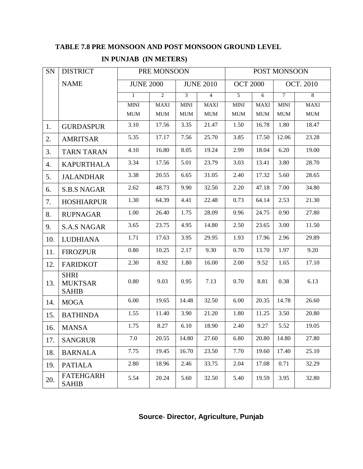# **TABLE 7.8 PRE MONSOON AND POST MONSOON GROUND LEVEL IN PUNJAB (IN METERS)**

| SN  | <b>DISTRICT</b>                               | PRE MONSOON                 |                             | POST MONSOON   |                  |                             |             |                |                             |
|-----|-----------------------------------------------|-----------------------------|-----------------------------|----------------|------------------|-----------------------------|-------------|----------------|-----------------------------|
|     | <b>NAME</b>                                   | <b>JUNE 2000</b>            |                             |                | <b>JUNE 2010</b> | <b>OCT 2000</b>             |             |                | <b>OCT. 2010</b>            |
|     |                                               | $\mathbf{1}$                | $\overline{2}$              | $\overline{3}$ | $\overline{4}$   | 5                           | 6           | $\overline{7}$ | 8                           |
|     |                                               | <b>MINI</b>                 | <b>MAXI</b>                 | <b>MINI</b>    | <b>MAXI</b>      | <b>MINI</b>                 | <b>MAXI</b> | <b>MINI</b>    | <b>MAXI</b>                 |
|     |                                               | $\mathop{\rm MUM}\nolimits$ | $\boldsymbol{\mathrm{MUM}}$ | MUM            | <b>MUM</b>       | $\boldsymbol{\mathrm{MUM}}$ | <b>MUM</b>  | <b>MUM</b>     | $\mathop{\rm MUM}\nolimits$ |
| 1.  | <b>GURDASPUR</b>                              | 3.10                        | 17.56                       | 3.35           | 21.47            | 1.50                        | 16.78       | 1.80           | 18.47                       |
| 2.  | <b>AMRITSAR</b>                               | 5.35                        | 17.17                       | 7.56           | 25.70            | 3.85                        | 17.50       | 12.06          | 23.28                       |
| 3.  | <b>TARN TARAN</b>                             | 4.10                        | 16.80                       | 8.05           | 19.24            | 2.99                        | 18.04       | 6.20           | 19.00                       |
| 4.  | <b>KAPURTHALA</b>                             | 3.34                        | 17.56                       | 5.01           | 23.79            | 3.03                        | 13.41       | 3.80           | 28.70                       |
| 5.  | <b>JALANDHAR</b>                              | 3.38                        | 20.55                       | 6.65           | 31.05            | 2.40                        | 17.32       | 5.60           | 28.65                       |
| 6.  | <b>S.B.S NAGAR</b>                            | 2.62                        | 48.73                       | 9.90           | 32.50            | 2.20                        | 47.18       | 7.00           | 34.80                       |
| 7.  | <b>HOSHIARPUR</b>                             | 1.30                        | 64.39                       | 4.41           | 22.48            | 0.73                        | 64.14       | 2.53           | 21.30                       |
| 8.  | <b>RUPNAGAR</b>                               | 1.00                        | 26.40                       | 1.75           | 28.09            | 0.96                        | 24.75       | 0.90           | 27.80                       |
| 9.  | <b>S.A.S NAGAR</b>                            | 3.65                        | 23.75                       | 4.95           | 14.80            | 2.50                        | 23.65       | 3.00           | 11.50                       |
| 10. | <b>LUDHIANA</b>                               | 1.71                        | 17.63                       | 3.95           | 29.95            | 1.93                        | 17.96       | 2.96           | 29.89                       |
| 11. | <b>FIROZPUR</b>                               | 0.80                        | 10.25                       | 2.17           | 9.30             | 0.70                        | 13.70       | 1.97           | 9.20                        |
| 12. | <b>FARIDKOT</b>                               | 2.30                        | 8.92                        | 1.80           | 16.00            | 2.00                        | 9.52        | 1.65           | 17.10                       |
| 13. | <b>SHRI</b><br><b>MUKTSAR</b><br><b>SAHIB</b> | 0.80                        | 9.03                        | 0.95           | 7.13             | 0.70                        | 8.81        | 0.38           | 6.13                        |
| 14. | <b>MOGA</b>                                   | 6.00                        | 19.65                       | 14.48          | 32.50            | 6.00                        | 20.35       | 14.78          | 26.60                       |
| 15. | <b>BATHINDA</b>                               | 1.55                        | 11.40                       | 3.90           | 21.20            | 1.80                        | 11.25       | 3.50           | 20.80                       |
| 16. | <b>MANSA</b>                                  | 1.75                        | 8.27                        | 6.10           | 18.90            | 2.40                        | 9.27        | 5.52           | 19.05                       |
| 17. | <b>SANGRUR</b>                                | 7.0                         | 20.55                       | 14.80          | 27.60            | 6.80                        | 20.80       | 14.80          | 27.80                       |
| 18. | <b>BARNALA</b>                                | 7.75                        | 19.45                       | 16.70          | 23.50            | 7.70                        | 19.60       | 17.40          | 25.10                       |
| 19. | <b>PATIALA</b>                                | 2.80                        | 18.96                       | 2.46           | 33.75            | 2.04                        | 17.08       | 0.71           | 32.29                       |
| 20. | <b>FATEHGARH</b><br><b>SAHIB</b>              | 5.54                        | 20.24                       | 5.60           | 32.50            | 5.40                        | 19.59       | 3.95           | 32.80                       |

## **Source**- **Director, Agriculture, Punjab**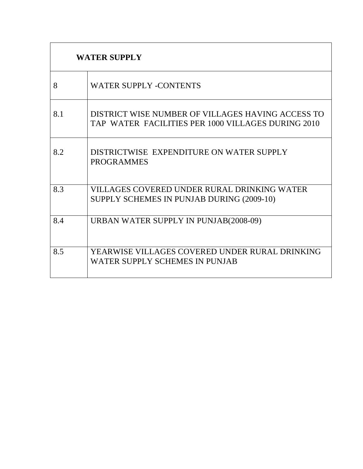|     | <b>WATER SUPPLY</b>                                                                                     |
|-----|---------------------------------------------------------------------------------------------------------|
| 8   | <b>WATER SUPPLY -CONTENTS</b>                                                                           |
| 8.1 | DISTRICT WISE NUMBER OF VILLAGES HAVING ACCESS TO<br>TAP WATER FACILITIES PER 1000 VILLAGES DURING 2010 |
| 8.2 | DISTRICTWISE EXPENDITURE ON WATER SUPPLY<br><b>PROGRAMMES</b>                                           |
| 8.3 | VILLAGES COVERED UNDER RURAL DRINKING WATER<br>SUPPLY SCHEMES IN PUNJAB DURING (2009-10)                |
| 8.4 | URBAN WATER SUPPLY IN PUNJAB(2008-09)                                                                   |
| 8.5 | YEARWISE VILLAGES COVERED UNDER RURAL DRINKING<br>WATER SUPPLY SCHEMES IN PUNJAB                        |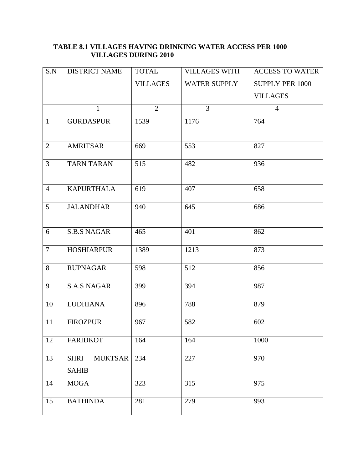#### **TABLE 8.1 VILLAGES HAVING DRINKING WATER ACCESS PER 1000 VILLAGES DURING 2010**

| S.N             | <b>DISTRICT NAME</b>                          | <b>TOTAL</b>    | <b>VILLAGES WITH</b> | <b>ACCESS TO WATER</b> |
|-----------------|-----------------------------------------------|-----------------|----------------------|------------------------|
|                 |                                               | <b>VILLAGES</b> | <b>WATER SUPPLY</b>  | <b>SUPPLY PER 1000</b> |
|                 |                                               |                 |                      | <b>VILLAGES</b>        |
|                 | $\mathbf{1}$                                  | $\overline{2}$  | $\overline{3}$       | $\overline{4}$         |
| $\mathbf{1}$    | <b>GURDASPUR</b>                              | 1539            | 1176                 | 764                    |
| $\overline{2}$  | <b>AMRITSAR</b>                               | 669             | 553                  | 827                    |
| $\overline{3}$  | <b>TARN TARAN</b>                             | 515             | 482                  | 936                    |
| $\overline{4}$  | <b>KAPURTHALA</b>                             | 619             | 407                  | 658                    |
| $5\overline{)}$ | <b>JALANDHAR</b>                              | 940             | 645                  | 686                    |
| 6               | <b>S.B.S NAGAR</b>                            | 465             | 401                  | 862                    |
| $\tau$          | <b>HOSHIARPUR</b>                             | 1389            | 1213                 | 873                    |
| 8               | <b>RUPNAGAR</b>                               | 598             | 512                  | 856                    |
| 9               | <b>S.A.S NAGAR</b>                            | 399             | 394                  | 987                    |
| 10              | <b>LUDHIANA</b>                               | 896             | 788                  | 879                    |
| 11              | <b>FIROZPUR</b>                               | 967             | 582                  | 602                    |
| 12              | <b>FARIDKOT</b>                               | 164             | 164                  | 1000                   |
| 13              | <b>MUKTSAR</b><br><b>SHRI</b><br><b>SAHIB</b> | 234             | 227                  | 970                    |
| 14              | <b>MOGA</b>                                   | 323             | 315                  | 975                    |
| 15              | <b>BATHINDA</b>                               | 281             | 279                  | 993                    |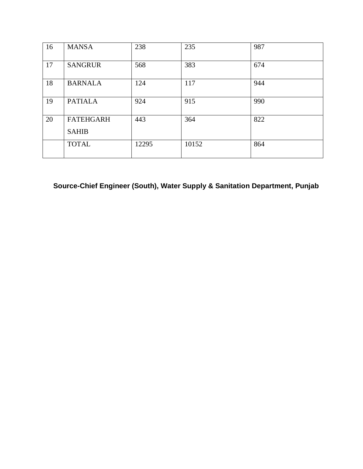| 16 | <b>MANSA</b>                     | 238   | 235   | 987 |
|----|----------------------------------|-------|-------|-----|
| 17 | <b>SANGRUR</b>                   | 568   | 383   | 674 |
| 18 | <b>BARNALA</b>                   | 124   | 117   | 944 |
| 19 | <b>PATIALA</b>                   | 924   | 915   | 990 |
| 20 | <b>FATEHGARH</b><br><b>SAHIB</b> | 443   | 364   | 822 |
|    | <b>TOTAL</b>                     | 12295 | 10152 | 864 |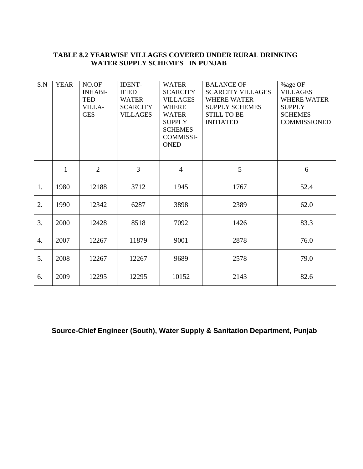#### **TABLE 8.2 YEARWISE VILLAGES COVERED UNDER RURAL DRINKING WATER SUPPLY SCHEMES IN PUNJAB**

| S.N              | <b>YEAR</b> | NO.OF<br><b>INHABI-</b><br><b>TED</b><br>VILLA-<br><b>GES</b> | <b>IDENT-</b><br><b>IFIED</b><br><b>WATER</b><br><b>SCARCITY</b><br><b>VILLAGES</b> | <b>WATER</b><br><b>SCARCITY</b><br><b>VILLAGES</b><br><b>WHERE</b><br><b>WATER</b><br><b>SUPPLY</b><br><b>SCHEMES</b><br><b>COMMISSI-</b><br><b>ONED</b> | <b>BALANCE OF</b><br><b>SCARCITY VILLAGES</b><br><b>WHERE WATER</b><br><b>SUPPLY SCHEMES</b><br><b>STILL TO BE</b><br><b>INITIATED</b> | %age OF<br><b>VILLAGES</b><br><b>WHERE WATER</b><br><b>SUPPLY</b><br><b>SCHEMES</b><br><b>COMMISSIONED</b> |
|------------------|-------------|---------------------------------------------------------------|-------------------------------------------------------------------------------------|----------------------------------------------------------------------------------------------------------------------------------------------------------|----------------------------------------------------------------------------------------------------------------------------------------|------------------------------------------------------------------------------------------------------------|
|                  | 1           | $\overline{2}$                                                | 3                                                                                   | $\overline{4}$                                                                                                                                           | 5                                                                                                                                      | 6                                                                                                          |
| 1.               | 1980        | 12188                                                         | 3712                                                                                | 1945                                                                                                                                                     | 1767                                                                                                                                   | 52.4                                                                                                       |
| 2.               | 1990        | 12342                                                         | 6287                                                                                | 3898                                                                                                                                                     | 2389                                                                                                                                   | 62.0                                                                                                       |
| 3.               | 2000        | 12428                                                         | 8518                                                                                | 7092                                                                                                                                                     | 1426                                                                                                                                   | 83.3                                                                                                       |
| $\overline{4}$ . | 2007        | 12267                                                         | 11879                                                                               | 9001                                                                                                                                                     | 2878                                                                                                                                   | 76.0                                                                                                       |
| 5.               | 2008        | 12267                                                         | 12267                                                                               | 9689                                                                                                                                                     | 2578                                                                                                                                   | 79.0                                                                                                       |
| 6.               | 2009        | 12295                                                         | 12295                                                                               | 10152                                                                                                                                                    | 2143                                                                                                                                   | 82.6                                                                                                       |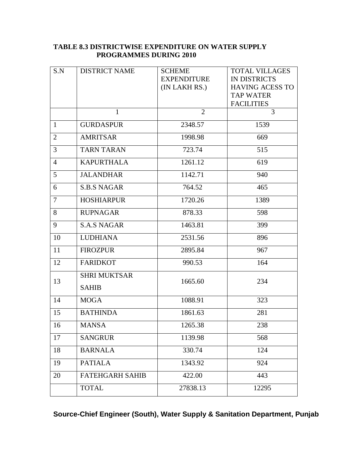| S.N            | <b>DISTRICT NAME</b>   | <b>SCHEME</b>      | <b>TOTAL VILLAGES</b>  |
|----------------|------------------------|--------------------|------------------------|
|                |                        | <b>EXPENDITURE</b> | IN DISTRICTS           |
|                |                        | (IN LAKH RS.)      | <b>HAVING ACESS TO</b> |
|                |                        |                    | <b>TAP WATER</b>       |
|                |                        |                    | <b>FACILITIES</b>      |
|                | $\mathbf{1}$           | $\overline{2}$     | $\overline{3}$         |
| $\mathbf{1}$   | <b>GURDASPUR</b>       | 2348.57            | 1539                   |
| 2              | <b>AMRITSAR</b>        | 1998.98            | 669                    |
| 3              | <b>TARN TARAN</b>      | 723.74             | 515                    |
| $\overline{4}$ | <b>KAPURTHALA</b>      | 1261.12            | 619                    |
| 5              | <b>JALANDHAR</b>       | 1142.71            | 940                    |
| 6              | <b>S.B.S NAGAR</b>     | 764.52             | 465                    |
| $\overline{7}$ | <b>HOSHIARPUR</b>      | 1720.26            | 1389                   |
| 8              | <b>RUPNAGAR</b>        | 878.33             | 598                    |
| 9              | <b>S.A.S NAGAR</b>     | 1463.81            | 399                    |
| 10             | <b>LUDHIANA</b>        | 2531.56            | 896                    |
| 11             | <b>FIROZPUR</b>        | 2895.84            | 967                    |
| 12             | <b>FARIDKOT</b>        | 990.53             | 164                    |
| 13             | <b>SHRI MUKTSAR</b>    | 1665.60            | 234                    |
|                | <b>SAHIB</b>           |                    |                        |
| 14             | <b>MOGA</b>            | 1088.91            | 323                    |
| 15             | <b>BATHINDA</b>        | 1861.63            | 281                    |
| 16             | <b>MANSA</b>           | 1265.38            | 238                    |
| 17             | <b>SANGRUR</b>         | 1139.98            | 568                    |
| 18             | <b>BARNALA</b>         | 330.74             | 124                    |
| 19             | <b>PATIALA</b>         | 1343.92            | 924                    |
| 20             | <b>FATEHGARH SAHIB</b> | 422.00             | 443                    |
|                | <b>TOTAL</b>           | 27838.13           | 12295                  |

### **TABLE 8.3 DISTRICTWISE EXPENDITURE ON WATER SUPPLY PROGRAMMES DURING 2010**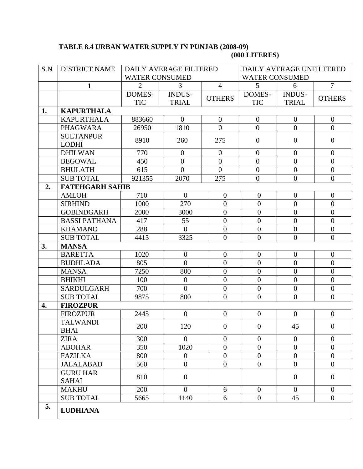## **TABLE 8.4 URBAN WATER SUPPLY IN PUNJAB (2008-09) (000 LITERES)**

| S.N | <b>DISTRICT NAME</b>            |                       | DAILY AVERAGE FILTERED |                  | DAILY AVERAGE UNFILTERED |                  |                  |  |
|-----|---------------------------------|-----------------------|------------------------|------------------|--------------------------|------------------|------------------|--|
|     |                                 | <b>WATER CONSUMED</b> |                        |                  | <b>WATER CONSUMED</b>    |                  |                  |  |
|     | $\mathbf{1}$                    | $\overline{2}$        | 3                      | $\overline{4}$   | 5                        | 6                | $\overline{7}$   |  |
|     |                                 | <b>DOMES-</b>         | <b>INDUS-</b>          | <b>OTHERS</b>    | <b>DOMES-</b>            | <b>INDUS-</b>    | <b>OTHERS</b>    |  |
|     |                                 | <b>TIC</b>            | <b>TRIAL</b>           |                  | <b>TIC</b>               | <b>TRIAL</b>     |                  |  |
| 1.  | <b>KAPURTHALA</b>               |                       |                        |                  |                          |                  |                  |  |
|     | <b>KAPURTHALA</b>               | 883660                | $\overline{0}$         | $\overline{0}$   | $\overline{0}$           | $\boldsymbol{0}$ | $\boldsymbol{0}$ |  |
|     | <b>PHAGWARA</b>                 | 26950                 | 1810                   | $\mathbf{0}$     | $\mathbf{0}$             | $\overline{0}$   | $\boldsymbol{0}$ |  |
|     | <b>SULTANPUR</b>                | 8910                  | 260                    | 275              | $\overline{0}$           | $\overline{0}$   | $\boldsymbol{0}$ |  |
|     | <b>LODHI</b>                    |                       |                        |                  |                          |                  |                  |  |
|     | <b>DHILWAN</b>                  | 770                   | $\overline{0}$         | $\overline{0}$   | $\overline{0}$           | $\overline{0}$   | $\overline{0}$   |  |
|     | <b>BEGOWAL</b>                  | 450                   | $\overline{0}$         | $\theta$         | $\overline{0}$           | $\theta$         | $\overline{0}$   |  |
|     | <b>BHULATH</b>                  | 615                   | $\boldsymbol{0}$       | $\boldsymbol{0}$ | $\boldsymbol{0}$         | $\boldsymbol{0}$ | $\boldsymbol{0}$ |  |
|     | <b>SUB TOTAL</b>                | 921355                | 2070                   | 275              | $\overline{0}$           | $\overline{0}$   | $\boldsymbol{0}$ |  |
| 2.  | <b>FATEHGARH SAHIB</b>          |                       |                        |                  |                          |                  |                  |  |
|     | <b>AMLOH</b>                    | 710                   | $\overline{0}$         | $\overline{0}$   | $\overline{0}$           | $\overline{0}$   | $\overline{0}$   |  |
|     | <b>SIRHIND</b>                  | 1000                  | 270                    | $\overline{0}$   | $\boldsymbol{0}$         | $\overline{0}$   | $\overline{0}$   |  |
|     | <b>GOBINDGARH</b>               | 2000                  | 3000                   | $\overline{0}$   | $\overline{0}$           | $\overline{0}$   | $\boldsymbol{0}$ |  |
|     | <b>BASSI PATHANA</b>            | 417                   | 55                     | $\overline{0}$   | $\overline{0}$           | $\overline{0}$   | $\boldsymbol{0}$ |  |
|     | <b>KHAMANO</b>                  | 288                   | $\overline{0}$         | $\boldsymbol{0}$ | $\boldsymbol{0}$         | $\overline{0}$   | $\boldsymbol{0}$ |  |
|     | <b>SUB TOTAL</b>                | 4415                  | 3325                   | $\overline{0}$   | $\overline{0}$           | $\overline{0}$   | $\overline{0}$   |  |
| 3.  | <b>MANSA</b>                    |                       |                        |                  |                          |                  |                  |  |
|     | <b>BARETTA</b>                  | 1020                  | $\overline{0}$         | $\boldsymbol{0}$ | $\overline{0}$           | $\overline{0}$   | $\boldsymbol{0}$ |  |
|     | <b>BUDHLADA</b>                 | 805                   | $\overline{0}$         | $\boldsymbol{0}$ | $\boldsymbol{0}$         | $\overline{0}$   | $\boldsymbol{0}$ |  |
|     | <b>MANSA</b>                    | 7250                  | 800                    | $\overline{0}$   | $\overline{0}$           | $\theta$         | $\overline{0}$   |  |
|     | <b>BHIKHI</b>                   | 100                   | $\overline{0}$         | $\boldsymbol{0}$ | $\boldsymbol{0}$         | $\overline{0}$   | $\overline{0}$   |  |
|     | <b>SARDULGARH</b>               | 700                   | $\overline{0}$         | $\boldsymbol{0}$ | $\mathbf{0}$             | $\overline{0}$   | $\boldsymbol{0}$ |  |
|     | <b>SUB TOTAL</b>                | 9875                  | 800                    | $\boldsymbol{0}$ | $\boldsymbol{0}$         | $\overline{0}$   | $\boldsymbol{0}$ |  |
| 4.  | <b>FIROZPUR</b>                 |                       |                        |                  |                          |                  |                  |  |
|     | <b>FIROZPUR</b>                 | 2445                  | $\overline{0}$         | $\boldsymbol{0}$ | $\overline{0}$           | $\overline{0}$   | $\boldsymbol{0}$ |  |
|     | <b>TALWANDI</b>                 | 200                   | 120                    | $\boldsymbol{0}$ | $\boldsymbol{0}$         | 45               | $\overline{0}$   |  |
|     | <b>BHAI</b>                     |                       |                        |                  |                          |                  |                  |  |
|     | <b>ZIRA</b>                     | 300                   | $\overline{0}$         | $\Omega$         | $\overline{0}$           | $\overline{0}$   | $\overline{0}$   |  |
|     | <b>ABOHAR</b>                   | 350                   | 1020                   | $\boldsymbol{0}$ | $\boldsymbol{0}$         | $\boldsymbol{0}$ | $\boldsymbol{0}$ |  |
|     | <b>FAZILKA</b>                  | 800                   | $\overline{0}$         | $\boldsymbol{0}$ | $\boldsymbol{0}$         | $\overline{0}$   | $\boldsymbol{0}$ |  |
|     | <b>JALALABAD</b>                | 560                   | $\overline{0}$         | $\overline{0}$   | $\overline{0}$           | $\overline{0}$   | $\overline{0}$   |  |
|     | <b>GURU HAR</b><br><b>SAHAI</b> | 810                   | $\overline{0}$         |                  |                          | $\overline{0}$   | $\overline{0}$   |  |
|     | <b>MAKHU</b>                    | 200                   | $\overline{0}$         | 6                | $\overline{0}$           | $\overline{0}$   | $\overline{0}$   |  |
|     | <b>SUB TOTAL</b>                | 5665                  | 1140                   | 6                | $\overline{0}$           | 45               | $\overline{0}$   |  |
| 5.  |                                 |                       |                        |                  |                          |                  |                  |  |
|     | <b>LUDHIANA</b>                 |                       |                        |                  |                          |                  |                  |  |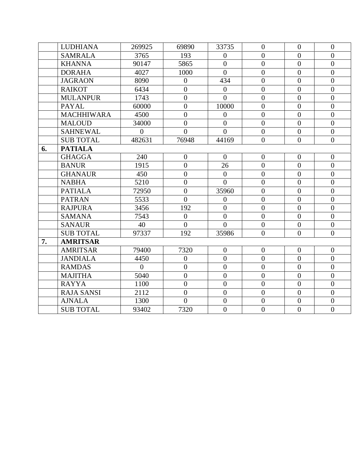|    | <b>LUDHIANA</b>   | 269925         | 69890            | 33735          | $\overline{0}$ | $\theta$         | $\overline{0}$   |
|----|-------------------|----------------|------------------|----------------|----------------|------------------|------------------|
|    | <b>SAMRALA</b>    | 3765           | 193              | $\overline{0}$ | $\overline{0}$ | $\overline{0}$   | $\overline{0}$   |
|    | <b>KHANNA</b>     | 90147          | 5865             | $\overline{0}$ | $\overline{0}$ | $\overline{0}$   | $\overline{0}$   |
|    | <b>DORAHA</b>     | 4027           | 1000             | $\mathbf{0}$   | $\overline{0}$ | $\boldsymbol{0}$ | $\overline{0}$   |
|    | <b>JAGRAON</b>    | 8090           | $\overline{0}$   | 434            | $\overline{0}$ | $\overline{0}$   | $\overline{0}$   |
|    | <b>RAIKOT</b>     | 6434           | $\overline{0}$   | $\overline{0}$ | $\overline{0}$ | $\overline{0}$   | $\overline{0}$   |
|    | <b>MULANPUR</b>   | 1743           | $\overline{0}$   | $\overline{0}$ | $\overline{0}$ | $\overline{0}$   | $\overline{0}$   |
|    | <b>PAYAL</b>      | 60000          | $\overline{0}$   | 10000          | $\overline{0}$ | $\overline{0}$   | $\overline{0}$   |
|    | <b>MACHHIWARA</b> | 4500           | $\overline{0}$   | $\overline{0}$ | $\overline{0}$ | $\overline{0}$   | $\overline{0}$   |
|    | <b>MALOUD</b>     | 34000          | $\overline{0}$   | $\overline{0}$ | $\overline{0}$ | $\overline{0}$   | $\overline{0}$   |
|    | <b>SAHNEWAL</b>   | $\theta$       | $\theta$         | $\overline{0}$ | $\overline{0}$ | $\mathbf{0}$     | $\overline{0}$   |
|    | <b>SUB TOTAL</b>  | 482631         | 76948            | 44169          | $\overline{0}$ | $\overline{0}$   | $\overline{0}$   |
| 6. | <b>PATIALA</b>    |                |                  |                |                |                  |                  |
|    | <b>GHAGGA</b>     | 240            | $\boldsymbol{0}$ | $\mathbf{0}$   | $\overline{0}$ | $\boldsymbol{0}$ | $\overline{0}$   |
|    | <b>BANUR</b>      | 1915           | $\overline{0}$   | 26             | $\overline{0}$ | $\mathbf{0}$     | $\overline{0}$   |
|    | <b>GHANAUR</b>    | 450            | $\overline{0}$   | $\mathbf{0}$   | $\overline{0}$ | $\overline{0}$   | $\overline{0}$   |
|    | <b>NABHA</b>      | 5210           | $\overline{0}$   | $\theta$       | $\overline{0}$ | $\overline{0}$   | $\overline{0}$   |
|    | <b>PATIALA</b>    | 72950          | $\overline{0}$   | 35960          | $\overline{0}$ | $\mathbf{0}$     | $\overline{0}$   |
|    | <b>PATRAN</b>     | 5533           | $\overline{0}$   | $\overline{0}$ | $\overline{0}$ | $\overline{0}$   | $\overline{0}$   |
|    | <b>RAJPURA</b>    | 3456           | 192              | $\mathbf{0}$   | $\overline{0}$ | $\overline{0}$   | $\boldsymbol{0}$ |
|    | <b>SAMANA</b>     | 7543           | $\overline{0}$   | $\overline{0}$ | $\overline{0}$ | $\overline{0}$   | $\overline{0}$   |
|    | <b>SANAUR</b>     | 40             | $\overline{0}$   | $\overline{0}$ | $\overline{0}$ | $\mathbf{0}$     | $\overline{0}$   |
|    | <b>SUB TOTAL</b>  | 97337          | 192              | 35986          | $\overline{0}$ | $\overline{0}$   | $\overline{0}$   |
| 7. | <b>AMRITSAR</b>   |                |                  |                |                |                  |                  |
|    | <b>AMRITSAR</b>   | 79400          | 7320             | $\overline{0}$ | $\mathbf{0}$   | $\overline{0}$   | $\overline{0}$   |
|    | <b>JANDIALA</b>   | 4450           | $\boldsymbol{0}$ | $\overline{0}$ | $\overline{0}$ | $\overline{0}$   | $\overline{0}$   |
|    | <b>RAMDAS</b>     | $\overline{0}$ | $\overline{0}$   | $\overline{0}$ | $\overline{0}$ | $\mathbf{0}$     | $\overline{0}$   |
|    | <b>MAJITHA</b>    | 5040           | $\overline{0}$   | $\theta$       | $\overline{0}$ | $\boldsymbol{0}$ | $\overline{0}$   |
|    | <b>RAYYA</b>      | 1100           | $\overline{0}$   | $\overline{0}$ | $\overline{0}$ | $\overline{0}$   | $\overline{0}$   |
|    | <b>RAJA SANSI</b> | 2112           | $\overline{0}$   | $\overline{0}$ | $\overline{0}$ | $\overline{0}$   | $\overline{0}$   |
|    | <b>AJNALA</b>     | 1300           | $\overline{0}$   | $\theta$       | $\overline{0}$ | $\boldsymbol{0}$ | $\boldsymbol{0}$ |
|    | <b>SUB TOTAL</b>  | 93402          | 7320             | $\overline{0}$ | $\overline{0}$ | $\overline{0}$   | $\overline{0}$   |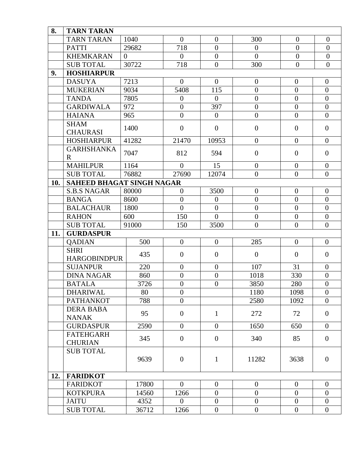| 8.  | <b>TARN TARAN</b>                                      |          |                  |                  |                  |                  |                  |
|-----|--------------------------------------------------------|----------|------------------|------------------|------------------|------------------|------------------|
|     | <b>TARN TARAN</b>                                      | 1040     | $\overline{0}$   | $\overline{0}$   | 300              | $\overline{0}$   | $\overline{0}$   |
|     | <b>PATTI</b>                                           | 29682    | 718              | $\boldsymbol{0}$ | $\overline{0}$   | $\overline{0}$   | $\boldsymbol{0}$ |
|     | <b>KHEMKARAN</b>                                       | $\Omega$ | $\Omega$         | $\overline{0}$   | $\overline{0}$   | $\overline{0}$   | $\overline{0}$   |
|     | <b>SUB TOTAL</b>                                       | 30722    | 718              | $\boldsymbol{0}$ | 300              | $\overline{0}$   | $\overline{0}$   |
| 9.  | <b>HOSHIARPUR</b>                                      |          |                  |                  |                  |                  |                  |
|     | <b>DASUYA</b>                                          | 7213     | $\overline{0}$   | $\boldsymbol{0}$ | $\boldsymbol{0}$ | $\overline{0}$   | $\overline{0}$   |
|     | <b>MUKERIAN</b>                                        | 9034     | 5408             | 115              | $\overline{0}$   | $\overline{0}$   | $\overline{0}$   |
|     | <b>TANDA</b>                                           | 7805     | $\boldsymbol{0}$ | $\overline{0}$   | $\boldsymbol{0}$ | $\overline{0}$   | $\overline{0}$   |
|     | <b>GARDIWALA</b>                                       | 972      | $\overline{0}$   | 397              | $\overline{0}$   | $\overline{0}$   | $\boldsymbol{0}$ |
|     | <b>HAIANA</b>                                          | 965      | $\overline{0}$   | $\overline{0}$   | $\overline{0}$   | $\overline{0}$   | $\overline{0}$   |
|     | <b>SHAM</b><br><b>CHAURASI</b>                         | 1400     | $\overline{0}$   | $\overline{0}$   | $\overline{0}$   | $\overline{0}$   | $\overline{0}$   |
|     | <b>HOSHIARPUR</b>                                      | 41282    | 21470            | 10953            | $\overline{0}$   | $\overline{0}$   | $\overline{0}$   |
|     | <b>GARHSHANKA</b>                                      | 7047     | 812              | 594              | $\overline{0}$   | $\overline{0}$   | $\overline{0}$   |
|     | $\mathbf R$                                            |          |                  |                  |                  |                  |                  |
|     | <b>MAHILPUR</b>                                        | 1164     | $\Omega$         | 15               | $\boldsymbol{0}$ | $\overline{0}$   | $\overline{0}$   |
|     | <b>SUB TOTAL</b>                                       | 76882    | 27690            | 12074            | $\overline{0}$   | $\overline{0}$   | $\overline{0}$   |
| 10. | <b>SAHEED BHAGAT SINGH NAGAR</b><br><b>S.B.S NAGAR</b> | 80000    | $\overline{0}$   | 3500             | $\overline{0}$   | $\overline{0}$   | $\overline{0}$   |
|     | <b>BANGA</b>                                           | 8600     | $\overline{0}$   | $\overline{0}$   | $\overline{0}$   | $\overline{0}$   | $\mathbf{0}$     |
|     | <b>BALACHAUR</b>                                       | 1800     | $\overline{0}$   | $\overline{0}$   | $\overline{0}$   | $\overline{0}$   | $\overline{0}$   |
|     | <b>RAHON</b>                                           | 600      | 150              | $\overline{0}$   | $\overline{0}$   | $\boldsymbol{0}$ | $\overline{0}$   |
|     | <b>SUB TOTAL</b>                                       | 91000    | 150              | 3500             | $\overline{0}$   | $\overline{0}$   | $\overline{0}$   |
| 11. | <b>GURDASPUR</b>                                       |          |                  |                  |                  |                  |                  |
|     | <b>QADIAN</b>                                          | 500      | $\overline{0}$   | $\overline{0}$   | 285              | $\overline{0}$   | $\overline{0}$   |
|     | <b>SHRI</b>                                            |          |                  |                  |                  |                  |                  |
|     | <b>HARGOBINDPUR</b>                                    | 435      | $\overline{0}$   | $\overline{0}$   | $\overline{0}$   | $\overline{0}$   | $\overline{0}$   |
|     | <b>SUJANPUR</b>                                        | 220      | $\boldsymbol{0}$ | $\overline{0}$   | 107              | 31               | $\overline{0}$   |
|     | <b>DINA NAGAR</b>                                      | 860      | $\boldsymbol{0}$ | $\boldsymbol{0}$ | 1018             | 330              | $\overline{0}$   |
|     | <b>BATALA</b>                                          | 3726     | $\boldsymbol{0}$ | $\overline{0}$   | 3850             | 280              | $\boldsymbol{0}$ |
|     | <b>DHARIWAL</b>                                        | 80       | $\overline{0}$   |                  | 1180             | 1098             | $\overline{0}$   |
|     | <b>PATHANKOT</b>                                       | 788      | $\overline{0}$   |                  | 2580             | 1092             | $\overline{0}$   |
|     | <b>DERA BABA</b><br><b>NANAK</b>                       | 95       | $\overline{0}$   | $\mathbf{1}$     | 272              | 72               | $\overline{0}$   |
|     | <b>GURDASPUR</b>                                       | 2590     | $\overline{0}$   | $\mathbf{0}$     | 1650             | 650              | $\mathbf{0}$     |
|     | <b>FATEHGARH</b><br><b>CHURIAN</b>                     | 345      | $\overline{0}$   | $\mathbf{0}$     | 340              | 85               | $\overline{0}$   |
|     | <b>SUB TOTAL</b>                                       | 9639     | $\boldsymbol{0}$ | $\mathbf{1}$     | 11282            | 3638             | $\overline{0}$   |
| 12. | <b>FARIDKOT</b>                                        |          |                  |                  |                  |                  |                  |
|     | <b>FARIDKOT</b>                                        | 17800    | $\Omega$         | $\mathbf{0}$     | $\boldsymbol{0}$ | $\overline{0}$   | $\overline{0}$   |
|     | <b>KOTKPURA</b>                                        | 14560    | 1266             | $\boldsymbol{0}$ | $\overline{0}$   | $\overline{0}$   | $\mathbf{0}$     |
|     | <b>JAITU</b>                                           | 4352     | $\overline{0}$   | $\overline{0}$   | $\overline{0}$   | $\overline{0}$   | $\mathbf{0}$     |
|     | <b>SUB TOTAL</b>                                       | 36712    | 1266             | $\overline{0}$   | $\overline{0}$   | $\overline{0}$   | $\overline{0}$   |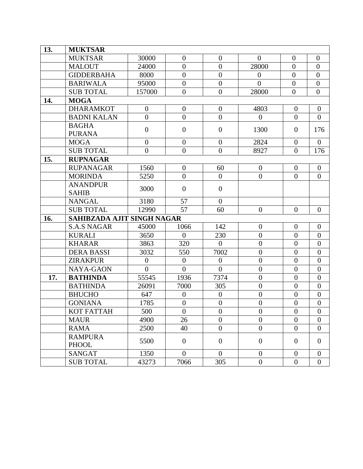| 13. | <b>MUKTSAR</b>                 |                  |                  |                  |                  |                  |                  |
|-----|--------------------------------|------------------|------------------|------------------|------------------|------------------|------------------|
|     | <b>MUKTSAR</b>                 | 30000            | $\boldsymbol{0}$ | $\boldsymbol{0}$ | $\overline{0}$   | $\boldsymbol{0}$ | $\overline{0}$   |
|     | <b>MALOUT</b>                  | 24000            | $\overline{0}$   | $\overline{0}$   | 28000            | $\overline{0}$   | $\overline{0}$   |
|     | <b>GIDDERBAHA</b>              | 8000             | $\overline{0}$   | $\overline{0}$   | $\overline{0}$   | $\overline{0}$   | $\overline{0}$   |
|     | <b>BARIWALA</b>                | 95000            | $\overline{0}$   | $\boldsymbol{0}$ | $\overline{0}$   | $\overline{0}$   | $\overline{0}$   |
|     | <b>SUB TOTAL</b>               | 157000           | $\overline{0}$   | $\boldsymbol{0}$ | 28000            | $\overline{0}$   | $\overline{0}$   |
| 14. | <b>MOGA</b>                    |                  |                  |                  |                  |                  |                  |
|     | <b>DHARAMKOT</b>               | $\overline{0}$   | $\boldsymbol{0}$ | $\boldsymbol{0}$ | 4803             | $\boldsymbol{0}$ | $\mathbf{0}$     |
|     | <b>BADNI KALAN</b>             | $\overline{0}$   | $\overline{0}$   | $\overline{0}$   | $\overline{0}$   | $\overline{0}$   | $\overline{0}$   |
|     | <b>BAGHA</b><br><b>PURANA</b>  | $\overline{0}$   | $\overline{0}$   | $\overline{0}$   | 1300             | $\overline{0}$   | 176              |
|     | <b>MOGA</b>                    | $\overline{0}$   | $\overline{0}$   | $\boldsymbol{0}$ | 2824             | $\overline{0}$   | $\overline{0}$   |
|     | <b>SUB TOTAL</b>               | $\overline{0}$   | $\overline{0}$   | $\boldsymbol{0}$ | 8927             | $\overline{0}$   | 176              |
| 15. | <b>RUPNAGAR</b>                |                  |                  |                  |                  |                  |                  |
|     | <b>RUPANAGAR</b>               | 1560             | $\boldsymbol{0}$ | 60               | $\overline{0}$   | $\boldsymbol{0}$ | $\boldsymbol{0}$ |
|     | <b>MORINDA</b>                 | 5250             | $\overline{0}$   | $\overline{0}$   | $\overline{0}$   | $\overline{0}$   | $\overline{0}$   |
|     | <b>ANANDPUR</b>                |                  |                  |                  |                  |                  |                  |
|     | <b>SAHIB</b>                   | 3000             | $\overline{0}$   | $\boldsymbol{0}$ |                  |                  |                  |
|     | <b>NANGAL</b>                  | 3180             | 57               | $\boldsymbol{0}$ |                  |                  |                  |
|     | <b>SUB TOTAL</b>               | 12990            | 57               | 60               | $\overline{0}$   | $\overline{0}$   | $\boldsymbol{0}$ |
| 16. | SAHIBZADA AJIT SINGH NAGAR     |                  |                  |                  |                  |                  |                  |
|     | <b>S.A.S NAGAR</b>             | 45000            | 1066             | 142              | $\overline{0}$   | $\boldsymbol{0}$ | $\boldsymbol{0}$ |
|     | <b>KURALI</b>                  | 3650             | $\overline{0}$   | 230              | $\overline{0}$   | $\overline{0}$   | $\overline{0}$   |
|     | <b>KHARAR</b>                  | 3863             | 320              | $\overline{0}$   | $\overline{0}$   | $\overline{0}$   | $\overline{0}$   |
|     | <b>DERA BASSI</b>              | 3032             | 550              | 7002             | $\overline{0}$   | $\overline{0}$   | $\overline{0}$   |
|     | <b>ZIRAKPUR</b>                | $\boldsymbol{0}$ | $\boldsymbol{0}$ | $\overline{0}$   | $\overline{0}$   | $\boldsymbol{0}$ | $\overline{0}$   |
|     | NAYA-GAON                      | $\overline{0}$   | $\overline{0}$   | $\overline{0}$   | $\overline{0}$   | $\boldsymbol{0}$ | $\overline{0}$   |
| 17. | <b>BATHINDA</b>                | 55545            | 1936             | 7374             | $\overline{0}$   | $\boldsymbol{0}$ | $\overline{0}$   |
|     | <b>BATHINDA</b>                | 26091            | 7000             | 305              | $\overline{0}$   | $\overline{0}$   | $\overline{0}$   |
|     | <b>BHUCHO</b>                  | 647              | $\overline{0}$   | $\overline{0}$   | $\overline{0}$   | $\boldsymbol{0}$ | $\boldsymbol{0}$ |
|     | <b>GONIANA</b>                 | 1785             | $\overline{0}$   | $\overline{0}$   | $\overline{0}$   | $\overline{0}$   | $\overline{0}$   |
|     | <b>KOT FATTAH</b>              | 500              | $\overline{0}$   | $\boldsymbol{0}$ | $\boldsymbol{0}$ | $\boldsymbol{0}$ | $\boldsymbol{0}$ |
|     | <b>MAUR</b>                    | 4900             | 26               | $\overline{0}$   | $\overline{0}$   | $\overline{0}$   | $\overline{0}$   |
|     | <b>RAMA</b>                    | 2500             | 40               | $\boldsymbol{0}$ | $\overline{0}$   | $\boldsymbol{0}$ | $\overline{0}$   |
|     | <b>RAMPURA</b><br><b>PHOOL</b> | 5500             | $\boldsymbol{0}$ | $\overline{0}$   | $\overline{0}$   | $\overline{0}$   | $\overline{0}$   |
|     | <b>SANGAT</b>                  | 1350             | $\overline{0}$   | $\overline{0}$   | $\boldsymbol{0}$ | $\boldsymbol{0}$ | $\boldsymbol{0}$ |
|     | <b>SUB TOTAL</b>               | 43273            | 7066             | 305              | $\overline{0}$   | $\overline{0}$   | $\overline{0}$   |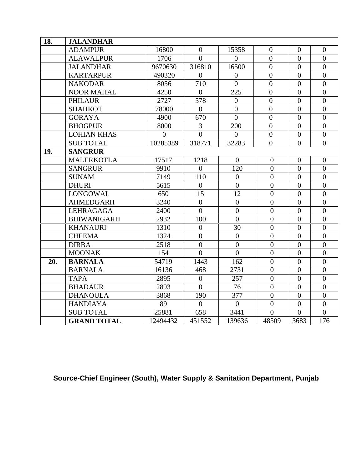| 18. | <b>JALANDHAR</b>   |          |                  |                  |                  |                  |                  |
|-----|--------------------|----------|------------------|------------------|------------------|------------------|------------------|
|     | <b>ADAMPUR</b>     | 16800    | $\overline{0}$   | 15358            | $\overline{0}$   | $\overline{0}$   | $\overline{0}$   |
|     | <b>ALAWALPUR</b>   | 1706     | $\theta$         | $\Omega$         | $\boldsymbol{0}$ | $\theta$         | $\overline{0}$   |
|     | <b>JALANDHAR</b>   | 9670630  | 316810           | 16500            | $\boldsymbol{0}$ | $\overline{0}$   | $\overline{0}$   |
|     | <b>KARTARPUR</b>   | 490320   | $\boldsymbol{0}$ | $\overline{0}$   | $\overline{0}$   | $\overline{0}$   | $\overline{0}$   |
|     | <b>NAKODAR</b>     | 8056     | 710              | $\overline{0}$   | $\overline{0}$   | $\overline{0}$   | $\boldsymbol{0}$ |
|     | <b>NOOR MAHAL</b>  | 4250     | $\overline{0}$   | 225              | $\overline{0}$   | $\overline{0}$   | $\overline{0}$   |
|     | <b>PHILAUR</b>     | 2727     | 578              | $\boldsymbol{0}$ | $\overline{0}$   | $\overline{0}$   | $\overline{0}$   |
|     | <b>SHAHKOT</b>     | 78000    | $\overline{0}$   | $\overline{0}$   | $\overline{0}$   | $\overline{0}$   | $\overline{0}$   |
|     | <b>GORAYA</b>      | 4900     | 670              | $\overline{0}$   | $\overline{0}$   | $\overline{0}$   | $\overline{0}$   |
|     | <b>BHOGPUR</b>     | 8000     | 3                | 200              | $\overline{0}$   | $\theta$         | $\overline{0}$   |
|     | <b>LOHIAN KHAS</b> | $\Omega$ | $\theta$         | $\Omega$         | $\overline{0}$   | $\overline{0}$   | $\overline{0}$   |
|     | <b>SUB TOTAL</b>   | 10285389 | 318771           | 32283            | $\boldsymbol{0}$ | $\overline{0}$   | $\overline{0}$   |
| 19. | <b>SANGRUR</b>     |          |                  |                  |                  |                  |                  |
|     | <b>MALERKOTLA</b>  | 17517    | 1218             | $\mathbf{0}$     | $\mathbf{0}$     | $\overline{0}$   | $\overline{0}$   |
|     | <b>SANGRUR</b>     | 9910     | $\boldsymbol{0}$ | 120              | $\overline{0}$   | $\overline{0}$   | $\overline{0}$   |
|     | <b>SUNAM</b>       | 7149     | 110              | $\overline{0}$   | $\overline{0}$   | $\overline{0}$   | $\overline{0}$   |
|     | <b>DHURI</b>       | 5615     | $\overline{0}$   | $\overline{0}$   | $\overline{0}$   | $\overline{0}$   | $\overline{0}$   |
|     | <b>LONGOWAL</b>    | 650      | 15               | 12               | $\overline{0}$   | $\overline{0}$   | $\overline{0}$   |
|     | <b>AHMEDGARH</b>   | 3240     | $\overline{0}$   | $\overline{0}$   | $\overline{0}$   | $\overline{0}$   | $\overline{0}$   |
|     | <b>LEHRAGAGA</b>   | 2400     | $\overline{0}$   | $\overline{0}$   | $\overline{0}$   | $\overline{0}$   | $\overline{0}$   |
|     | <b>BHIWANIGARH</b> | 2932     | 100              | $\overline{0}$   | $\overline{0}$   | $\overline{0}$   | $\overline{0}$   |
|     | <b>KHANAURI</b>    | 1310     | $\overline{0}$   | 30               | $\overline{0}$   | $\overline{0}$   | $\overline{0}$   |
|     | <b>CHEEMA</b>      | 1324     | $\overline{0}$   | $\overline{0}$   | $\overline{0}$   | $\overline{0}$   | $\overline{0}$   |
|     | <b>DIRBA</b>       | 2518     | $\overline{0}$   | $\overline{0}$   | $\overline{0}$   | $\overline{0}$   | $\overline{0}$   |
|     | <b>MOONAK</b>      | 154      | $\overline{0}$   | $\overline{0}$   | $\boldsymbol{0}$ | $\overline{0}$   | $\overline{0}$   |
| 20. | <b>BARNALA</b>     | 54719    | 1443             | 162              | $\boldsymbol{0}$ | $\overline{0}$   | $\overline{0}$   |
|     | <b>BARNALA</b>     | 16136    | 468              | 2731             | $\overline{0}$   | $\boldsymbol{0}$ | $\overline{0}$   |
|     | <b>TAPA</b>        | 2895     | $\boldsymbol{0}$ | 257              | $\overline{0}$   | $\overline{0}$   | $\overline{0}$   |
|     | <b>BHADAUR</b>     | 2893     | $\overline{0}$   | $\overline{76}$  | $\overline{0}$   | $\overline{0}$   | $\overline{0}$   |
|     | <b>DHANOULA</b>    | 3868     | 190              | 377              | $\overline{0}$   | $\overline{0}$   | $\overline{0}$   |
|     | <b>HANDIAYA</b>    | 89       | $\boldsymbol{0}$ | $\overline{0}$   | $\boldsymbol{0}$ | $\theta$         | $\overline{0}$   |
|     | <b>SUB TOTAL</b>   | 25881    | 658              | 3441             | $\overline{0}$   | $\overline{0}$   | $\overline{0}$   |
|     | <b>GRAND TOTAL</b> | 12494432 | 451552           | 139636           | 48509            | 3683             | 176              |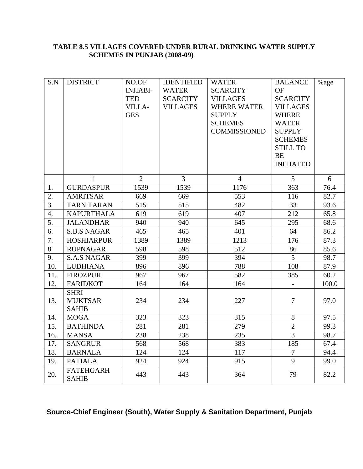#### **TABLE 8.5 VILLAGES COVERED UNDER RURAL DRINKING WATER SUPPLY SCHEMES IN PUNJAB (2008-09)**

| S.N | <b>DISTRICT</b>                               | NO.OF<br><b>INHABI-</b><br><b>TED</b><br>VILLA-<br><b>GES</b> | <b>IDENTIFIED</b><br><b>WATER</b><br><b>SCARCITY</b><br><b>VILLAGES</b> | <b>WATER</b><br><b>SCARCITY</b><br><b>VILLAGES</b><br><b>WHERE WATER</b><br><b>SUPPLY</b><br><b>SCHEMES</b><br><b>COMMISSIONED</b> | <b>BALANCE</b><br><b>OF</b><br><b>SCARCITY</b><br><b>VILLAGES</b><br><b>WHERE</b><br><b>WATER</b><br><b>SUPPLY</b><br><b>SCHEMES</b><br><b>STILL TO</b><br><b>BE</b><br><b>INITIATED</b> | %age  |
|-----|-----------------------------------------------|---------------------------------------------------------------|-------------------------------------------------------------------------|------------------------------------------------------------------------------------------------------------------------------------|------------------------------------------------------------------------------------------------------------------------------------------------------------------------------------------|-------|
|     | $\mathbf{1}$                                  | $\overline{2}$                                                | $\overline{3}$                                                          | $\overline{4}$                                                                                                                     | $\overline{5}$                                                                                                                                                                           | 6     |
| 1.  | <b>GURDASPUR</b>                              | 1539                                                          | 1539                                                                    | 1176                                                                                                                               | 363                                                                                                                                                                                      | 76.4  |
| 2.  | <b>AMRITSAR</b>                               | 669                                                           | 669                                                                     | 553                                                                                                                                | 116                                                                                                                                                                                      | 82.7  |
| 3.  | <b>TARN TARAN</b>                             | 515                                                           | 515                                                                     | 482                                                                                                                                | 33                                                                                                                                                                                       | 93.6  |
| 4.  | <b>KAPURTHALA</b>                             | 619                                                           | 619                                                                     | 407                                                                                                                                | 212                                                                                                                                                                                      | 65.8  |
| 5.  | <b>JALANDHAR</b>                              | 940                                                           | 940                                                                     | 645                                                                                                                                | 295                                                                                                                                                                                      | 68.6  |
| 6.  | <b>S.B.S NAGAR</b>                            | 465                                                           | 465                                                                     | 401                                                                                                                                | 64                                                                                                                                                                                       | 86.2  |
| 7.  | <b>HOSHIARPUR</b>                             | 1389                                                          | 1389                                                                    | 1213                                                                                                                               | 176                                                                                                                                                                                      | 87.3  |
| 8.  | <b>RUPNAGAR</b>                               | 598                                                           | 598                                                                     | 512                                                                                                                                | 86                                                                                                                                                                                       | 85.6  |
| 9.  | <b>S.A.S NAGAR</b>                            | 399                                                           | 399                                                                     | 394                                                                                                                                | 5                                                                                                                                                                                        | 98.7  |
| 10. | <b>LUDHIANA</b>                               | 896                                                           | 896                                                                     | 788                                                                                                                                | 108                                                                                                                                                                                      | 87.9  |
| 11. | <b>FIROZPUR</b>                               | 967                                                           | 967                                                                     | 582                                                                                                                                | 385                                                                                                                                                                                      | 60.2  |
| 12. | <b>FARIDKOT</b>                               | 164                                                           | 164                                                                     | 164                                                                                                                                |                                                                                                                                                                                          | 100.0 |
| 13. | <b>SHRI</b><br><b>MUKTSAR</b><br><b>SAHIB</b> | 234                                                           | 234                                                                     | 227                                                                                                                                | $\overline{7}$                                                                                                                                                                           | 97.0  |
| 14. | <b>MOGA</b>                                   | 323                                                           | 323                                                                     | 315                                                                                                                                | 8                                                                                                                                                                                        | 97.5  |
| 15. | <b>BATHINDA</b>                               | 281                                                           | 281                                                                     | 279                                                                                                                                | $\overline{2}$                                                                                                                                                                           | 99.3  |
| 16. | <b>MANSA</b>                                  | 238                                                           | 238                                                                     | 235                                                                                                                                | $\overline{3}$                                                                                                                                                                           | 98.7  |
| 17. | <b>SANGRUR</b>                                | 568                                                           | 568                                                                     | 383                                                                                                                                | 185                                                                                                                                                                                      | 67.4  |
| 18. | <b>BARNALA</b>                                | 124                                                           | 124                                                                     | 117                                                                                                                                | $\overline{7}$                                                                                                                                                                           | 94.4  |
| 19. | <b>PATIALA</b>                                | 924                                                           | 924                                                                     | 915                                                                                                                                | 9                                                                                                                                                                                        | 99.0  |
| 20. | <b>FATEHGARH</b><br><b>SAHIB</b>              | 443                                                           | 443                                                                     | 364                                                                                                                                | 79                                                                                                                                                                                       | 82.2  |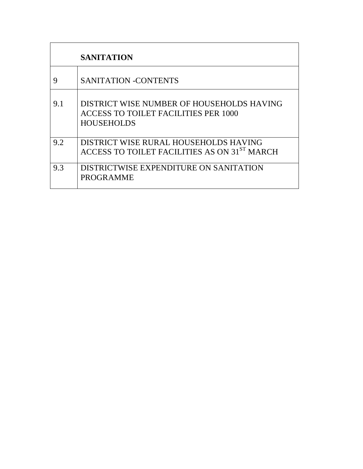|     | <b>SANITATION</b>                                                                                             |
|-----|---------------------------------------------------------------------------------------------------------------|
| 9   | <b>SANITATION -CONTENTS</b>                                                                                   |
| 9.1 | DISTRICT WISE NUMBER OF HOUSEHOLDS HAVING<br><b>ACCESS TO TOILET FACILITIES PER 1000</b><br><b>HOUSEHOLDS</b> |
| 9.2 | DISTRICT WISE RURAL HOUSEHOLDS HAVING<br>ACCESS TO TOILET FACILITIES AS ON 31 <sup>ST</sup> MARCH             |
| 9.3 | DISTRICTWISE EXPENDITURE ON SANITATION<br><b>PROGRAMME</b>                                                    |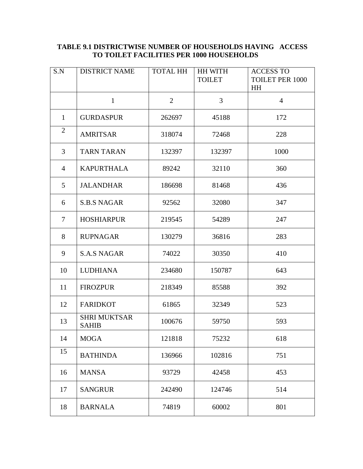#### **TABLE 9.1 DISTRICTWISE NUMBER OF HOUSEHOLDS HAVING ACCESS TO TOILET FACILITIES PER 1000 HOUSEHOLDS**

| S.N            | <b>DISTRICT NAME</b>                | <b>TOTAL HH</b> | <b>HH WITH</b><br><b>TOILET</b> | <b>ACCESS TO</b><br><b>TOILET PER 1000</b> |
|----------------|-------------------------------------|-----------------|---------------------------------|--------------------------------------------|
|                |                                     |                 |                                 | HH                                         |
|                | $\mathbf{1}$                        | $\overline{2}$  | 3                               | $\overline{4}$                             |
| $\mathbf{1}$   | <b>GURDASPUR</b>                    | 262697          | 45188                           | 172                                        |
| $\overline{2}$ | <b>AMRITSAR</b>                     | 318074          | 72468                           | 228                                        |
| $\overline{3}$ | <b>TARN TARAN</b>                   | 132397          | 132397                          | 1000                                       |
| $\overline{4}$ | <b>KAPURTHALA</b>                   | 89242           | 32110                           | 360                                        |
| 5              | <b>JALANDHAR</b>                    | 186698          | 81468                           | 436                                        |
| 6              | <b>S.B.S NAGAR</b>                  | 92562           | 32080                           | 347                                        |
| $\tau$         | <b>HOSHIARPUR</b>                   | 219545          | 54289                           | 247                                        |
| 8              | <b>RUPNAGAR</b>                     | 130279          | 36816                           | 283                                        |
| 9              | <b>S.A.S NAGAR</b>                  | 74022           | 30350                           | 410                                        |
| 10             | <b>LUDHIANA</b>                     | 234680          | 150787                          | 643                                        |
| 11             | <b>FIROZPUR</b>                     | 218349          | 85588                           | 392                                        |
| 12             | <b>FARIDKOT</b>                     | 61865           | 32349                           | 523                                        |
| 13             | <b>SHRI MUKTSAR</b><br><b>SAHIB</b> | 100676          | 59750                           | 593                                        |
| 14             | <b>MOGA</b>                         | 121818          | 75232                           | 618                                        |
| 15             | <b>BATHINDA</b>                     | 136966          | 102816                          | 751                                        |
| 16             | <b>MANSA</b>                        | 93729           | 42458                           | 453                                        |
| 17             | <b>SANGRUR</b>                      | 242490          | 124746                          | 514                                        |
| 18             | <b>BARNALA</b>                      | 74819           | 60002                           | 801                                        |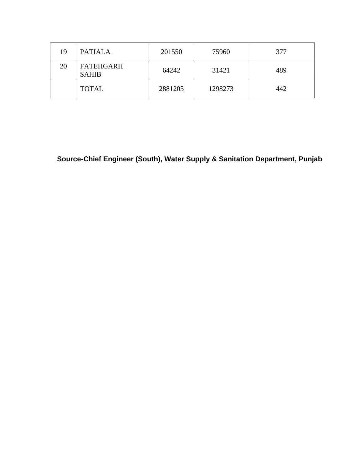| 19 | <b>PATIALA</b>                   | 201550  | 75960   | 377 |
|----|----------------------------------|---------|---------|-----|
| 20 | <b>FATEHGARH</b><br><b>SAHIB</b> | 64242   | 31421   | 489 |
|    | <b>TOTAL</b>                     | 2881205 | 1298273 | 442 |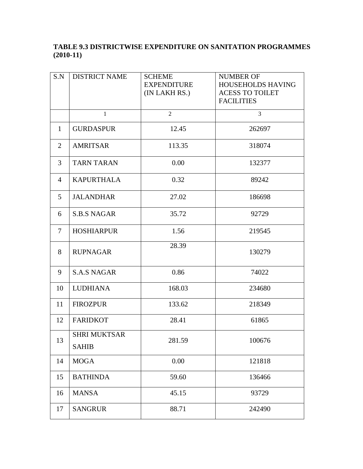### **TABLE 9.3 DISTRICTWISE EXPENDITURE ON SANITATION PROGRAMMES (2010-11)**

| S.N            | <b>DISTRICT NAME</b>                | <b>SCHEME</b><br><b>EXPENDITURE</b><br>(IN LAKH RS.) | <b>NUMBER OF</b><br>HOUSEHOLDS HAVING<br><b>ACESS TO TOILET</b><br><b>FACILITIES</b> |
|----------------|-------------------------------------|------------------------------------------------------|--------------------------------------------------------------------------------------|
|                | $\mathbf{1}$                        | $\overline{2}$                                       | $\overline{3}$                                                                       |
| 1              | <b>GURDASPUR</b>                    | 12.45                                                | 262697                                                                               |
| $\overline{2}$ | <b>AMRITSAR</b>                     | 113.35                                               | 318074                                                                               |
| 3              | <b>TARN TARAN</b>                   | 0.00                                                 | 132377                                                                               |
| $\overline{4}$ | <b>KAPURTHALA</b>                   | 0.32                                                 | 89242                                                                                |
| 5              | <b>JALANDHAR</b>                    | 27.02                                                | 186698                                                                               |
| 6              | <b>S.B.S NAGAR</b>                  | 35.72                                                | 92729                                                                                |
| $\tau$         | <b>HOSHIARPUR</b>                   | 1.56                                                 | 219545                                                                               |
| 8              | <b>RUPNAGAR</b>                     | 28.39                                                | 130279                                                                               |
| 9              | <b>S.A.S NAGAR</b>                  | 0.86                                                 | 74022                                                                                |
| 10             | <b>LUDHIANA</b>                     | 168.03                                               | 234680                                                                               |
| 11             | <b>FIROZPUR</b>                     | 133.62                                               | 218349                                                                               |
| 12             | <b>FARIDKOT</b>                     | 28.41                                                | 61865                                                                                |
| 13             | <b>SHRI MUKTSAR</b><br><b>SAHIB</b> | 281.59                                               | 100676                                                                               |
| 14             | <b>MOGA</b>                         | 0.00                                                 | 121818                                                                               |
| 15             | <b>BATHINDA</b>                     | 59.60                                                | 136466                                                                               |
| 16             | <b>MANSA</b>                        | 45.15                                                | 93729                                                                                |
| 17             | <b>SANGRUR</b>                      | 88.71                                                | 242490                                                                               |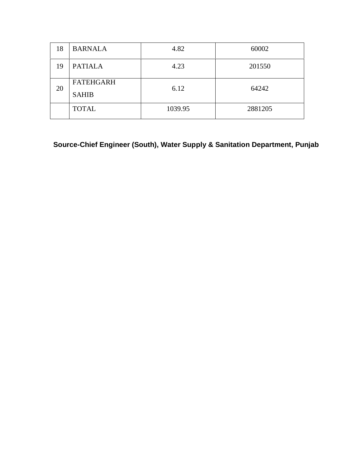| 18 | <b>BARNALA</b>                   | 4.82    | 60002   |
|----|----------------------------------|---------|---------|
| 19 | <b>PATIALA</b>                   | 4.23    | 201550  |
| 20 | <b>FATEHGARH</b><br><b>SAHIB</b> | 6.12    | 64242   |
|    | <b>TOTAL</b>                     | 1039.95 | 2881205 |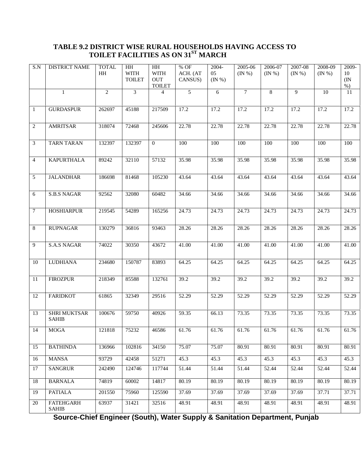#### **TABLE 9.2 DISTRICT WISE RURAL HOUSEHOLDS HAVING ACCESS TO TOILET FACILITIES AS ON 31ST MARCH**

| $\overline{S.N}$ | <b>DISTRICT NAME</b>                | <b>TOTAL</b><br>HH | HH<br><b>WITH</b><br><b>TOILET</b> | $\overline{HH}$<br><b>WITH</b><br><b>OUT</b><br><b>TOILET</b> | % OF<br>ACH. (AT<br>CANSUS) | $2004 -$<br>05<br>$(\mathbb{N}\%)$ | 2005-06<br>$(\mathbb{N}\%)$ | 2006-07<br>$(\mathbb{N}\% )$ | 2007-08<br>$(\mathbb{N}\%)$ | 2008-09<br>$(\mathbb{N}\%)$ | 2009-<br>10<br>$(\mathbb{N})$<br>$%$ ) |
|------------------|-------------------------------------|--------------------|------------------------------------|---------------------------------------------------------------|-----------------------------|------------------------------------|-----------------------------|------------------------------|-----------------------------|-----------------------------|----------------------------------------|
|                  | $\mathbf{1}$                        | $\overline{2}$     | $\overline{3}$                     | $\overline{4}$                                                | $\overline{5}$              | 6                                  | $\overline{7}$              | 8                            | $\overline{9}$              | 10                          | $\overline{11}$                        |
| $\mathbf{1}$     | <b>GURDASPUR</b>                    | 262697             | 45188                              | 217509                                                        | 17.2                        | 17.2                               | 17.2                        | 17.2                         | 17.2                        | 17.2                        | 17.2                                   |
| 2                | <b>AMRITSAR</b>                     | 318074             | 72468                              | 245606                                                        | 22.78                       | 22.78                              | 22.78                       | 22.78                        | 22.78                       | 22.78                       | 22.78                                  |
| 3                | <b>TARN TARAN</b>                   | 132397             | 132397                             | $\overline{0}$                                                | 100                         | 100                                | 100                         | 100                          | 100                         | 100                         | 100                                    |
| $\overline{4}$   | <b>KAPURTHALA</b>                   | 89242              | 32110                              | 57132                                                         | 35.98                       | 35.98                              | 35.98                       | 35.98                        | 35.98                       | 35.98                       | 35.98                                  |
| 5                | <b>JALANDHAR</b>                    | 186698             | 81468                              | 105230                                                        | 43.64                       | 43.64                              | 43.64                       | 43.64                        | 43.64                       | 43.64                       | 43.64                                  |
| 6                | <b>S.B.S NAGAR</b>                  | 92562              | 32080                              | 60482                                                         | 34.66                       | 34.66                              | 34.66                       | 34.66                        | 34.66                       | 34.66                       | 34.66                                  |
| $\tau$           | <b>HOSHIARPUR</b>                   | 219545             | 54289                              | 165256                                                        | 24.73                       | 24.73                              | 24.73                       | 24.73                        | 24.73                       | 24.73                       | 24.73                                  |
| 8                | <b>RUPNAGAR</b>                     | 130279             | 36816                              | 93463                                                         | 28.26                       | 28.26                              | 28.26                       | 28.26                        | 28.26                       | 28.26                       | 28.26                                  |
| 9                | S.A.S NAGAR                         | 74022              | 30350                              | 43672                                                         | 41.00                       | 41.00                              | 41.00                       | 41.00                        | 41.00                       | 41.00                       | 41.00                                  |
| 10               | <b>LUDHIANA</b>                     | 234680             | 150787                             | 83893                                                         | 64.25                       | 64.25                              | 64.25                       | 64.25                        | 64.25                       | 64.25                       | 64.25                                  |
| 11               | <b>FIROZPUR</b>                     | 218349             | 85588                              | 132761                                                        | 39.2                        | 39.2                               | 39.2                        | 39.2                         | 39.2                        | 39.2                        | 39.2                                   |
| 12               | <b>FARIDKOT</b>                     | 61865              | 32349                              | 29516                                                         | 52.29                       | 52.29                              | 52.29                       | 52.29                        | 52.29                       | 52.29                       | 52.29                                  |
| 13               | <b>SHRI MUKTSAR</b><br><b>SAHIB</b> | 100676             | 59750                              | 40926                                                         | 59.35                       | 66.13                              | 73.35                       | 73.35                        | 73.35                       | 73.35                       | 73.35                                  |
| <sup>14</sup>    | <b>MOGA</b>                         | 121818             | 75232                              | 46586                                                         | 61.76                       | 61.76                              | 61.76                       | 61.76                        | 61.76                       | 61.76                       | 61.76                                  |
| 15               | <b>BATHINDA</b>                     | 136966             | 102816                             | 34150                                                         | 75.07                       | 75.07                              | 80.91                       | 80.91                        | 80.91                       | 80.91                       | 80.91                                  |
| 16               | <b>MANSA</b>                        | 93729              | 42458                              | 51271                                                         | 45.3                        | 45.3                               | 45.3                        | 45.3                         | 45.3                        | 45.3                        | 45.3                                   |
| 17               | <b>SANGRUR</b>                      | 242490             | 124746                             | 117744                                                        | 51.44                       | 51.44                              | 51.44                       | 52.44                        | 52.44                       | 52.44                       | 52.44                                  |
| 18               | <b>BARNALA</b>                      | 74819              | 60002                              | 14817                                                         | 80.19                       | 80.19                              | 80.19                       | 80.19                        | 80.19                       | 80.19                       | 80.19                                  |
| 19               | <b>PATIALA</b>                      | 201550             | 75960                              | 125590                                                        | 37.69                       | 37.69                              | 37.69                       | 37.69                        | 37.69                       | 37.71                       | 37.71                                  |
| 20               | <b>FATEHGARH</b><br><b>SAHIB</b>    | 63937              | 31421                              | 32516                                                         | 48.91                       | 48.91                              | 48.91                       | 48.91                        | 48.91                       | 48.91                       | 48.91                                  |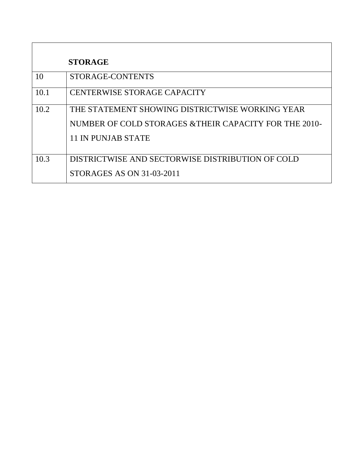|      | <b>STORAGE</b>                                         |
|------|--------------------------------------------------------|
| 10   | STORAGE-CONTENTS                                       |
| 10.1 | CENTERWISE STORAGE CAPACITY                            |
| 10.2 | THE STATEMENT SHOWING DISTRICTWISE WORKING YEAR        |
|      | NUMBER OF COLD STORAGES & THEIR CAPACITY FOR THE 2010- |
|      | <b>11 IN PUNJAB STATE</b>                              |
|      |                                                        |
| 10.3 | DISTRICTWISE AND SECTORWISE DISTRIBUTION OF COLD       |
|      | STORAGES AS ON 31-03-2011                              |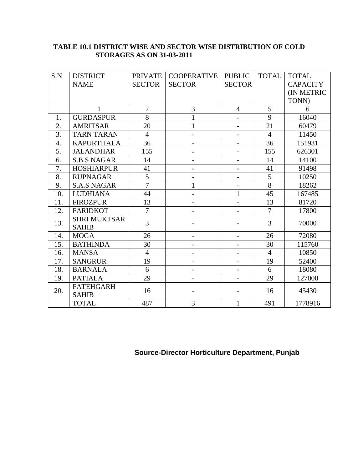#### **TABLE 10.1 DISTRICT WISE AND SECTOR WISE DISTRIBUTION OF COLD STORAGES AS ON 31-03-2011**

| S.N              | <b>DISTRICT</b>                     | <b>PRIVATE</b> | <b>COOPERATIVE</b>       | <b>PUBLIC</b>            | <b>TOTAL</b>   | <b>TOTAL</b>    |
|------------------|-------------------------------------|----------------|--------------------------|--------------------------|----------------|-----------------|
|                  | <b>NAME</b>                         | <b>SECTOR</b>  | <b>SECTOR</b>            | <b>SECTOR</b>            |                | <b>CAPACITY</b> |
|                  |                                     |                |                          |                          |                | (IN METRIC      |
|                  |                                     |                |                          |                          |                | TONN)           |
|                  | 1                                   | $\overline{2}$ | 3                        | $\overline{4}$           | 5              | 6               |
| 1.               | <b>GURDASPUR</b>                    | 8              | $\mathbf{1}$             | $\qquad \qquad -$        | 9              | 16040           |
| 2.               | <b>AMRITSAR</b>                     | 20             | $\mathbf{1}$             |                          | 21             | 60479           |
| $\overline{3}$ . | <b>TARN TARAN</b>                   | $\overline{4}$ | $\overline{\phantom{0}}$ | $\qquad \qquad -$        | $\overline{4}$ | 11450           |
| 4.               | <b>KAPURTHALA</b>                   | 36             | $\overline{\phantom{0}}$ |                          | 36             | 151931          |
| 5.               | <b>JALANDHAR</b>                    | 155            | $\blacksquare$           | $\overline{\phantom{0}}$ | 155            | 626301          |
| 6.               | <b>S.B.S NAGAR</b>                  | 14             | $\overline{\phantom{0}}$ | $\qquad \qquad -$        | 14             | 14100           |
| 7.               | <b>HOSHIARPUR</b>                   | 41             |                          |                          | 41             | 91498           |
| 8.               | <b>RUPNAGAR</b>                     | 5              | $\overline{\phantom{0}}$ |                          | 5              | 10250           |
| 9.               | <b>S.A.S NAGAR</b>                  | $\overline{7}$ | $\mathbf 1$              | $\overline{\phantom{0}}$ | $\overline{8}$ | 18262           |
| 10.              | <b>LUDHIANA</b>                     | 44             | -                        | $\mathbf{1}$             | 45             | 167485          |
| 11.              | <b>FIROZPUR</b>                     | 13             |                          | -                        | 13             | 81720           |
| 12.              | <b>FARIDKOT</b>                     | $\overline{7}$ | $\overline{\phantom{0}}$ | $\overline{\phantom{0}}$ | $\overline{7}$ | 17800           |
| 13.              | <b>SHRI MUKTSAR</b><br><b>SAHIB</b> | 3              |                          |                          | 3              | 70000           |
| 14.              | <b>MOGA</b>                         | 26             | $\overline{\phantom{0}}$ | -                        | 26             | 72080           |
| 15.              | <b>BATHINDA</b>                     | 30             | $\overline{\phantom{0}}$ | $\overline{\phantom{0}}$ | 30             | 115760          |
| 16.              | <b>MANSA</b>                        | $\overline{4}$ | $\overline{\phantom{0}}$ | $\overline{\phantom{0}}$ | $\overline{4}$ | 10850           |
| 17.              | <b>SANGRUR</b>                      | 19             | $\overline{\phantom{0}}$ | $\qquad \qquad -$        | 19             | 52400           |
| 18.              | <b>BARNALA</b>                      | 6              | $\overline{\phantom{0}}$ |                          | 6              | 18080           |
| 19.              | <b>PATIALA</b>                      | 29             | $\overline{\phantom{0}}$ |                          | 29             | 127000          |
| 20.              | <b>FATEHGARH</b><br><b>SAHIB</b>    | 16             |                          |                          | 16             | 45430           |
|                  | <b>TOTAL</b>                        | 487            | 3                        | $\mathbf{1}$             | 491            | 1778916         |

## **Source-Director Horticulture Department, Punjab**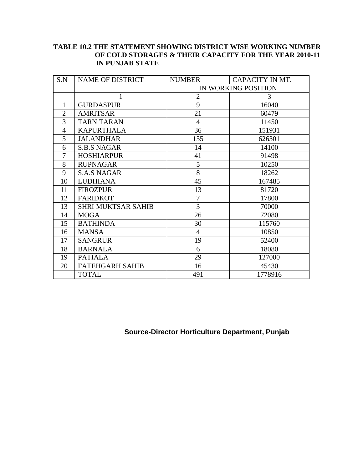#### **TABLE 10.2 THE STATEMENT SHOWING DISTRICT WISE WORKING NUMBER OF COLD STORAGES & THEIR CAPACITY FOR THE YEAR 2010-11 IN PUNJAB STATE**

| S.N            | <b>NAME OF DISTRICT</b>   | <b>NUMBER</b>  | CAPACITY IN MT.     |
|----------------|---------------------------|----------------|---------------------|
|                |                           |                | IN WORKING POSITION |
|                |                           | $\overline{2}$ | 3                   |
| 1              | <b>GURDASPUR</b>          | 9              | 16040               |
| $\overline{2}$ | <b>AMRITSAR</b>           | 21             | 60479               |
| 3              | <b>TARN TARAN</b>         | $\overline{4}$ | 11450               |
| $\overline{4}$ | <b>KAPURTHALA</b>         | 36             | 151931              |
| 5              | <b>JALANDHAR</b>          | 155            | 626301              |
| 6              | <b>S.B.S NAGAR</b>        | 14             | 14100               |
| 7              | <b>HOSHIARPUR</b>         | 41             | 91498               |
| 8              | <b>RUPNAGAR</b>           | 5              | 10250               |
| 9              | <b>S.A.S NAGAR</b>        | 8              | 18262               |
| 10             | <b>LUDHIANA</b>           | 45             | 167485              |
| 11             | <b>FIROZPUR</b>           | 13             | 81720               |
| 12             | <b>FARIDKOT</b>           | $\overline{7}$ | 17800               |
| 13             | <b>SHRI MUKTSAR SAHIB</b> | 3              | 70000               |
| 14             | <b>MOGA</b>               | 26             | 72080               |
| 15             | <b>BATHINDA</b>           | 30             | 115760              |
| 16             | <b>MANSA</b>              | $\overline{4}$ | 10850               |
| 17             | <b>SANGRUR</b>            | 19             | 52400               |
| 18             | <b>BARNALA</b>            | 6              | 18080               |
| 19             | <b>PATIALA</b>            | 29             | 127000              |
| 20             | <b>FATEHGARH SAHIB</b>    | 16             | 45430               |
|                | <b>TOTAL</b>              | 491            | 1778916             |

**Source-Director Horticulture Department, Punjab**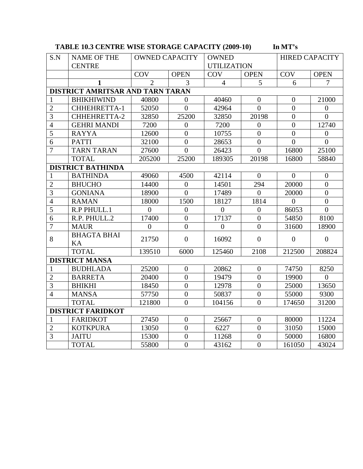| S.N            | <b>NAME OF THE</b>               | <b>OWNED CAPACITY</b> |                  | <b>OWNED</b>       |                  | <b>HIRED CAPACITY</b> |                  |
|----------------|----------------------------------|-----------------------|------------------|--------------------|------------------|-----------------------|------------------|
|                | <b>CENTRE</b>                    |                       |                  | <b>UTILIZATION</b> |                  |                       |                  |
|                |                                  | <b>COV</b>            | <b>OPEN</b>      | <b>COV</b>         | <b>OPEN</b>      | <b>COV</b>            | <b>OPEN</b>      |
|                | 1                                | $\overline{2}$        | 3                | $\overline{4}$     | 5                | 6                     | $\overline{7}$   |
|                | DISTRICT AMRITSAR AND TARN TARAN |                       |                  |                    |                  |                       |                  |
| $\mathbf{1}$   | <b>BHIKHIWIND</b>                | 40800                 | $\overline{0}$   | 40460              | $\mathbf{0}$     | $\mathbf{0}$          | 21000            |
| $\overline{2}$ | CHHEHRETTA-1                     | 52050                 | $\Omega$         | 42964              | $\Omega$         | $\overline{0}$        | $\overline{0}$   |
| 3              | CHHEHRETTA-2                     | 32850                 | 25200            | 32850              | 20198            | $\overline{0}$        | $\overline{0}$   |
| $\overline{4}$ | <b>GEHRI MANDI</b>               | 7200                  | $\overline{0}$   | 7200               | $\overline{0}$   | $\overline{0}$        | 12740            |
| $\overline{5}$ | <b>RAYYA</b>                     | 12600                 | $\overline{0}$   | 10755              | $\overline{0}$   | $\overline{0}$        | $\overline{0}$   |
| 6              | <b>PATTI</b>                     | 32100                 | $\overline{0}$   | 28653              | $\overline{0}$   | $\overline{0}$        | $\overline{0}$   |
| $\overline{7}$ | <b>TARN TARAN</b>                | 27600                 | $\overline{0}$   | 26423              | $\boldsymbol{0}$ | 16800                 | 25100            |
|                | <b>TOTAL</b>                     | 205200                | 25200            | 189305             | 20198            | 16800                 | 58840            |
|                | <b>DISTRICT BATHINDA</b>         |                       |                  |                    |                  |                       |                  |
| $\mathbf{1}$   | <b>BATHINDA</b>                  | 49060                 | 4500             | 42114              | $\theta$         | $\overline{0}$        | $\boldsymbol{0}$ |
| $\overline{2}$ | <b>BHUCHO</b>                    | 14400                 | $\overline{0}$   | 14501              | 294              | 20000                 | $\overline{0}$   |
| $\overline{3}$ | <b>GONIANA</b>                   | 18900                 | $\Omega$         | 17489              | $\overline{0}$   | 20000                 | $\overline{0}$   |
| $\overline{4}$ | <b>RAMAN</b>                     | 18000                 | 1500             | 18127              | 1814             | $\overline{0}$        | $\overline{0}$   |
| $\overline{5}$ | R.P PHULL.1                      | $\overline{0}$        | $\overline{0}$   | $\boldsymbol{0}$   | $\boldsymbol{0}$ | 86053                 | $\overline{0}$   |
| $\overline{6}$ | R.P. PHULL.2                     | 17400                 | $\overline{0}$   | 17137              | $\overline{0}$   | 54850                 | 8100             |
| $\overline{7}$ | <b>MAUR</b>                      | $\boldsymbol{0}$      | $\overline{0}$   | $\overline{0}$     | $\overline{0}$   | 31600                 | 18900            |
| 8              | <b>BHAGTA BHAI</b>               | 21750                 | $\boldsymbol{0}$ | 16092              | $\boldsymbol{0}$ | $\overline{0}$        | $\mathbf{0}$     |
|                | KA                               |                       |                  |                    |                  |                       |                  |
|                | <b>TOTAL</b>                     | 139510                | 6000             | 125460             | 2108             | 212500                | 208824           |
|                | <b>DISTRICT MANSA</b>            |                       |                  |                    |                  |                       |                  |
| $\mathbf{1}$   | <b>BUDHLADA</b>                  | 25200                 | $\overline{0}$   | 20862              | $\overline{0}$   | 74750                 | 8250             |
| $\overline{2}$ | <b>BARRETA</b>                   | 20400                 | $\overline{0}$   | 19479              | $\overline{0}$   | 19900                 | $\overline{0}$   |
| $\overline{3}$ | <b>BHIKHI</b>                    | 18450                 | $\overline{0}$   | 12978              | $\overline{0}$   | 25000                 | 13650            |
| $\overline{4}$ | <b>MANSA</b>                     | 57750                 | $\overline{0}$   | 50837              | $\overline{0}$   | 55000                 | 9300             |
|                | <b>TOTAL</b>                     | 121800                | $\overline{0}$   | 104156             | $\overline{0}$   | 174650                | 31200            |
|                | <b>DISTRICT FARIDKOT</b>         |                       |                  |                    |                  |                       |                  |
| $\mathbf{1}$   | <b>FARIDKOT</b>                  | 27450                 | $\overline{0}$   | 25667              | $\overline{0}$   | 80000                 | 11224            |
| $\overline{2}$ | <b>KOTKPURA</b>                  | 13050                 | $\overline{0}$   | 6227               | $\boldsymbol{0}$ | 31050                 | 15000            |
| $\overline{3}$ | <b>JAITU</b>                     | 15300                 | $\overline{0}$   | 11268              | $\overline{0}$   | 50000                 | 16800            |
|                | <b>TOTAL</b>                     | 55800                 | $\overline{0}$   | 43162              | $\overline{0}$   | 161050                | 43024            |

## TABLE 10.3 CENTRE WISE STORAGE CAPACITY (2009-10) In MT's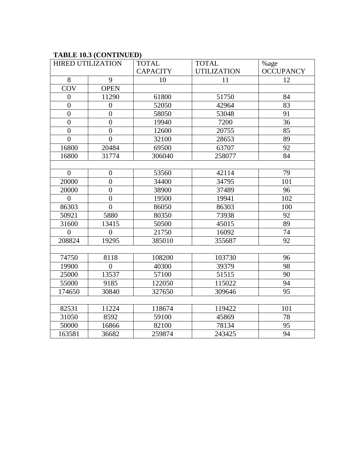## **TABLE 10.3 (CONTINUED)**

| <b>HIRED UTILIZATION</b> |                  | <b>TOTAL</b>    | <b>TOTAL</b>       | %age             |
|--------------------------|------------------|-----------------|--------------------|------------------|
|                          |                  | <b>CAPACITY</b> | <b>UTILIZATION</b> | <b>OCCUPANCY</b> |
| 8                        | 9                | 10              | 11                 | 12               |
| <b>COV</b>               | <b>OPEN</b>      |                 |                    |                  |
| $\overline{0}$           | 11290            | 61800           | 51750              | 84               |
| $\overline{0}$           | $\overline{0}$   | 52050           | 42964              | $\overline{83}$  |
| $\boldsymbol{0}$         | $\boldsymbol{0}$ | 58050           | 53048              | 91               |
| $\overline{0}$           | $\overline{0}$   | 19940           | 7200               | $\overline{36}$  |
| $\overline{0}$           | $\overline{0}$   | 12600           | 20755              | 85               |
| $\theta$                 | $\overline{0}$   | 32100           | 28653              | 89               |
| 16800                    | 20484            | 69500           | 63707              | 92               |
| 16800                    | 31774            | 306040          | 258077             | 84               |
|                          |                  |                 |                    |                  |
| $\overline{0}$           | $\boldsymbol{0}$ | 53560           | 42114              | 79               |
| 20000                    | $\overline{0}$   | 34400           | 34795              | 101              |
| 20000                    | $\overline{0}$   | 38900           | 37489              | 96               |
| $\overline{0}$           | $\overline{0}$   | 19500           | 19941              | 102              |
| 86303                    | $\overline{0}$   | 86050           | 86303              | 100              |
| 50921                    | 5880             | 80350           | 73938              | 92               |
| 31600                    | 13415            | 50500           | 45015              | 89               |
| $\overline{0}$           | $\overline{0}$   | 21750           | 16092              | 74               |
| 208824                   | 19295            | 385010          | 355687             | 92               |
|                          |                  |                 |                    |                  |
| 74750                    | 8118             | 108200          | 103730             | 96               |
| 19900                    | $\theta$         | 40300           | 39379              | 98               |
| 25000                    | 13537            | 57100           | 51515              | 90               |
| 55000                    | 9185             | 122050          | 115022             | 94               |
| 174650                   | 30840            | 327650          | 309646             | 95               |
|                          |                  |                 |                    |                  |
| 82531                    | 11224            | 118674          | 119422             | 101              |
| 31050                    | 8592             | 59100           | 45869              | 78               |
| 50000                    | 16866            | 82100           | 78134              | 95               |
| 163581                   | 36682            | 259874          | 243425             | 94               |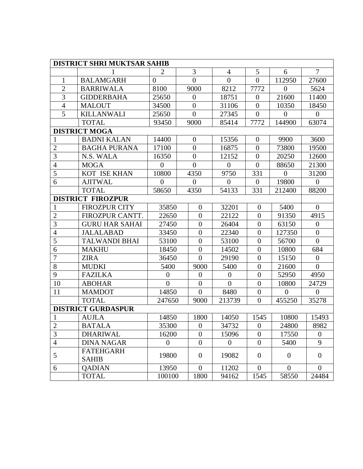|                          | <b>DISTRICT SHRI MUKTSAR SAHIB</b> |                |  |                  |                |                  |                |                  |
|--------------------------|------------------------------------|----------------|--|------------------|----------------|------------------|----------------|------------------|
|                          |                                    | $\overline{2}$ |  | 3                | $\overline{4}$ | 5                | 6              | $\overline{7}$   |
| 1                        | <b>BALAMGARH</b>                   | $\overline{0}$ |  | $\overline{0}$   | $\overline{0}$ | $\overline{0}$   | 112950         | 27600            |
| $\overline{2}$           | <b>BARRIWALA</b>                   | 8100           |  | 9000             | 8212           | 7772             | $\theta$       | 5624             |
| $\overline{3}$           | <b>GIDDERBAHA</b>                  | 25650          |  | $\overline{0}$   | 18751          | $\overline{0}$   | 21600          | 11400            |
| $\overline{4}$           | <b>MALOUT</b>                      | 34500          |  | $\overline{0}$   | 31106          | $\overline{0}$   | 10350          | 18450            |
| 5                        | <b>KILLANWALI</b>                  | 25650          |  | $\overline{0}$   | 27345          | $\overline{0}$   | $\Omega$       | $\overline{0}$   |
|                          | <b>TOTAL</b>                       | 93450          |  | 9000             | 85414          | 7772             | 144900         | 63074            |
|                          | <b>DISTRICT MOGA</b>               |                |  |                  |                |                  |                |                  |
| 1                        | <b>BADNI KALAN</b>                 | 14400          |  | $\overline{0}$   | 15356          | $\overline{0}$   | 9900           | 3600             |
| $\overline{2}$           | <b>BAGHA PURANA</b>                | 17100          |  | $\overline{0}$   | 16875          | $\overline{0}$   | 73800          | 19500            |
| 3                        | N.S. WALA                          | 16350          |  | $\overline{0}$   | 12152          | $\overline{0}$   | 20250          | 12600            |
| $\overline{4}$           | <b>MOGA</b>                        | $\overline{0}$ |  | $\overline{0}$   | $\overline{0}$ | $\overline{0}$   | 88650          | 21300            |
| 5                        | <b>KOT ISE KHAN</b>                | 10800          |  | 4350             | 9750           | 331              | $\theta$       | 31200            |
| 6                        | <b>AJITWAL</b>                     | $\overline{0}$ |  | $\overline{0}$   | $\Omega$       | $\overline{0}$   | 19800          | $\overline{0}$   |
|                          | <b>TOTAL</b>                       | 58650          |  | 4350             | 54133          | 331              | 212400         | 88200            |
| <b>DISTRICT FIROZPUR</b> |                                    |                |  |                  |                |                  |                |                  |
| 1                        | <b>FIROZPUR CITY</b>               | 35850          |  | $\overline{0}$   | 32201          | $\overline{0}$   | 5400           | $\boldsymbol{0}$ |
| $\overline{2}$           | FIROZPUR CANTT.                    | 22650          |  | $\overline{0}$   | 22122          | $\overline{0}$   | 91350          | 4915             |
| 3                        | <b>GURU HAR SAHAI</b>              | 27450          |  | $\overline{0}$   | 26404          | $\overline{0}$   | 63150          | $\boldsymbol{0}$ |
| $\overline{\mathcal{A}}$ | <b>JALALABAD</b>                   | 33450          |  | $\overline{0}$   | 22340          | $\overline{0}$   | 127350         | $\boldsymbol{0}$ |
| 5                        | <b>TALWANDI BHAI</b>               | 53100          |  | $\overline{0}$   | 53100          | $\overline{0}$   | 56700          | $\boldsymbol{0}$ |
| 6                        | <b>MAKHU</b>                       | 18450          |  | $\overline{0}$   | 14502          | $\overline{0}$   | 10800          | 684              |
| $\overline{7}$           | <b>ZIRA</b>                        | 36450          |  | $\overline{0}$   | 29190          | $\overline{0}$   | 15150          | $\overline{0}$   |
| 8                        | <b>MUDKI</b>                       | 5400           |  | 9000             | 5400           | $\overline{0}$   | 21600          | $\boldsymbol{0}$ |
| 9                        | <b>FAZILKA</b>                     | $\overline{0}$ |  | $\overline{0}$   | $\overline{0}$ | $\overline{0}$   | 52950          | 4950             |
| 10                       | <b>ABOHAR</b>                      | $\overline{0}$ |  | $\theta$         | $\overline{0}$ | $\boldsymbol{0}$ | 10800          | 24729            |
| 11                       | <b>MAMDOT</b>                      | 14850          |  | $\overline{0}$   | 8480           | $\overline{0}$   | $\overline{0}$ | $\overline{0}$   |
|                          | <b>TOTAL</b>                       | 247650         |  | 9000             | 213739         | $\overline{0}$   | 455250         | 35278            |
|                          | <b>DISTRICT GURDASPUR</b>          |                |  |                  |                |                  |                |                  |
| 1                        | <b>AUJLA</b>                       | 14850          |  | 1800             | 14050          | 1545             | 10800          | 15493            |
| $\mathbf{z}$             | <b>BATALA</b>                      | 35300          |  | $\boldsymbol{0}$ | 34732          | $\boldsymbol{0}$ | 24800          | 8982             |
| 3                        | <b>DHARIWAL</b>                    | 16200          |  | $\overline{0}$   | 15096          | $\overline{0}$   | 17550          | $\theta$         |
| $\overline{4}$           | <b>DINA NAGAR</b>                  | $\overline{0}$ |  | $\boldsymbol{0}$ | $\overline{0}$ | $\overline{0}$   | 5400           | 9                |
| 5                        | <b>FATEHGARH</b><br><b>SAHIB</b>   | 19800          |  | $\overline{0}$   | 19082          | $\overline{0}$   | $\overline{0}$ | $\overline{0}$   |
| 6                        | <b>QADIAN</b>                      | 13950          |  | $\boldsymbol{0}$ | 11202          | $\overline{0}$   | $\overline{0}$ | $\overline{0}$   |
|                          | <b>TOTAL</b>                       | 100100         |  | 1800             | 94162          | 1545             | 58550          | 24484            |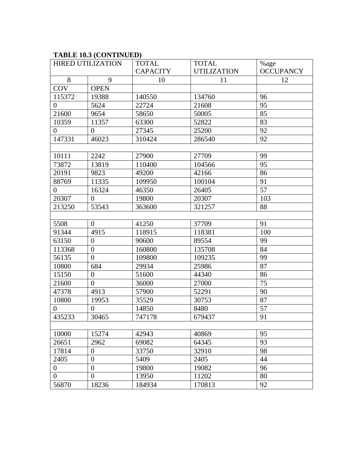### **TABLE 10.3 (CONTINUED)**

| <b>HIRED UTILIZATION</b> |                  | <b>TOTAL</b>    | <b>TOTAL</b>       | %age             |
|--------------------------|------------------|-----------------|--------------------|------------------|
|                          |                  | <b>CAPACITY</b> | <b>UTILIZATION</b> | <b>OCCUPANCY</b> |
| 8                        | 9                | 10              | 11                 | 12               |
| <b>COV</b>               | <b>OPEN</b>      |                 |                    |                  |
| 115372                   | 19388            | 140550          | 134760             | 96               |
| $\overline{0}$           | 5624             | 22724           | 21608              | 95               |
| 21600                    | 9654             | 58650           | 50005              | 85               |
| 10359                    | 11357            | 63300           | 52822              | 83               |
| $\overline{0}$           | $\overline{0}$   | 27345           | 25200              | 92               |
| 147331                   | 46023            | 310424          | 286540             | 92               |
|                          |                  |                 |                    |                  |
| 10111                    | 2242             | 27900           | 27709              | 99               |
| 73872                    | 13819            | 110400          | 104566             | 95               |
| 20191                    | 9823             | 49200           | 42166              | 86               |
| 88769                    | 11335            | 109950          | 100104             | 91               |
| $\overline{0}$           | 16324            | 46350           | 26405              | 57               |
| 20307                    | $\overline{0}$   | 19800           | 20307              | 103              |
| 213250                   | 53543            | 363600          | 321257             | 88               |
|                          |                  |                 |                    |                  |
| 5508                     | $\mathbf{0}$     | 41250           | 37709              | 91               |
| 91344                    | 4915             | 118915          | 118381             | 100              |
| 63150                    | $\overline{0}$   | 90600           | 89554              | 99               |
| 113368                   | $\boldsymbol{0}$ | 160800          | 135708             | 84               |
| 56135                    | $\theta$         | 109800          | 109235             | 99               |
| 10800                    | 684              | 29934           | 25986              | 87               |
| 15150                    | $\mathbf{0}$     | 51600           | 44340              | 86               |
| 21600                    | $\mathbf{0}$     | 36000           | 27000              | 75               |
| 47378                    | 4913             | 57900           | 52291              | 90               |
| 10800                    | 19953            | 35529           | 30753              | 87               |
| $\overline{0}$           | $\theta$         | 14850           | 8480               | 57               |
| 435233                   | 30465            | 747178          | 679437             | 91               |
|                          |                  |                 |                    |                  |
| 10000                    | 15274            | 42943           | 40869              | 95               |
| 26651                    | 2962             | 69082           | 64345              | 93               |
| 17814                    | $\overline{0}$   | 33750           | 32910              | 98               |
| 2405                     | $\boldsymbol{0}$ | 5409            | 2405               | 44               |
| $\overline{0}$           | $\overline{0}$   | 19800           | 19082              | 96               |
| $\theta$                 | $\theta$         | 13950           | 11202              | 80               |
| 56870                    | 18236            | 184934          | 170813             | 92               |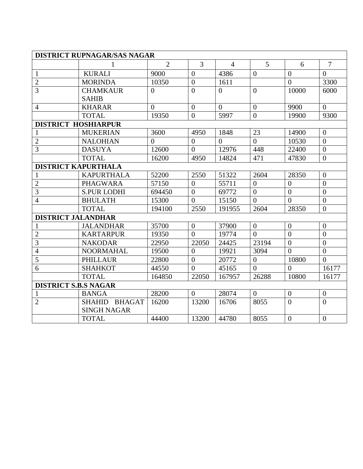| <b>DISTRICT RUPNAGAR/SAS NAGAR</b> |                                     |                |                |                |                |                |                  |
|------------------------------------|-------------------------------------|----------------|----------------|----------------|----------------|----------------|------------------|
|                                    | 1                                   | $\overline{2}$ | $\overline{3}$ | $\overline{4}$ | 5              | 6              | $\overline{7}$   |
| $\mathbf{1}$                       | <b>KURALI</b>                       | 9000           | $\overline{0}$ | 4386           | $\overline{0}$ | $\overline{0}$ | $\overline{0}$   |
| $\overline{2}$                     | <b>MORINDA</b>                      | 10350          | $\overline{0}$ | 1611           |                | $\overline{0}$ | 3300             |
| $\overline{3}$                     | <b>CHAMKAUR</b>                     | $\overline{0}$ | $\overline{0}$ | $\Omega$       | $\overline{0}$ | 10000          | 6000             |
|                                    | <b>SAHIB</b>                        |                |                |                |                |                |                  |
| $\overline{4}$                     | <b>KHARAR</b>                       | $\theta$       | $\overline{0}$ | $\Omega$       | $\theta$       | 9900           | $\theta$         |
|                                    | <b>TOTAL</b>                        | 19350          | $\overline{0}$ | 5997           | $\overline{0}$ | 19900          | 9300             |
| <b>DISTRICT HOSHIARPUR</b>         |                                     |                |                |                |                |                |                  |
| $\mathbf{1}$                       | <b>MUKERIAN</b>                     | 3600           | 4950           | 1848           | 23             | 14900          | $\overline{0}$   |
| $\overline{2}$                     | <b>NALOHIAN</b>                     | $\theta$       | $\overline{0}$ | $\theta$       | $\theta$       | 10530          | $\overline{0}$   |
| $\overline{3}$                     | <b>DASUYA</b>                       | 12600          | $\theta$       | 12976          | 448            | 22400          | $\overline{0}$   |
|                                    | <b>TOTAL</b>                        | 16200          | 4950           | 14824          | 471            | 47830          | $\overline{0}$   |
| <b>DISTRICT KAPURTHALA</b>         |                                     |                |                |                |                |                |                  |
| $\mathbf{1}$                       | <b>KAPURTHALA</b>                   | 52200          | 2550           | 51322          | 2604           | 28350          | $\overline{0}$   |
| $\overline{2}$                     | <b>PHAGWARA</b>                     | 57150          | $\Omega$       | 55711          | $\theta$       | $\theta$       | $\overline{0}$   |
| 3                                  | <b>S.PUR LODHI</b>                  | 694450         | $\overline{0}$ | 69772          | $\overline{0}$ | $\overline{0}$ | $\overline{0}$   |
| $\overline{4}$                     | <b>BHULATH</b>                      | 15300          | $\overline{0}$ | 15150          | $\overline{0}$ | $\overline{0}$ | $\boldsymbol{0}$ |
|                                    | <b>TOTAL</b>                        | 194100         | 2550           | 191955         | 2604           | 28350          | $\overline{0}$   |
| <b>DISTRICT JALANDHAR</b>          |                                     |                |                |                |                |                |                  |
| $\mathbf{1}$                       | <b>JALANDHAR</b>                    | 35700          | $\overline{0}$ | 37900          | $\overline{0}$ | $\overline{0}$ | $\boldsymbol{0}$ |
| $\overline{2}$                     | <b>KARTARPUR</b>                    | 19350          | $\overline{0}$ | 19774          | $\overline{0}$ | $\overline{0}$ | $\overline{0}$   |
| 3                                  | <b>NAKODAR</b>                      | 22950          | 22050          | 24425          | 23194          | $\overline{0}$ | $\overline{0}$   |
| $\overline{4}$                     | <b>NOORMAHAL</b>                    | 19500          | $\overline{0}$ | 19921          | 3094           | $\overline{0}$ | $\overline{0}$   |
| $\overline{5}$                     | <b>PHILLAUR</b>                     | 22800          | $\overline{0}$ | 20772          | $\overline{0}$ | 10800          | $\overline{0}$   |
| 6                                  | <b>SHAHKOT</b>                      | 44550          | $\Omega$       | 45165          | $\theta$       | $\overline{0}$ | 16177            |
|                                    | <b>TOTAL</b>                        | 164850         | 22050          | 167957         | 26288          | 10800          | 16177            |
| <b>DISTRICT S.B.S NAGAR</b>        |                                     |                |                |                |                |                |                  |
| $\mathbf{1}$                       | <b>BANGA</b>                        | 28200          | $\Omega$       | 28074          | $\overline{0}$ | $\overline{0}$ | $\overline{0}$   |
| $\overline{2}$                     | SHAHID BHAGAT<br><b>SINGH NAGAR</b> | 16200          | 13200          | 16706          | 8055           | $\theta$       | $\overline{0}$   |
|                                    | <b>TOTAL</b>                        | 44400          | 13200          | 44780          | 8055           | $\overline{0}$ | $\overline{0}$   |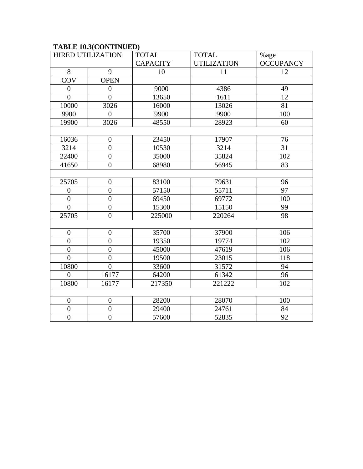## **TABLE 10.3(CONTINUED)**

| <b>HIRED UTILIZATION</b> |                  | <b>TOTAL</b>    | <b>TOTAL</b>       | %age             |
|--------------------------|------------------|-----------------|--------------------|------------------|
|                          |                  | <b>CAPACITY</b> | <b>UTILIZATION</b> | <b>OCCUPANCY</b> |
| 8                        | 9                | 10              | 11                 | 12               |
| <b>COV</b>               | <b>OPEN</b>      |                 |                    |                  |
| $\overline{0}$           | $\overline{0}$   | 9000            | 4386               | 49               |
| $\overline{0}$           | $\overline{0}$   | 13650           | 1611               | 12               |
| 10000                    | 3026             | 16000           | 13026              | 81               |
| 9900                     | $\overline{0}$   | 9900            | 9900               | 100              |
| 19900                    | 3026             | 48550           | 28923              | 60               |
|                          |                  |                 |                    |                  |
| 16036                    | $\overline{0}$   | 23450           | 17907              | 76               |
| 3214                     | $\overline{0}$   | 10530           | 3214               | 31               |
| 22400                    | $\overline{0}$   | 35000           | 35824              | 102              |
| 41650                    | $\overline{0}$   | 68980           | 56945              | 83               |
|                          |                  |                 |                    |                  |
| 25705                    | $\boldsymbol{0}$ | 83100           | 79631              | 96               |
| $\boldsymbol{0}$         | $\boldsymbol{0}$ | 57150           | 55711              | 97               |
| $\overline{0}$           | $\overline{0}$   | 69450           | 69772              | 100              |
| $\overline{0}$           | $\overline{0}$   | 15300           | 15150              | 99               |
| 25705                    | $\overline{0}$   | 225000          | 220264             | 98               |
|                          |                  |                 |                    |                  |
| $\boldsymbol{0}$         | $\boldsymbol{0}$ | 35700           | 37900              | 106              |
| $\overline{0}$           | $\overline{0}$   | 19350           | 19774              | 102              |
| $\overline{0}$           | $\overline{0}$   | 45000           | 47619              | 106              |
| $\overline{0}$           | $\overline{0}$   | 19500           | 23015              | 118              |
| 10800                    | $\overline{0}$   | 33600           | 31572              | 94               |
| $\theta$                 | 16177            | 64200           | 61342              | 96               |
| 10800                    | 16177            | 217350          | 221222             | 102              |
|                          |                  |                 |                    |                  |
| $\overline{0}$           | $\overline{0}$   | 28200           | 28070              | 100              |
| $\boldsymbol{0}$         | $\boldsymbol{0}$ | 29400           | 24761              | 84               |
| $\overline{0}$           | $\overline{0}$   | 57600           | 52835              | 92               |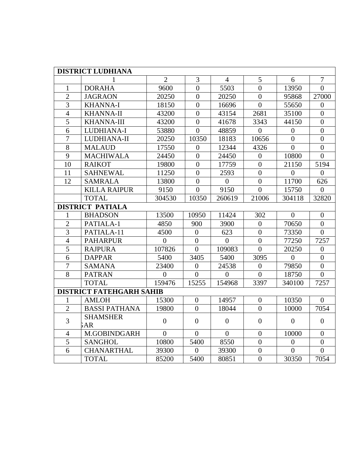| <b>DISTRICT LUDHIANA</b> |                                 |                  |                  |                  |                  |                  |                  |
|--------------------------|---------------------------------|------------------|------------------|------------------|------------------|------------------|------------------|
|                          |                                 | $\overline{2}$   | 3                | $\overline{4}$   | 5                | 6                | $\overline{7}$   |
| $\mathbf{1}$             | <b>DORAHA</b>                   | 9600             | $\theta$         | 5503             | $\Omega$         | 13950            | $\Omega$         |
| $\overline{2}$           | <b>JAGRAON</b>                  | 20250            | $\overline{0}$   | 20250            | $\Omega$         | 95868            | 27000            |
| 3                        | <b>KHANNA-I</b>                 | 18150            | $\overline{0}$   | 16696            | $\Omega$         | 55650            | $\overline{0}$   |
| $\overline{4}$           | <b>KHANNA-II</b>                | 43200            | $\overline{0}$   | 43154            | 2681             | 35100            | $\overline{0}$   |
| 5                        | <b>KHANNA-III</b>               | 43200            | $\boldsymbol{0}$ | 41678            | 3343             | 44150            | $\overline{0}$   |
| 6                        | LUDHIANA-I                      | 53880            | $\boldsymbol{0}$ | 48859            | $\overline{0}$   | $\boldsymbol{0}$ | $\overline{0}$   |
| 7                        | LUDHIANA-II                     | 20250            | 10350            | 18183            | 10656            | $\overline{0}$   | $\boldsymbol{0}$ |
| 8                        | <b>MALAUD</b>                   | 17550            | $\boldsymbol{0}$ | 12344            | 4326             | $\overline{0}$   | $\boldsymbol{0}$ |
| $\overline{9}$           | <b>MACHIWALA</b>                | 24450            | $\overline{0}$   | 24450            | $\overline{0}$   | 10800            | $\overline{0}$   |
| 10                       | <b>RAIKOT</b>                   | 19800            | $\overline{0}$   | 17759            | $\overline{0}$   | 21150            | 5194             |
| 11                       | <b>SAHNEWAL</b>                 | 11250            | $\overline{0}$   | 2593             | $\overline{0}$   | $\overline{0}$   | $\overline{0}$   |
| 12                       | <b>SAMRALA</b>                  | 13800            | $\overline{0}$   | $\overline{0}$   | $\overline{0}$   | 11700            | 626              |
|                          | <b>KILLA RAIPUR</b>             | 9150             | $\overline{0}$   | 9150             | $\overline{0}$   | 15750            | $\overline{0}$   |
|                          | <b>TOTAL</b>                    | 304530           | 10350            | 260619           | 21006            | 304118           | 32820            |
|                          | <b>DISTRICT PATIALA</b>         |                  |                  |                  |                  |                  |                  |
| $\mathbf{1}$             | <b>BHADSON</b>                  | 13500            | 10950            | 11424            | 302              | $\boldsymbol{0}$ | $\overline{0}$   |
| $\overline{2}$           | PATIALA-1                       | 4850             | 900              | 3900             | $\Omega$         | 70650            | $\overline{0}$   |
| $\overline{3}$           | PATIALA-11                      | 4500             | $\overline{0}$   | 623              | $\overline{0}$   | 73350            | $\overline{0}$   |
| $\overline{4}$           | <b>PAHARPUR</b>                 | $\overline{0}$   | $\overline{0}$   | $\Omega$         | $\overline{0}$   | 77250            | 7257             |
| $\overline{5}$           | <b>RAJPURA</b>                  | 107826           | $\overline{0}$   | 109083           | $\overline{0}$   | 20250            | $\overline{0}$   |
| 6                        | <b>DAPPAR</b>                   | 5400             | 3405             | 5400             | 3095             | $\overline{0}$   | $\overline{0}$   |
| $\tau$                   | <b>SAMANA</b>                   | 23400            | $\mathbf{0}$     | 24538            | $\mathbf{0}$     | 79850            | $\overline{0}$   |
| 8                        | <b>PATRAN</b>                   | $\theta$         | $\overline{0}$   | $\Omega$         | $\Omega$         | 18750            | $\theta$         |
|                          | <b>TOTAL</b>                    | 159476           | 15255            | 154968           | 3397             | 340100           | 7257             |
|                          | <b>DISTRICT FATEHGARH SAHIB</b> |                  |                  |                  |                  |                  |                  |
| 1                        | <b>AMLOH</b>                    | 15300            | $\overline{0}$   | 14957            | $\boldsymbol{0}$ | 10350            | $\mathbf{0}$     |
| $\overline{2}$           | <b>BASSI PATHANA</b>            | 19800            | $\boldsymbol{0}$ | 18044            | $\overline{0}$   | 10000            | 7054             |
| $\overline{3}$           | <b>SHAMSHER</b>                 | $\boldsymbol{0}$ | $\boldsymbol{0}$ | $\boldsymbol{0}$ | $\boldsymbol{0}$ | $\overline{0}$   | $\boldsymbol{0}$ |
|                          | <b>GAR</b>                      |                  |                  |                  |                  |                  |                  |
| $\overline{4}$           | M.GOBINDGARH                    | $\overline{0}$   | $\overline{0}$   | $\overline{0}$   | $\theta$         | 10000            | $\theta$         |
| 5                        | <b>SANGHOL</b>                  | 10800            | 5400             | 8550             | $\mathbf{0}$     | $\boldsymbol{0}$ | $\overline{0}$   |
| 6                        | <b>CHANARTHAL</b>               | 39300            | $\overline{0}$   | 39300            | $\overline{0}$   | $\overline{0}$   | $\overline{0}$   |
|                          | <b>TOTAL</b>                    | 85200            | 5400             | 80851            | $\overline{0}$   | 30350            | 7054             |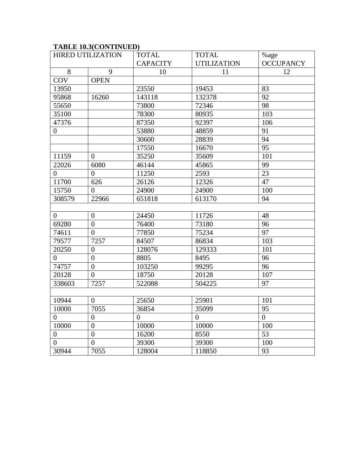## **TABLE 10.3(CONTINUED)**

| <b>HIRED UTILIZATION</b> |                  | <b>TOTAL</b>    | <b>TOTAL</b>       | %age             |
|--------------------------|------------------|-----------------|--------------------|------------------|
|                          |                  | <b>CAPACITY</b> | <b>UTILIZATION</b> | <b>OCCUPANCY</b> |
| 8                        | 9                | 10              | 11                 | 12               |
| <b>COV</b>               | <b>OPEN</b>      |                 |                    |                  |
| 13950                    |                  | 23550           | 19453              | 83               |
| 95868                    | 16260            | 143118          | 132378             | 92               |
| 55650                    |                  | 73800           | 72346              | 98               |
| 35100                    |                  | 78300           | 80935              | 103              |
| 47376                    |                  | 87350           | 92397              | 106              |
| $\overline{0}$           |                  | 53880           | 48859              | 91               |
|                          |                  | 30600           | 28839              | 94               |
|                          |                  | 17550           | 16670              | $\overline{95}$  |
| 11159                    | $\overline{0}$   | 35250           | 35609              | 101              |
| 22026                    | 6080             | 46144           | 45865              | 99               |
| $\boldsymbol{0}$         | $\overline{0}$   | 11250           | 2593               | 23               |
| 11700                    | 626              | 26126           | 12326              | 47               |
| 15750                    | $\overline{0}$   | 24900           | 24900              | 100              |
| 308579                   | 22966            | 651818          | 613170             | 94               |
|                          |                  |                 |                    |                  |
| $\overline{0}$           | $\boldsymbol{0}$ | 24450           | 11726              | 48               |
| 69280                    | $\overline{0}$   | 76400           | 73180              | 96               |
| 74611                    | $\overline{0}$   | 77850           | 75234              | 97               |
| 79577                    | 7257             | 84507           | 86834              | 103              |
| 20250                    | $\boldsymbol{0}$ | 128076          | 129333             | 101              |
| $\overline{0}$           | $\overline{0}$   | 8805            | 8495               | 96               |
| 74757                    | $\boldsymbol{0}$ | 103250          | 99295              | 96               |
| 20128                    | $\overline{0}$   | 18750           | 20128              | 107              |
| 338603                   | 7257             | 522088          | 504225             | 97               |
|                          |                  |                 |                    |                  |
| 10944                    | $\mathbf{0}$     | 25650           | 25901              | 101              |
| 10000                    | 7055             | 36854           | 35099              | 95               |
| $\theta$                 | $\theta$         | $\overline{0}$  | $\overline{0}$     | $\overline{0}$   |
| 10000                    | $\mathbf{0}$     | 10000           | 10000              | 100              |
| $\overline{0}$           | $\overline{0}$   | 16200           | 8550               | $\overline{53}$  |
| $\overline{0}$           | $\overline{0}$   | 39300           | 39300              | 100              |
| 30944                    | 7055             | 128004          | 118850             | 93               |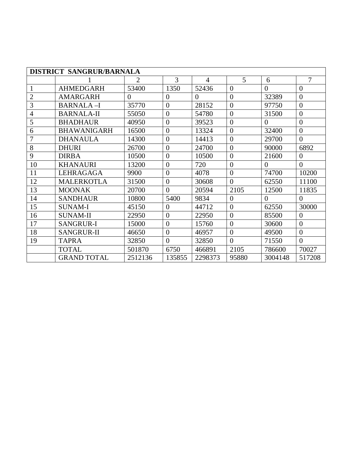| DISTRICT SANGRUR/BARNALA |                    |                |                |                |                |          |                |  |
|--------------------------|--------------------|----------------|----------------|----------------|----------------|----------|----------------|--|
|                          |                    | $\overline{2}$ | 3              | $\overline{4}$ | 5              | 6        | $\overline{7}$ |  |
| $\mathbf{1}$             | <b>AHMEDGARH</b>   | 53400          | 1350           | 52436          | $\overline{0}$ | $\theta$ | $\overline{0}$ |  |
| $\overline{2}$           | <b>AMARGARH</b>    | $\Omega$       | $\Omega$       | $\theta$       | $\overline{0}$ | 32389    | $\overline{0}$ |  |
| 3                        | <b>BARNALA-I</b>   | 35770          | $\overline{0}$ | 28152          | $\overline{0}$ | 97750    | $\overline{0}$ |  |
| $\overline{4}$           | <b>BARNALA-II</b>  | 55050          | $\theta$       | 54780          | $\theta$       | 31500    | $\overline{0}$ |  |
| 5                        | <b>BHADHAUR</b>    | 40950          | $\overline{0}$ | 39523          | $\overline{0}$ | $\Omega$ | $\overline{0}$ |  |
| 6                        | <b>BHAWANIGARH</b> | 16500          | $\overline{0}$ | 13324          | $\overline{0}$ | 32400    | $\overline{0}$ |  |
| 7                        | <b>DHANAULA</b>    | 14300          | $\overline{0}$ | 14413          | $\overline{0}$ | 29700    | $\overline{0}$ |  |
| 8                        | <b>DHURI</b>       | 26700          | $\overline{0}$ | 24700          | $\overline{0}$ | 90000    | 6892           |  |
| 9                        | <b>DIRBA</b>       | 10500          | $\overline{0}$ | 10500          | $\overline{0}$ | 21600    | $\overline{0}$ |  |
| 10                       | <b>KHANAURI</b>    | 13200          | $\overline{0}$ | 720            | $\overline{0}$ | $\Omega$ | $\theta$       |  |
| 11                       | <b>LEHRAGAGA</b>   | 9900           | $\overline{0}$ | 4078           | $\overline{0}$ | 74700    | 10200          |  |
| 12                       | <b>MALERKOTLA</b>  | 31500          | $\overline{0}$ | 30608          | $\Omega$       | 62550    | 11100          |  |
| 13                       | <b>MOONAK</b>      | 20700          | $\Omega$       | 20594          | 2105           | 12500    | 11835          |  |
| 14                       | <b>SANDHAUR</b>    | 10800          | 5400           | 9834           | $\overline{0}$ | $\theta$ | $\overline{0}$ |  |
| 15                       | <b>SUNAM-I</b>     | 45150          | $\overline{0}$ | 44712          | $\overline{0}$ | 62550    | 30000          |  |
| 16                       | <b>SUNAM-II</b>    | 22950          | $\overline{0}$ | 22950          | $\overline{0}$ | 85500    | $\overline{0}$ |  |
| 17                       | <b>SANGRUR-I</b>   | 15000          | $\overline{0}$ | 15760          | $\overline{0}$ | 30600    | $\overline{0}$ |  |
| 18                       | <b>SANGRUR-II</b>  | 46650          | $\overline{0}$ | 46957          | $\overline{0}$ | 49500    | $\overline{0}$ |  |
| 19                       | <b>TAPRA</b>       | 32850          | $\overline{0}$ | 32850          | $\overline{0}$ | 71550    | $\overline{0}$ |  |
|                          | <b>TOTAL</b>       | 501870         | 6750           | 466891         | 2105           | 786600   | 70027          |  |
|                          | <b>GRAND TOTAL</b> | 2512136        | 135855         | 2298373        | 95880          | 3004148  | 517208         |  |